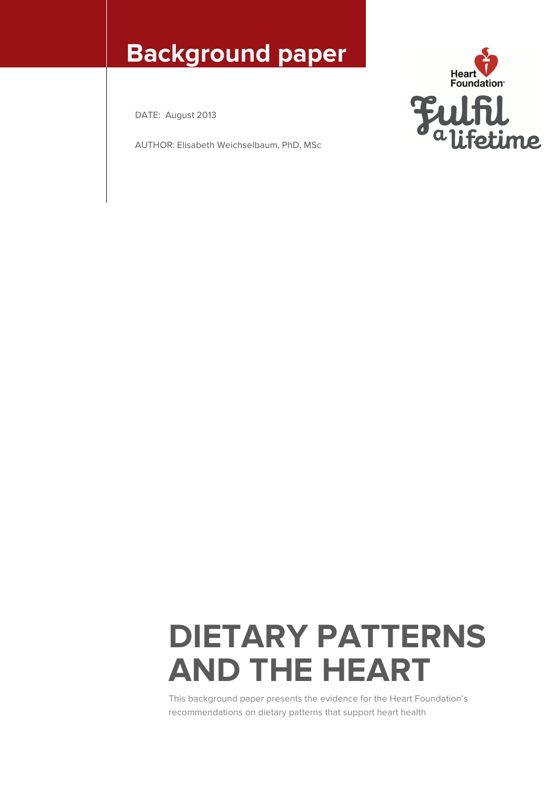## **Background paper**

DATE: August 2013

AUTHOR: Elisabeth Weichselbaum, PhD, MSc



# **DIETARY PATTERNS AND THE HEART**

This background paper presents the evidence for the Heart Foundation's recommendations on dietary patterns that support heart health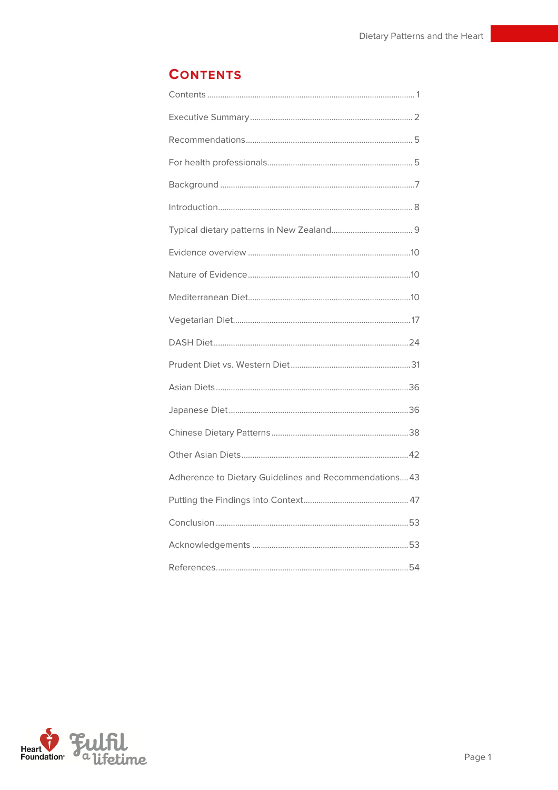## **CONTENTS**

| Adherence to Dietary Guidelines and Recommendations 43 |
|--------------------------------------------------------|
|                                                        |
|                                                        |
|                                                        |
|                                                        |

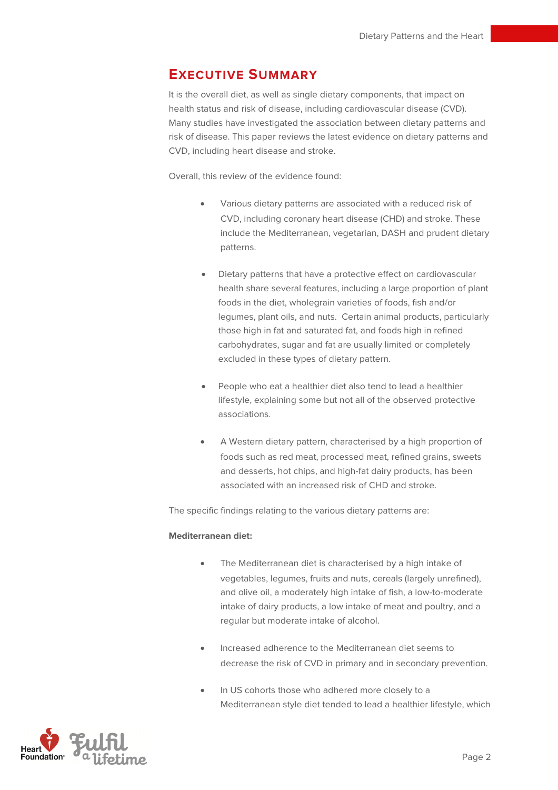## **EXECUTIVE SUMMARY**

It is the overall diet, as well as single dietary components, that impact on health status and risk of disease, including cardiovascular disease (CVD). Many studies have investigated the association between dietary patterns and risk of disease. This paper reviews the latest evidence on dietary patterns and CVD, including heart disease and stroke.

Overall, this review of the evidence found:

- Various dietary patterns are associated with a reduced risk of CVD, including coronary heart disease (CHD) and stroke. These include the Mediterranean, vegetarian, DASH and prudent dietary patterns.
- Dietary patterns that have a protective effect on cardiovascular health share several features, including a large proportion of plant foods in the diet, wholegrain varieties of foods, fish and/or legumes, plant oils, and nuts. Certain animal products, particularly those high in fat and saturated fat, and foods high in refined carbohydrates, sugar and fat are usually limited or completely excluded in these types of dietary pattern.
- People who eat a healthier diet also tend to lead a healthier lifestyle, explaining some but not all of the observed protective associations.
- A Western dietary pattern, characterised by a high proportion of foods such as red meat, processed meat, refined grains, sweets and desserts, hot chips, and high-fat dairy products, has been associated with an increased risk of CHD and stroke.

The specific findings relating to the various dietary patterns are:

#### **Mediterranean diet:**

- The Mediterranean diet is characterised by a high intake of vegetables, legumes, fruits and nuts, cereals (largely unrefined), and olive oil, a moderately high intake of fish, a low-to-moderate intake of dairy products, a low intake of meat and poultry, and a regular but moderate intake of alcohol.
- Increased adherence to the Mediterranean diet seems to decrease the risk of CVD in primary and in secondary prevention.
- In US cohorts those who adhered more closely to a Mediterranean style diet tended to lead a healthier lifestyle, which

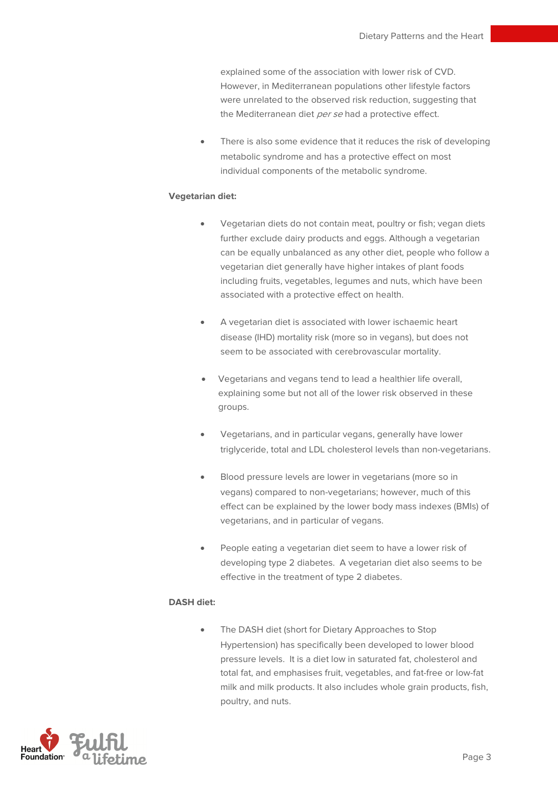explained some of the association with lower risk of CVD. However, in Mediterranean populations other lifestyle factors were unrelated to the observed risk reduction, suggesting that the Mediterranean diet per se had a protective effect.

There is also some evidence that it reduces the risk of developing metabolic syndrome and has a protective effect on most individual components of the metabolic syndrome.

#### **Vegetarian diet:**

- Vegetarian diets do not contain meat, poultry or fish; vegan diets further exclude dairy products and eggs. Although a vegetarian can be equally unbalanced as any other diet, people who follow a vegetarian diet generally have higher intakes of plant foods including fruits, vegetables, legumes and nuts, which have been associated with a protective effect on health.
- A vegetarian diet is associated with lower ischaemic heart disease (IHD) mortality risk (more so in vegans), but does not seem to be associated with cerebrovascular mortality.
- Vegetarians and vegans tend to lead a healthier life overall, explaining some but not all of the lower risk observed in these groups.
- Vegetarians, and in particular vegans, generally have lower triglyceride, total and LDL cholesterol levels than non-vegetarians.
- Blood pressure levels are lower in vegetarians (more so in vegans) compared to non-vegetarians; however, much of this effect can be explained by the lower body mass indexes (BMIs) of vegetarians, and in particular of vegans.
- People eating a vegetarian diet seem to have a lower risk of developing type 2 diabetes. A vegetarian diet also seems to be effective in the treatment of type 2 diabetes.

#### **DASH diet:**

• The DASH diet (short for Dietary Approaches to Stop Hypertension) has specifically been developed to lower blood pressure levels. It is a diet low in saturated fat, cholesterol and total fat, and emphasises fruit, vegetables, and fat-free or low-fat milk and milk products. It also includes whole grain products, fish, poultry, and nuts.

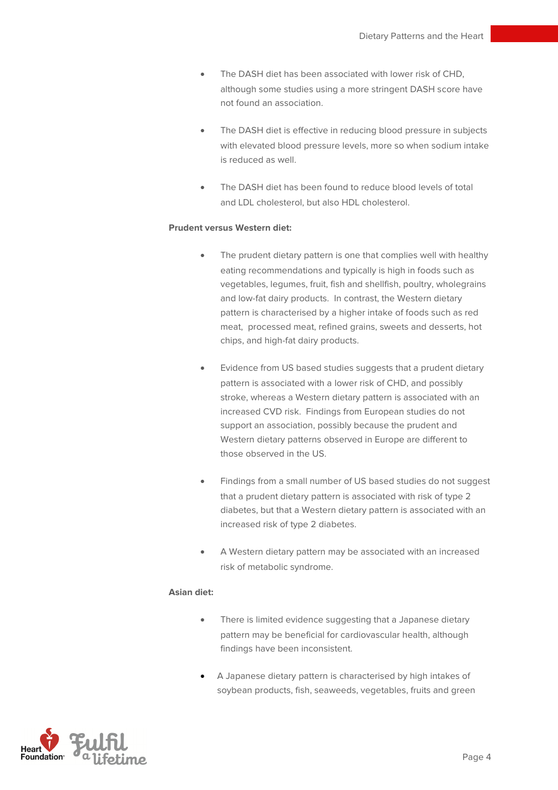- The DASH diet has been associated with lower risk of CHD, although some studies using a more stringent DASH score have not found an association.
- The DASH diet is effective in reducing blood pressure in subjects with elevated blood pressure levels, more so when sodium intake is reduced as well.
- The DASH diet has been found to reduce blood levels of total and LDL cholesterol, but also HDL cholesterol.

#### **Prudent versus Western diet:**

- The prudent dietary pattern is one that complies well with healthy eating recommendations and typically is high in foods such as vegetables, legumes, fruit, fish and shellfish, poultry, wholegrains and low-fat dairy products. In contrast, the Western dietary pattern is characterised by a higher intake of foods such as red meat, processed meat, refined grains, sweets and desserts, hot chips, and high-fat dairy products.
- Evidence from US based studies suggests that a prudent dietary pattern is associated with a lower risk of CHD, and possibly stroke, whereas a Western dietary pattern is associated with an increased CVD risk. Findings from European studies do not support an association, possibly because the prudent and Western dietary patterns observed in Europe are different to those observed in the US.
- Findings from a small number of US based studies do not suggest that a prudent dietary pattern is associated with risk of type 2 diabetes, but that a Western dietary pattern is associated with an increased risk of type 2 diabetes.
- A Western dietary pattern may be associated with an increased risk of metabolic syndrome.

#### **Asian diet:**

- There is limited evidence suggesting that a Japanese dietary pattern may be beneficial for cardiovascular health, although findings have been inconsistent.
- A Japanese dietary pattern is characterised by high intakes of soybean products, fish, seaweeds, vegetables, fruits and green

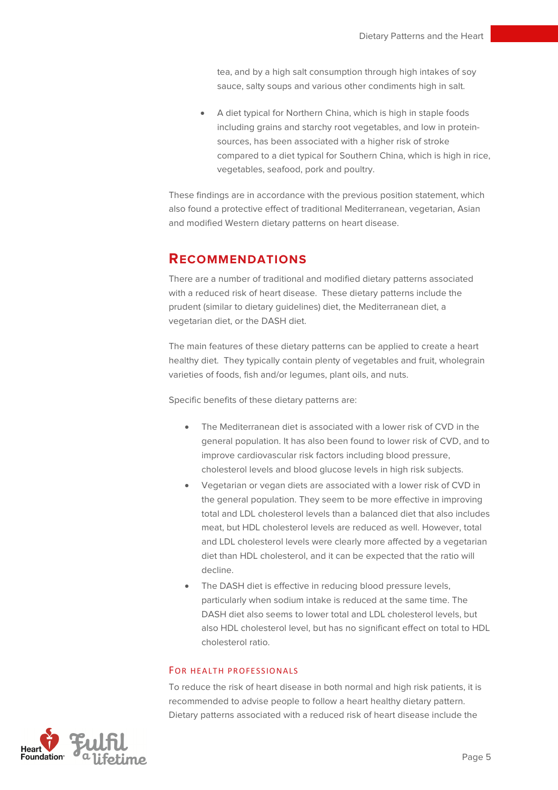tea, and by a high salt consumption through high intakes of soy sauce, salty soups and various other condiments high in salt.

• A diet typical for Northern China, which is high in staple foods including grains and starchy root vegetables, and low in proteinsources, has been associated with a higher risk of stroke compared to a diet typical for Southern China, which is high in rice, vegetables, seafood, pork and poultry.

These findings are in accordance with the previous position statement, which also found a protective effect of traditional Mediterranean, vegetarian, Asian and modified Western dietary patterns on heart disease.

## **RECOMMENDATIONS**

There are a number of traditional and modified dietary patterns associated with a reduced risk of heart disease. These dietary patterns include the prudent (similar to dietary guidelines) diet, the Mediterranean diet, a vegetarian diet, or the DASH diet.

The main features of these dietary patterns can be applied to create a heart healthy diet. They typically contain plenty of vegetables and fruit, wholegrain varieties of foods, fish and/or legumes, plant oils, and nuts.

Specific benefits of these dietary patterns are:

- The Mediterranean diet is associated with a lower risk of CVD in the general population. It has also been found to lower risk of CVD, and to improve cardiovascular risk factors including blood pressure, cholesterol levels and blood glucose levels in high risk subjects.
- Vegetarian or vegan diets are associated with a lower risk of CVD in the general population. They seem to be more effective in improving total and LDL cholesterol levels than a balanced diet that also includes meat, but HDL cholesterol levels are reduced as well. However, total and LDL cholesterol levels were clearly more affected by a vegetarian diet than HDL cholesterol, and it can be expected that the ratio will decline.
- The DASH diet is effective in reducing blood pressure levels, particularly when sodium intake is reduced at the same time. The DASH diet also seems to lower total and LDL cholesterol levels, but also HDL cholesterol level, but has no significant effect on total to HDL cholesterol ratio.

#### FOR HEALTH PROFESSIONALS

To reduce the risk of heart disease in both normal and high risk patients, it is recommended to advise people to follow a heart healthy dietary pattern. Dietary patterns associated with a reduced risk of heart disease include the

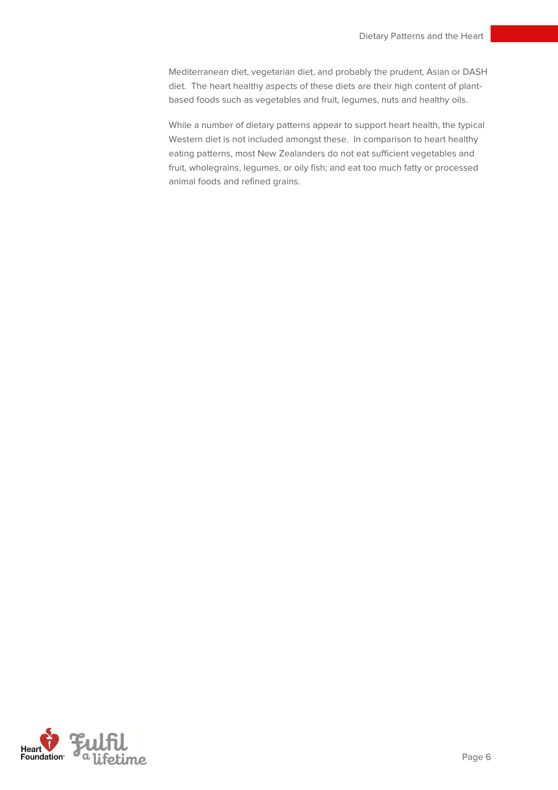Mediterranean diet, vegetarian diet, and probably the prudent, Asian or DASH diet. The heart healthy aspects of these diets are their high content of plantbased foods such as vegetables and fruit, legumes, nuts and healthy oils.

While a number of dietary patterns appear to support heart health, the typical Western diet is not included amongst these. In comparison to heart healthy eating patterns, most New Zealanders do not eat sufficient vegetables and fruit, wholegrains, legumes, or oily fish; and eat too much fatty or processed animal foods and refined grains.

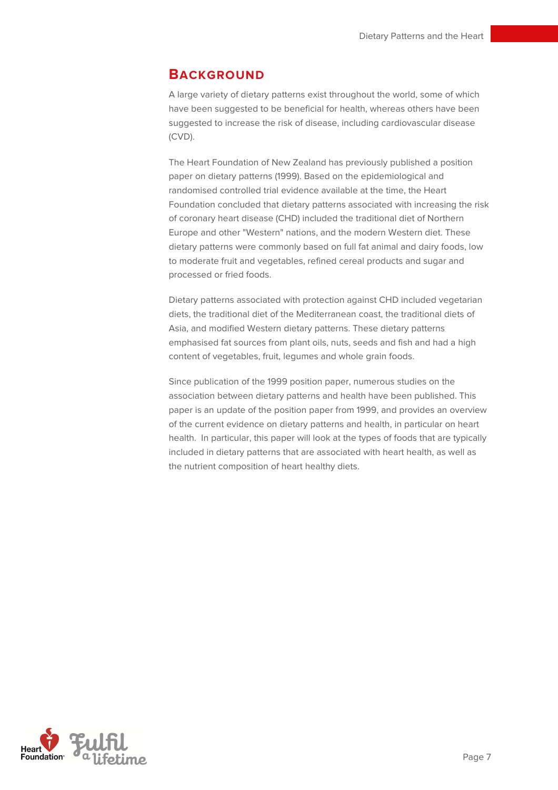## **BACKGROUND**

A large variety of dietary patterns exist throughout the world, some of which have been suggested to be beneficial for health, whereas others have been suggested to increase the risk of disease, including cardiovascular disease (CVD).

The Heart Foundation of New Zealand has previously published a position paper on dietary patterns (1999). Based on the epidemiological and randomised controlled trial evidence available at the time, the Heart Foundation concluded that dietary patterns associated with increasing the risk of coronary heart disease (CHD) included the traditional diet of Northern Europe and other "Western" nations, and the modern Western diet. These dietary patterns were commonly based on full fat animal and dairy foods, low to moderate fruit and vegetables, refined cereal products and sugar and processed or fried foods.

Dietary patterns associated with protection against CHD included vegetarian diets, the traditional diet of the Mediterranean coast, the traditional diets of Asia, and modified Western dietary patterns. These dietary patterns emphasised fat sources from plant oils, nuts, seeds and fish and had a high content of vegetables, fruit, legumes and whole grain foods.

Since publication of the 1999 position paper, numerous studies on the association between dietary patterns and health have been published. This paper is an update of the position paper from 1999, and provides an overview of the current evidence on dietary patterns and health, in particular on heart health. In particular, this paper will look at the types of foods that are typically included in dietary patterns that are associated with heart health, as well as the nutrient composition of heart healthy diets.

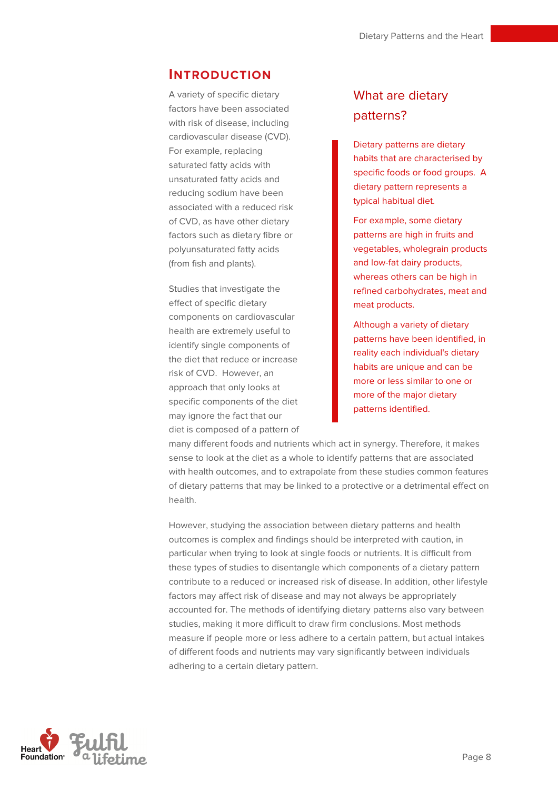## **INTRODUCTION**

A variety of specific dietary factors have been associated with risk of disease, including cardiovascular disease (CVD). For example, replacing saturated fatty acids with unsaturated fatty acids and reducing sodium have been associated with a reduced risk of CVD, as have other dietary factors such as dietary fibre or polyunsaturated fatty acids (from fish and plants).

Studies that investigate the effect of specific dietary components on cardiovascular health are extremely useful to identify single components of the diet that reduce or increase risk of CVD. However, an approach that only looks at specific components of the diet may ignore the fact that our diet is composed of a pattern of

## What are dietary patterns?

Dietary patterns are dietary habits that are characterised by specific foods or food groups. A dietary pattern represents a typical habitual diet.

For example, some dietary patterns are high in fruits and vegetables, wholegrain products and low-fat dairy products, whereas others can be high in refined carbohydrates, meat and meat products.

Although a variety of dietary patterns have been identified, in reality each individual's dietary habits are unique and can be more or less similar to one or more of the major dietary patterns identified.

many different foods and nutrients which act in synergy. Therefore, it makes sense to look at the diet as a whole to identify patterns that are associated with health outcomes, and to extrapolate from these studies common features of dietary patterns that may be linked to a protective or a detrimental effect on health.

However, studying the association between dietary patterns and health outcomes is complex and findings should be interpreted with caution, in particular when trying to look at single foods or nutrients. It is difficult from these types of studies to disentangle which components of a dietary pattern contribute to a reduced or increased risk of disease. In addition, other lifestyle factors may affect risk of disease and may not always be appropriately accounted for. The methods of identifying dietary patterns also vary between studies, making it more difficult to draw firm conclusions. Most methods measure if people more or less adhere to a certain pattern, but actual intakes of different foods and nutrients may vary significantly between individuals adhering to a certain dietary pattern.

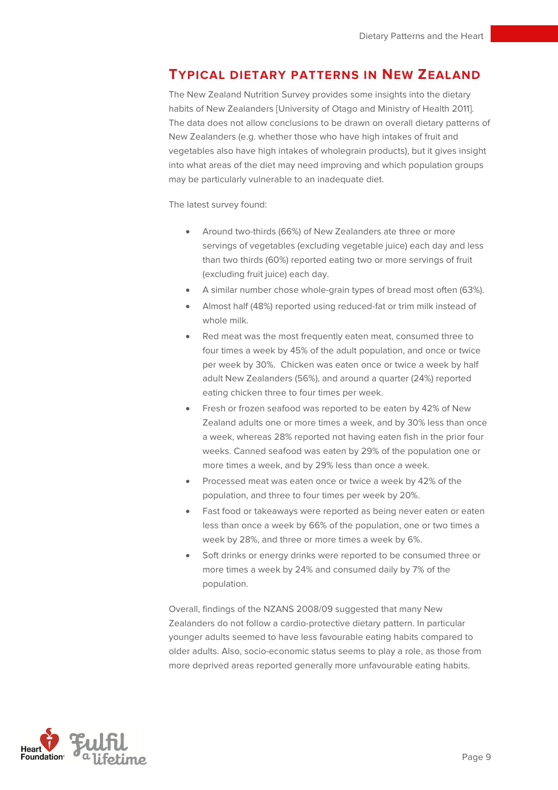## **TYPICAL DIETARY PATTERNS IN NEW ZEALAND**

The New Zealand Nutrition Survey provides some insights into the dietary habits of New Zealanders [University of Otago and Ministry of Health 2011]. The data does not allow conclusions to be drawn on overall dietary patterns of New Zealanders (e.g. whether those who have high intakes of fruit and vegetables also have high intakes of wholegrain products), but it gives insight into what areas of the diet may need improving and which population groups may be particularly vulnerable to an inadequate diet.

The latest survey found:

- Around two-thirds (66%) of New Zealanders ate three or more servings of vegetables (excluding vegetable juice) each day and less than two thirds (60%) reported eating two or more servings of fruit (excluding fruit juice) each day.
- A similar number chose whole-grain types of bread most often (63%).
- Almost half (48%) reported using reduced-fat or trim milk instead of whole milk.
- Red meat was the most frequently eaten meat, consumed three to four times a week by 45% of the adult population, and once or twice per week by 30%. Chicken was eaten once or twice a week by half adult New Zealanders (56%), and around a quarter (24%) reported eating chicken three to four times per week.
- Fresh or frozen seafood was reported to be eaten by 42% of New Zealand adults one or more times a week, and by 30% less than once a week, whereas 28% reported not having eaten fish in the prior four weeks. Canned seafood was eaten by 29% of the population one or more times a week, and by 29% less than once a week.
- Processed meat was eaten once or twice a week by 42% of the population, and three to four times per week by 20%.
- Fast food or takeaways were reported as being never eaten or eaten less than once a week by 66% of the population, one or two times a week by 28%, and three or more times a week by 6%.
- Soft drinks or energy drinks were reported to be consumed three or more times a week by 24% and consumed daily by 7% of the population.

Overall, findings of the NZANS 2008/09 suggested that many New Zealanders do not follow a cardio-protective dietary pattern. In particular younger adults seemed to have less favourable eating habits compared to older adults. Also, socio-economic status seems to play a role, as those from more deprived areas reported generally more unfavourable eating habits.

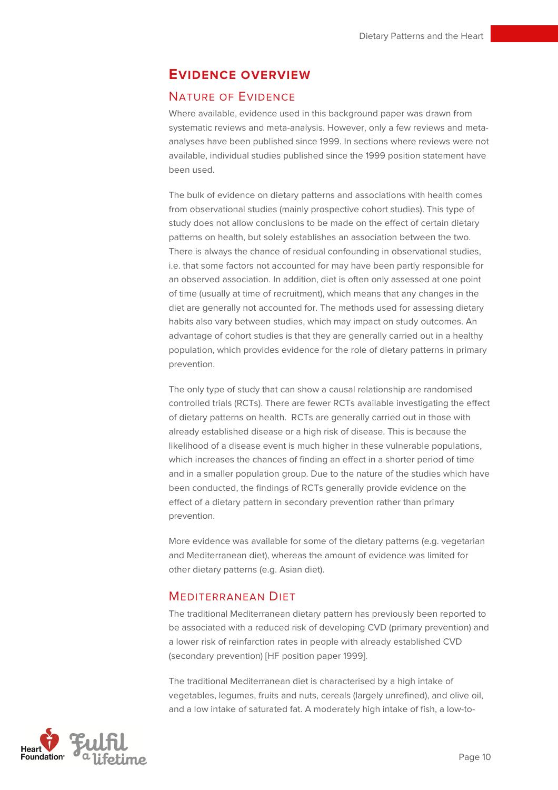## **EVIDENCE OVERVIEW**

## NATURE OF EVIDENCE

Where available, evidence used in this background paper was drawn from systematic reviews and meta-analysis. However, only a few reviews and metaanalyses have been published since 1999. In sections where reviews were not available, individual studies published since the 1999 position statement have been used.

The bulk of evidence on dietary patterns and associations with health comes from observational studies (mainly prospective cohort studies). This type of study does not allow conclusions to be made on the effect of certain dietary patterns on health, but solely establishes an association between the two. There is always the chance of residual confounding in observational studies, i.e. that some factors not accounted for may have been partly responsible for an observed association. In addition, diet is often only assessed at one point of time (usually at time of recruitment), which means that any changes in the diet are generally not accounted for. The methods used for assessing dietary habits also vary between studies, which may impact on study outcomes. An advantage of cohort studies is that they are generally carried out in a healthy population, which provides evidence for the role of dietary patterns in primary prevention.

The only type of study that can show a causal relationship are randomised controlled trials (RCTs). There are fewer RCTs available investigating the effect of dietary patterns on health. RCTs are generally carried out in those with already established disease or a high risk of disease. This is because the likelihood of a disease event is much higher in these vulnerable populations, which increases the chances of finding an effect in a shorter period of time and in a smaller population group. Due to the nature of the studies which have been conducted, the findings of RCTs generally provide evidence on the effect of a dietary pattern in secondary prevention rather than primary prevention.

More evidence was available for some of the dietary patterns (e.g. vegetarian and Mediterranean diet), whereas the amount of evidence was limited for other dietary patterns (e.g. Asian diet).

#### MEDITERRANEAN DIET

The traditional Mediterranean dietary pattern has previously been reported to be associated with a reduced risk of developing CVD (primary prevention) and a lower risk of reinfarction rates in people with already established CVD (secondary prevention) [HF position paper 1999].

The traditional Mediterranean diet is characterised by a high intake of vegetables, legumes, fruits and nuts, cereals (largely unrefined), and olive oil, and a low intake of saturated fat. A moderately high intake of fish, a low-to-

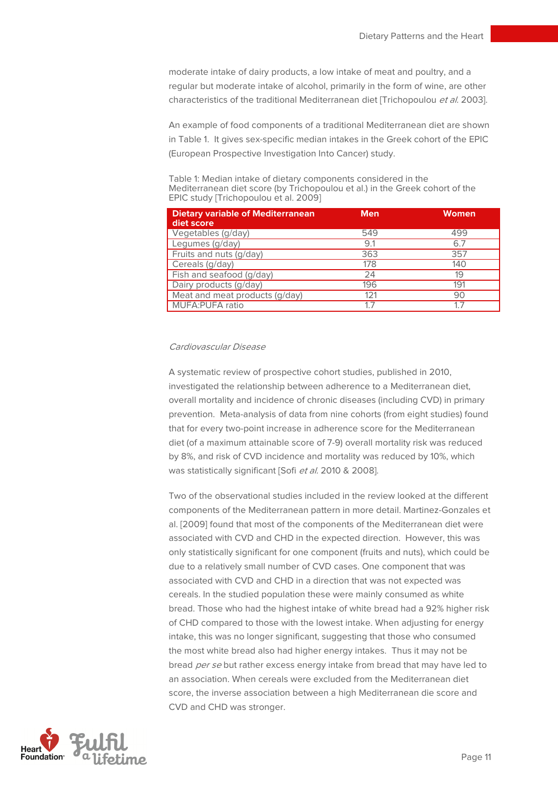moderate intake of dairy products, a low intake of meat and poultry, and a regular but moderate intake of alcohol, primarily in the form of wine, are other characteristics of the traditional Mediterranean diet [Trichopoulou et al. 2003].

An example of food components of a traditional Mediterranean diet are shown in Table 1. It gives sex-specific median intakes in the Greek cohort of the EPIC (European Prospective Investigation Into Cancer) study.

Table 1: Median intake of dietary components considered in the Mediterranean diet score (by Trichopoulou et al.) in the Greek cohort of the EPIC study [Trichopoulou et al. 2009]

| <b>Dietary variable of Mediterranean</b><br>diet score | <b>Men</b> | <b>Women</b> |
|--------------------------------------------------------|------------|--------------|
| Vegetables (g/day)                                     | 549        | 499          |
| Legumes (g/day)                                        | 9.1        | 6.7          |
| Fruits and nuts (g/day)                                | 363        | 357          |
| Cereals (g/day)                                        | 178        | 140          |
| Fish and seafood (g/day)                               | 24         | 19           |
| Dairy products (g/day)                                 | 196        | 191          |
| Meat and meat products (g/day)                         | 121        | 90           |
| <b>MUFA:PUFA ratio</b>                                 | 17         | 17           |

#### Cardiovascular Disease

A systematic review of prospective cohort studies, published in 2010, investigated the relationship between adherence to a Mediterranean diet, overall mortality and incidence of chronic diseases (including CVD) in primary prevention. Meta-analysis of data from nine cohorts (from eight studies) found that for every two-point increase in adherence score for the Mediterranean diet (of a maximum attainable score of 7-9) overall mortality risk was reduced by 8%, and risk of CVD incidence and mortality was reduced by 10%, which was statistically significant [Sofi et al. 2010 & 2008].

Two of the observational studies included in the review looked at the different components of the Mediterranean pattern in more detail. Martinez-Gonzales et al. [2009] found that most of the components of the Mediterranean diet were associated with CVD and CHD in the expected direction. However, this was only statistically significant for one component (fruits and nuts), which could be due to a relatively small number of CVD cases. One component that was associated with CVD and CHD in a direction that was not expected was cereals. In the studied population these were mainly consumed as white bread. Those who had the highest intake of white bread had a 92% higher risk of CHD compared to those with the lowest intake. When adjusting for energy intake, this was no longer significant, suggesting that those who consumed the most white bread also had higher energy intakes. Thus it may not be bread per se but rather excess energy intake from bread that may have led to an association. When cereals were excluded from the Mediterranean diet score, the inverse association between a high Mediterranean die score and CVD and CHD was stronger.

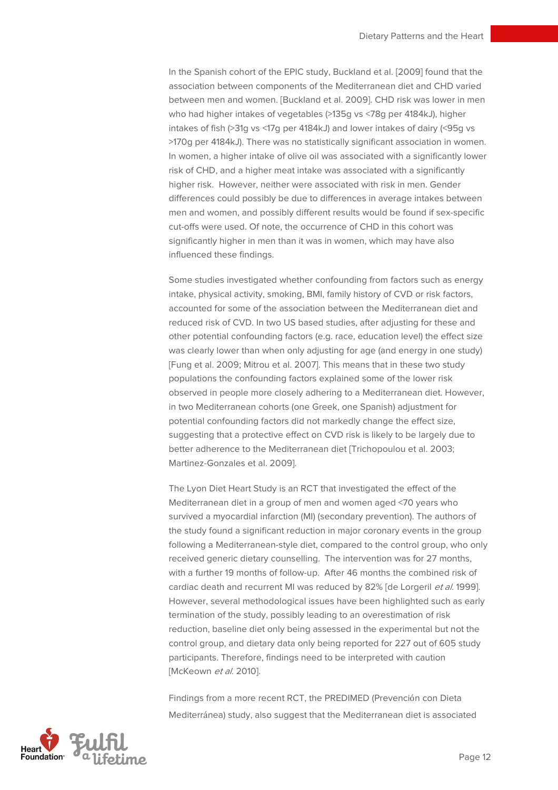In the Spanish cohort of the EPIC study, Buckland et al. [2009] found that the association between components of the Mediterranean diet and CHD varied between men and women. [Buckland et al. 2009]. CHD risk was lower in men who had higher intakes of vegetables (>135g vs <78g per 4184kJ), higher intakes of fish (>31g vs <17g per 4184kJ) and lower intakes of dairy (<95g vs >170g per 4184kJ). There was no statistically significant association in women. In women, a higher intake of olive oil was associated with a significantly lower risk of CHD, and a higher meat intake was associated with a significantly higher risk. However, neither were associated with risk in men. Gender differences could possibly be due to differences in average intakes between men and women, and possibly different results would be found if sex-specific cut-offs were used. Of note, the occurrence of CHD in this cohort was significantly higher in men than it was in women, which may have also influenced these findings.

Some studies investigated whether confounding from factors such as energy intake, physical activity, smoking, BMI, family history of CVD or risk factors, accounted for some of the association between the Mediterranean diet and reduced risk of CVD. In two US based studies, after adjusting for these and other potential confounding factors (e.g. race, education level) the effect size was clearly lower than when only adjusting for age (and energy in one study) [Fung et al. 2009; Mitrou et al. 2007]. This means that in these two study populations the confounding factors explained some of the lower risk observed in people more closely adhering to a Mediterranean diet. However, in two Mediterranean cohorts (one Greek, one Spanish) adjustment for potential confounding factors did not markedly change the effect size, suggesting that a protective effect on CVD risk is likely to be largely due to better adherence to the Mediterranean diet [Trichopoulou et al. 2003; Martinez-Gonzales et al. 2009].

The Lyon Diet Heart Study is an RCT that investigated the effect of the Mediterranean diet in a group of men and women aged <70 years who survived a myocardial infarction (MI) (secondary prevention). The authors of the study found a significant reduction in major coronary events in the group following a Mediterranean-style diet, compared to the control group, who only received generic dietary counselling. The intervention was for 27 months, with a further 19 months of follow-up. After 46 months the combined risk of cardiac death and recurrent MI was reduced by 82% [de Lorgeril et al. 1999]. However, several methodological issues have been highlighted such as early termination of the study, possibly leading to an overestimation of risk reduction, baseline diet only being assessed in the experimental but not the control group, and dietary data only being reported for 227 out of 605 study participants. Therefore, findings need to be interpreted with caution [McKeown et al. 2010].

Findings from a more recent RCT, the PREDIMED (Prevención con Dieta Mediterránea) study, also suggest that the Mediterranean diet is associated

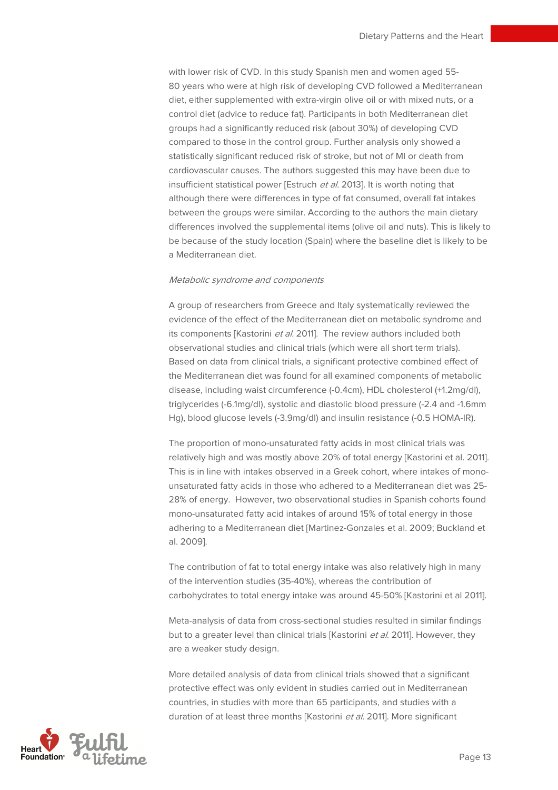with lower risk of CVD. In this study Spanish men and women aged 55- 80 years who were at high risk of developing CVD followed a Mediterranean diet, either supplemented with extra-virgin olive oil or with mixed nuts, or a control diet (advice to reduce fat). Participants in both Mediterranean diet groups had a significantly reduced risk (about 30%) of developing CVD compared to those in the control group. Further analysis only showed a statistically significant reduced risk of stroke, but not of MI or death from cardiovascular causes. The authors suggested this may have been due to insufficient statistical power [Estruch et al. 2013]. It is worth noting that although there were differences in type of fat consumed, overall fat intakes between the groups were similar. According to the authors the main dietary differences involved the supplemental items (olive oil and nuts). This is likely to be because of the study location (Spain) where the baseline diet is likely to be a Mediterranean diet.

#### Metabolic syndrome and components

A group of researchers from Greece and Italy systematically reviewed the evidence of the effect of the Mediterranean diet on metabolic syndrome and its components [Kastorini et al. 2011]. The review authors included both observational studies and clinical trials (which were all short term trials). Based on data from clinical trials, a significant protective combined effect of the Mediterranean diet was found for all examined components of metabolic disease, including waist circumference (-0.4cm), HDL cholesterol (+1.2mg/dl), triglycerides (-6.1mg/dl), systolic and diastolic blood pressure (-2.4 and -1.6mm Hg), blood glucose levels (-3.9mg/dl) and insulin resistance (-0.5 HOMA-IR).

The proportion of mono-unsaturated fatty acids in most clinical trials was relatively high and was mostly above 20% of total energy [Kastorini et al. 2011]. This is in line with intakes observed in a Greek cohort, where intakes of monounsaturated fatty acids in those who adhered to a Mediterranean diet was 25- 28% of energy. However, two observational studies in Spanish cohorts found mono-unsaturated fatty acid intakes of around 15% of total energy in those adhering to a Mediterranean diet [Martinez-Gonzales et al. 2009; Buckland et al. 2009].

The contribution of fat to total energy intake was also relatively high in many of the intervention studies (35-40%), whereas the contribution of carbohydrates to total energy intake was around 45-50% [Kastorini et al 2011].

Meta-analysis of data from cross-sectional studies resulted in similar findings but to a greater level than clinical trials [Kastorini et al. 2011]. However, they are a weaker study design.

More detailed analysis of data from clinical trials showed that a significant protective effect was only evident in studies carried out in Mediterranean countries, in studies with more than 65 participants, and studies with a duration of at least three months [Kastorini et al. 2011]. More significant

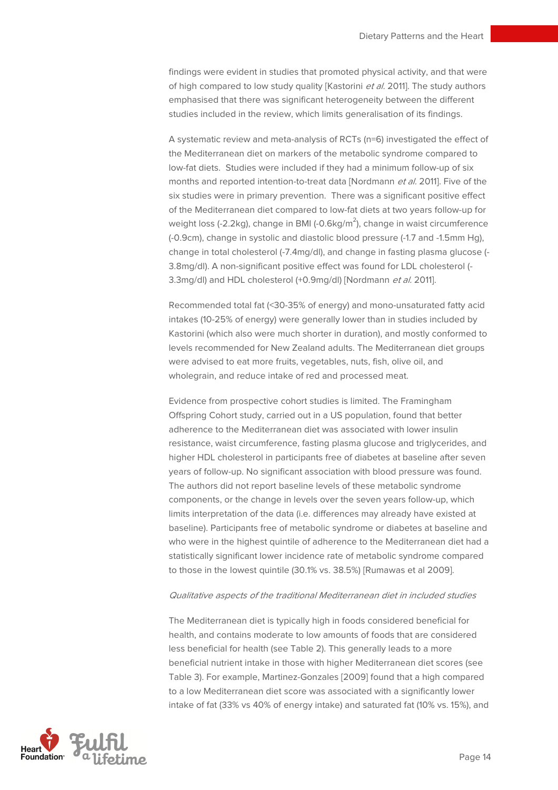findings were evident in studies that promoted physical activity, and that were of high compared to low study quality [Kastorini et al. 2011]. The study authors emphasised that there was significant heterogeneity between the different studies included in the review, which limits generalisation of its findings.

A systematic review and meta-analysis of RCTs (n=6) investigated the effect of the Mediterranean diet on markers of the metabolic syndrome compared to low-fat diets. Studies were included if they had a minimum follow-up of six months and reported intention-to-treat data [Nordmann et al. 2011]. Five of the six studies were in primary prevention. There was a significant positive effect of the Mediterranean diet compared to low-fat diets at two years follow-up for weight loss (-2.2kg), change in BMI (-0.6kg/m $^2$ ), change in waist circumference (-0.9cm), change in systolic and diastolic blood pressure (-1.7 and -1.5mm Hg), change in total cholesterol (-7.4mg/dl), and change in fasting plasma glucose (- 3.8mg/dl). A non-significant positive effect was found for LDL cholesterol (- 3.3mg/dl) and HDL cholesterol (+0.9mg/dl) [Nordmann et al. 2011].

Recommended total fat (<30-35% of energy) and mono-unsaturated fatty acid intakes (10-25% of energy) were generally lower than in studies included by Kastorini (which also were much shorter in duration), and mostly conformed to levels recommended for New Zealand adults. The Mediterranean diet groups were advised to eat more fruits, vegetables, nuts, fish, olive oil, and wholegrain, and reduce intake of red and processed meat.

Evidence from prospective cohort studies is limited. The Framingham Offspring Cohort study, carried out in a US population, found that better adherence to the Mediterranean diet was associated with lower insulin resistance, waist circumference, fasting plasma glucose and triglycerides, and higher HDL cholesterol in participants free of diabetes at baseline after seven years of follow-up. No significant association with blood pressure was found. The authors did not report baseline levels of these metabolic syndrome components, or the change in levels over the seven years follow-up, which limits interpretation of the data (i.e. differences may already have existed at baseline). Participants free of metabolic syndrome or diabetes at baseline and who were in the highest quintile of adherence to the Mediterranean diet had a statistically significant lower incidence rate of metabolic syndrome compared to those in the lowest quintile (30.1% vs. 38.5%) [Rumawas et al 2009].

#### Qualitative aspects of the traditional Mediterranean diet in included studies

The Mediterranean diet is typically high in foods considered beneficial for health, and contains moderate to low amounts of foods that are considered less beneficial for health (see Table 2). This generally leads to a more beneficial nutrient intake in those with higher Mediterranean diet scores (see Table 3). For example, Martinez-Gonzales [2009] found that a high compared to a low Mediterranean diet score was associated with a significantly lower intake of fat (33% vs 40% of energy intake) and saturated fat (10% vs. 15%), and

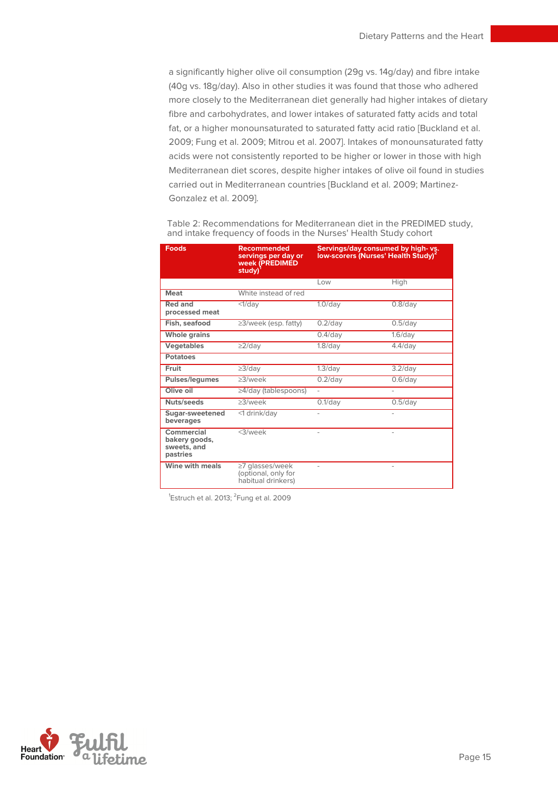a significantly higher olive oil consumption (29g vs. 14g/day) and fibre intake (40g vs. 18g/day). Also in other studies it was found that those who adhered more closely to the Mediterranean diet generally had higher intakes of dietary fibre and carbohydrates, and lower intakes of saturated fatty acids and total fat, or a higher monounsaturated to saturated fatty acid ratio [Buckland et al. 2009; Fung et al. 2009; Mitrou et al. 2007]. Intakes of monounsaturated fatty acids were not consistently reported to be higher or lower in those with high Mediterranean diet scores, despite higher intakes of olive oil found in studies carried out in Mediterranean countries [Buckland et al. 2009; Martinez-Gonzalez et al. 2009].

| <b>Foods</b>                                           | <b>Recommended</b><br>servings per day or<br><b>week (PREDIMED</b><br>study) <sup>1</sup> | Servings/day consumed by high-vs.<br>low-scorers (Nurses' Health Study) <sup>2</sup> |            |  |
|--------------------------------------------------------|-------------------------------------------------------------------------------------------|--------------------------------------------------------------------------------------|------------|--|
|                                                        |                                                                                           | Low                                                                                  | High       |  |
| <b>Meat</b>                                            | White instead of red                                                                      |                                                                                      |            |  |
| <b>Red and</b><br>processed meat                       | $<1$ /dav                                                                                 | $1.0$ /day                                                                           | $0.8$ /day |  |
| Fish, seafood                                          | $\geq$ 3/week (esp. fatty)                                                                | $0.2$ /day                                                                           | $0.5$ /day |  |
| <b>Whole grains</b>                                    |                                                                                           | $0.4$ /day                                                                           | $1.6$ /day |  |
| <b>Vegetables</b>                                      | $\geq$ 2/day                                                                              | $1.8$ /day                                                                           | $4.4$ /day |  |
| <b>Potatoes</b>                                        |                                                                                           |                                                                                      |            |  |
| Fruit                                                  | $\geq$ 3/day                                                                              | $1.3$ /day                                                                           | $3.2$ /day |  |
| Pulses/legumes                                         | $>3$ /week                                                                                | $0.2$ /day                                                                           | $0.6$ /day |  |
| Olive oil                                              | $\geq$ 4/day (tablespoons)                                                                | ä,                                                                                   |            |  |
| Nuts/seeds                                             | $>3$ /week                                                                                | $0.1$ /day                                                                           | $0.5$ /day |  |
| Sugar-sweetened<br>beverages                           | <1 drink/dav                                                                              |                                                                                      |            |  |
| Commercial<br>bakery goods,<br>sweets, and<br>pastries | $<$ 3/week                                                                                | $\overline{a}$                                                                       |            |  |
| Wine with meals                                        | ≥7 glasses/week<br>(optional, only for<br>habitual drinkers)                              |                                                                                      |            |  |

Table 2: Recommendations for Mediterranean diet in the PREDIMED study, and intake frequency of foods in the Nurses' Health Study cohort

 $^1$ Estruch et al. 2013;  $^2$ Fung et al. 2009

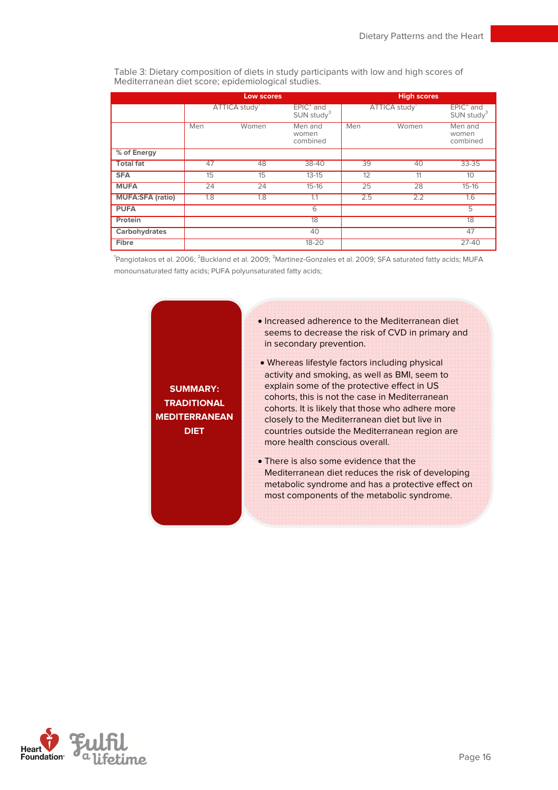Table 3: Dietary composition of diets in study participants with low and high scores of Mediterranean diet score; epidemiological studies.

|                         | <b>Low scores</b> |              |                                         |     | <b>High scores</b> |                                         |
|-------------------------|-------------------|--------------|-----------------------------------------|-----|--------------------|-----------------------------------------|
|                         |                   | ATTICA study | $EPIC2$ and<br>$SUN$ study <sup>3</sup> |     | ATTICA study       | $EPIC2$ and<br>$SUN$ study <sup>3</sup> |
|                         | Men               | Women        | Men and<br>women<br>combined            | Men | Women              | Men and<br>women<br>combined            |
| % of Energy             |                   |              |                                         |     |                    |                                         |
| <b>Total fat</b>        | 47                | 48           | 38-40                                   | 39  | 40                 | 33-35                                   |
| <b>SFA</b>              | 15                | 15           | $13 - 15$                               | 12  | 11                 | 10                                      |
| <b>MUFA</b>             | 24                | 24           | $15 - 16$                               | 25  | 28                 | $15 - 16$                               |
| <b>MUFA:SFA (ratio)</b> | 1.8               | 1.8          | 1.1                                     | 2.5 | 2.2                | 1.6                                     |
| <b>PUFA</b>             |                   |              | 6                                       |     |                    | 5                                       |
| Protein                 |                   |              | 18                                      |     |                    | 18                                      |
| Carbohydrates           |                   |              | 40                                      |     |                    | 47                                      |
| Fibre                   |                   |              | $18 - 20$                               |     |                    | $27 - 40$                               |

<sup>1</sup>Pangiotakos et al. 2006; <sup>2</sup>Buckland et al. 2009; <sup>3</sup>Martinez-Gonzales et al. 2009; SFA saturated fatty acids; MUFA monounsaturated fatty acids; PUFA polyunsaturated fatty acids;

> **MEDITERRANEAN SUMMARY: TRADITIONAL DIET**

- Increased adherence to the Mediterranean diet seems to decrease the risk of CVD in primary and in secondary prevention.
- Whereas lifestyle factors including physical activity and smoking, as well as BMI, seem to explain some of the protective effect in US cohorts, this is not the case in Mediterranean cohorts. It is likely that those who adhere more closely to the Mediterranean diet but live in countries outside the Mediterranean region are more health conscious overall.
- There is also some evidence that the Mediterranean diet reduces the risk of developing metabolic syndrome and has a protective effect on most components of the metabolic syndrome.

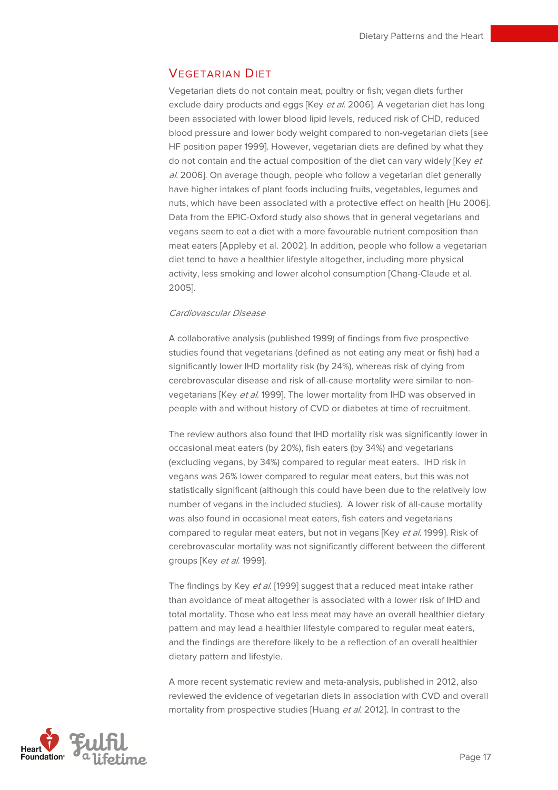## VEGETARIAN DIET

Vegetarian diets do not contain meat, poultry or fish; vegan diets further exclude dairy products and eggs [Key et al. 2006]. A vegetarian diet has long been associated with lower blood lipid levels, reduced risk of CHD, reduced blood pressure and lower body weight compared to non-vegetarian diets [see HF position paper 1999]. However, vegetarian diets are defined by what they do not contain and the actual composition of the diet can vary widely [Key et al. 2006]. On average though, people who follow a vegetarian diet generally have higher intakes of plant foods including fruits, vegetables, legumes and nuts, which have been associated with a protective effect on health [Hu 2006]. Data from the EPIC-Oxford study also shows that in general vegetarians and vegans seem to eat a diet with a more favourable nutrient composition than meat eaters [Appleby et al. 2002]. In addition, people who follow a vegetarian diet tend to have a healthier lifestyle altogether, including more physical activity, less smoking and lower alcohol consumption [Chang-Claude et al. 2005].

#### Cardiovascular Disease

A collaborative analysis (published 1999) of findings from five prospective studies found that vegetarians (defined as not eating any meat or fish) had a significantly lower IHD mortality risk (by 24%), whereas risk of dying from cerebrovascular disease and risk of all-cause mortality were similar to nonvegetarians [Key et al. 1999]. The lower mortality from IHD was observed in people with and without history of CVD or diabetes at time of recruitment.

The review authors also found that IHD mortality risk was significantly lower in occasional meat eaters (by 20%), fish eaters (by 34%) and vegetarians (excluding vegans, by 34%) compared to regular meat eaters. IHD risk in vegans was 26% lower compared to regular meat eaters, but this was not statistically significant (although this could have been due to the relatively low number of vegans in the included studies). A lower risk of all-cause mortality was also found in occasional meat eaters, fish eaters and vegetarians compared to regular meat eaters, but not in vegans [Key et al. 1999]. Risk of cerebrovascular mortality was not significantly different between the different groups [Key et al. 1999].

The findings by Key et al. [1999] suggest that a reduced meat intake rather than avoidance of meat altogether is associated with a lower risk of IHD and total mortality. Those who eat less meat may have an overall healthier dietary pattern and may lead a healthier lifestyle compared to regular meat eaters, and the findings are therefore likely to be a reflection of an overall healthier dietary pattern and lifestyle.

A more recent systematic review and meta-analysis, published in 2012, also reviewed the evidence of vegetarian diets in association with CVD and overall mortality from prospective studies [Huang et al. 2012]. In contrast to the

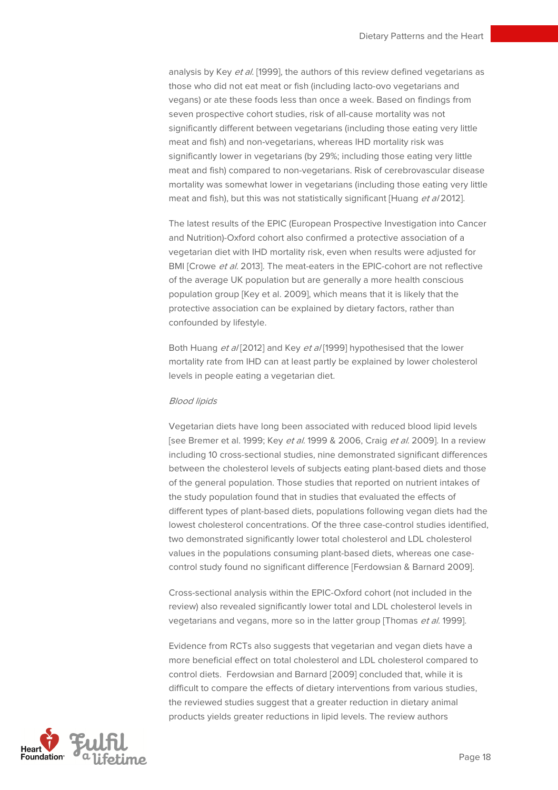analysis by Key et al. [1999], the authors of this review defined vegetarians as those who did not eat meat or fish (including lacto-ovo vegetarians and vegans) or ate these foods less than once a week. Based on findings from seven prospective cohort studies, risk of all-cause mortality was not significantly different between vegetarians (including those eating very little meat and fish) and non-vegetarians, whereas IHD mortality risk was significantly lower in vegetarians (by 29%; including those eating very little meat and fish) compared to non-vegetarians. Risk of cerebrovascular disease mortality was somewhat lower in vegetarians (including those eating very little meat and fish), but this was not statistically significant [Huang et al 2012].

The latest results of the EPIC (European Prospective Investigation into Cancer and Nutrition)-Oxford cohort also confirmed a protective association of a vegetarian diet with IHD mortality risk, even when results were adjusted for BMI [Crowe et al. 2013]. The meat-eaters in the EPIC-cohort are not reflective of the average UK population but are generally a more health conscious population group [Key et al. 2009], which means that it is likely that the protective association can be explained by dietary factors, rather than confounded by lifestyle.

Both Huang et a/[2012] and Key et a/[1999] hypothesised that the lower mortality rate from IHD can at least partly be explained by lower cholesterol levels in people eating a vegetarian diet.

#### Blood lipids

Vegetarian diets have long been associated with reduced blood lipid levels [see Bremer et al. 1999; Key et al. 1999 & 2006, Craig et al. 2009]. In a review including 10 cross-sectional studies, nine demonstrated significant differences between the cholesterol levels of subjects eating plant-based diets and those of the general population. Those studies that reported on nutrient intakes of the study population found that in studies that evaluated the effects of different types of plant-based diets, populations following vegan diets had the lowest cholesterol concentrations. Of the three case-control studies identified, two demonstrated significantly lower total cholesterol and LDL cholesterol values in the populations consuming plant-based diets, whereas one casecontrol study found no significant difference [Ferdowsian & Barnard 2009].

Cross-sectional analysis within the EPIC-Oxford cohort (not included in the review) also revealed significantly lower total and LDL cholesterol levels in vegetarians and vegans, more so in the latter group [Thomas et al. 1999].

Evidence from RCTs also suggests that vegetarian and vegan diets have a more beneficial effect on total cholesterol and LDL cholesterol compared to control diets. Ferdowsian and Barnard [2009] concluded that, while it is difficult to compare the effects of dietary interventions from various studies, the reviewed studies suggest that a greater reduction in dietary animal products yields greater reductions in lipid levels. The review authors

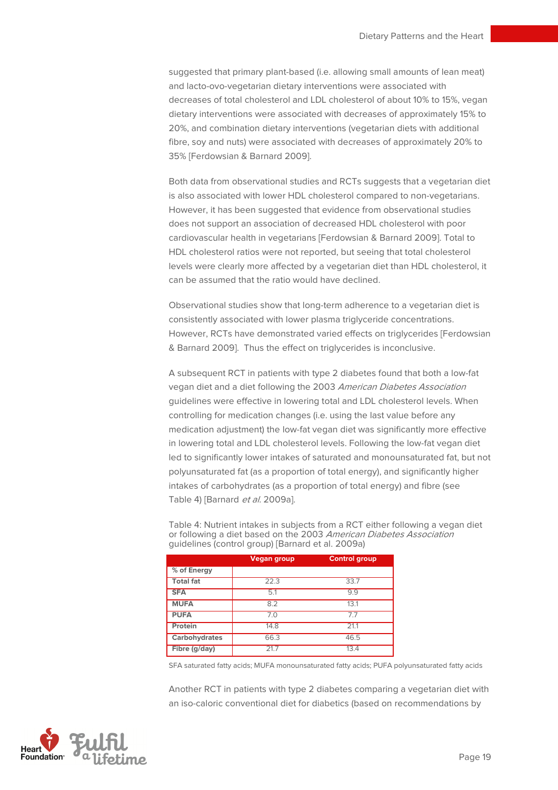suggested that primary plant-based (i.e. allowing small amounts of lean meat) and lacto-ovo-vegetarian dietary interventions were associated with decreases of total cholesterol and LDL cholesterol of about 10% to 15%, vegan dietary interventions were associated with decreases of approximately 15% to 20%, and combination dietary interventions (vegetarian diets with additional fibre, soy and nuts) were associated with decreases of approximately 20% to 35% [Ferdowsian & Barnard 2009].

Both data from observational studies and RCTs suggests that a vegetarian diet is also associated with lower HDL cholesterol compared to non-vegetarians. However, it has been suggested that evidence from observational studies does not support an association of decreased HDL cholesterol with poor cardiovascular health in vegetarians [Ferdowsian & Barnard 2009]. Total to HDL cholesterol ratios were not reported, but seeing that total cholesterol levels were clearly more affected by a vegetarian diet than HDL cholesterol, it can be assumed that the ratio would have declined.

Observational studies show that long-term adherence to a vegetarian diet is consistently associated with lower plasma triglyceride concentrations. However, RCTs have demonstrated varied effects on triglycerides [Ferdowsian & Barnard 2009]. Thus the effect on triglycerides is inconclusive.

A subsequent RCT in patients with type 2 diabetes found that both a low-fat vegan diet and a diet following the 2003 American Diabetes Association guidelines were effective in lowering total and LDL cholesterol levels. When controlling for medication changes (i.e. using the last value before any medication adjustment) the low-fat vegan diet was significantly more effective in lowering total and LDL cholesterol levels. Following the low-fat vegan diet led to significantly lower intakes of saturated and monounsaturated fat, but not polyunsaturated fat (as a proportion of total energy), and significantly higher intakes of carbohydrates (as a proportion of total energy) and fibre (see Table 4) [Barnard et al. 2009a].

Table 4: Nutrient intakes in subjects from a RCT either following a vegan diet or following a diet based on the 2003 American Diabetes Association guidelines (control group) [Barnard et al. 2009a)

|                  | Vegan group | <b>Control group</b> |
|------------------|-------------|----------------------|
| % of Energy      |             |                      |
| <b>Total fat</b> | 22.3        | 33.7                 |
| <b>SFA</b>       | 5.1         | 9.9                  |
| <b>MUFA</b>      | 8.2         | 13.1                 |
| <b>PUFA</b>      | 7.0         | 7.7                  |
| Protein          | 14.8        | 21.1                 |
| Carbohydrates    | 66.3        | 46.5                 |
| Fibre (g/day)    | 21.7        | 13.4                 |

SFA saturated fatty acids; MUFA monounsaturated fatty acids; PUFA polyunsaturated fatty acids

Another RCT in patients with type 2 diabetes comparing a vegetarian diet with an iso-caloric conventional diet for diabetics (based on recommendations by

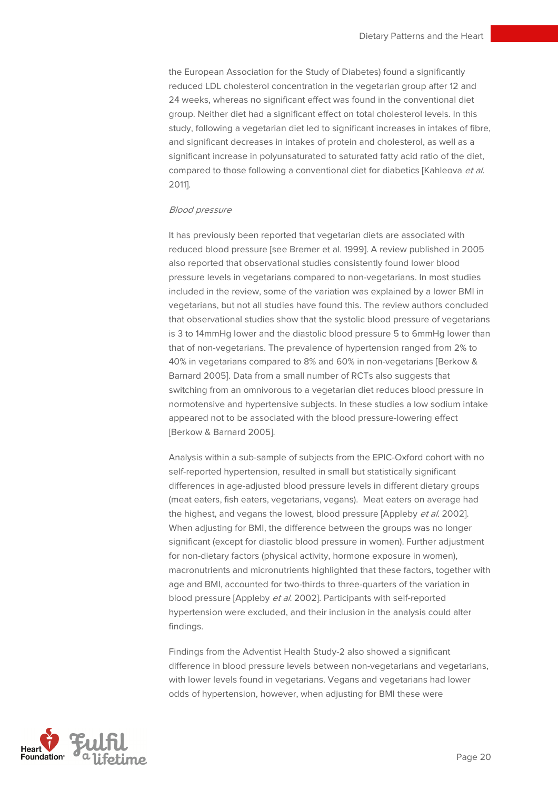the European Association for the Study of Diabetes) found a significantly reduced LDL cholesterol concentration in the vegetarian group after 12 and 24 weeks, whereas no significant effect was found in the conventional diet group. Neither diet had a significant effect on total cholesterol levels. In this study, following a vegetarian diet led to significant increases in intakes of fibre, and significant decreases in intakes of protein and cholesterol, as well as a significant increase in polyunsaturated to saturated fatty acid ratio of the diet, compared to those following a conventional diet for diabetics [Kahleova et al. 2011].

#### Blood pressure

It has previously been reported that vegetarian diets are associated with reduced blood pressure [see Bremer et al. 1999]. A review published in 2005 also reported that observational studies consistently found lower blood pressure levels in vegetarians compared to non-vegetarians. In most studies included in the review, some of the variation was explained by a lower BMI in vegetarians, but not all studies have found this. The review authors concluded that observational studies show that the systolic blood pressure of vegetarians is 3 to 14mmHg lower and the diastolic blood pressure 5 to 6mmHg lower than that of non-vegetarians. The prevalence of hypertension ranged from 2% to 40% in vegetarians compared to 8% and 60% in non-vegetarians [Berkow & Barnard 2005]. Data from a small number of RCTs also suggests that switching from an omnivorous to a vegetarian diet reduces blood pressure in normotensive and hypertensive subjects. In these studies a low sodium intake appeared not to be associated with the blood pressure-lowering effect [Berkow & Barnard 2005].

Analysis within a sub-sample of subjects from the EPIC-Oxford cohort with no self-reported hypertension, resulted in small but statistically significant differences in age-adjusted blood pressure levels in different dietary groups (meat eaters, fish eaters, vegetarians, vegans). Meat eaters on average had the highest, and vegans the lowest, blood pressure [Appleby et al. 2002]. When adjusting for BMI, the difference between the groups was no longer significant (except for diastolic blood pressure in women). Further adjustment for non-dietary factors (physical activity, hormone exposure in women), macronutrients and micronutrients highlighted that these factors, together with age and BMI, accounted for two-thirds to three-quarters of the variation in blood pressure [Appleby et al. 2002]. Participants with self-reported hypertension were excluded, and their inclusion in the analysis could alter findings.

Findings from the Adventist Health Study-2 also showed a significant difference in blood pressure levels between non-vegetarians and vegetarians, with lower levels found in vegetarians. Vegans and vegetarians had lower odds of hypertension, however, when adjusting for BMI these were

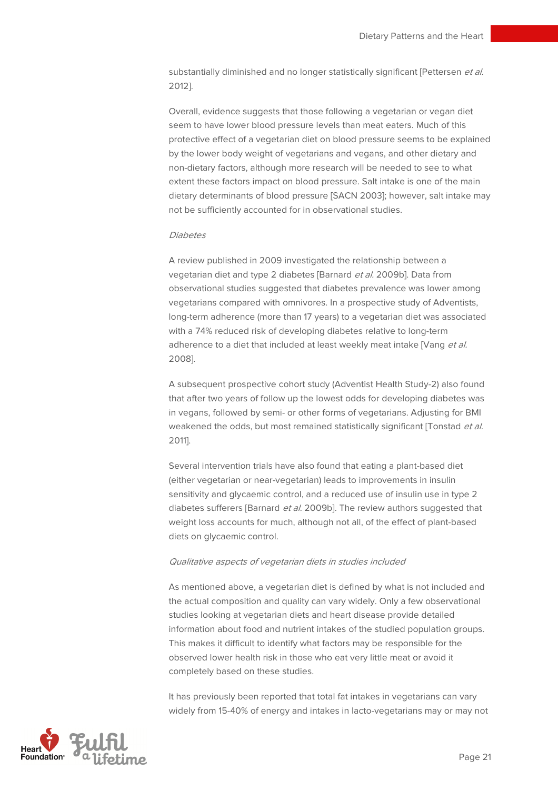substantially diminished and no longer statistically significant [Pettersen et al. 2012].

Overall, evidence suggests that those following a vegetarian or vegan diet seem to have lower blood pressure levels than meat eaters. Much of this protective effect of a vegetarian diet on blood pressure seems to be explained by the lower body weight of vegetarians and vegans, and other dietary and non-dietary factors, although more research will be needed to see to what extent these factors impact on blood pressure. Salt intake is one of the main dietary determinants of blood pressure [SACN 2003]; however, salt intake may not be sufficiently accounted for in observational studies.

#### Diabetes

A review published in 2009 investigated the relationship between a vegetarian diet and type 2 diabetes [Barnard et al. 2009b]. Data from observational studies suggested that diabetes prevalence was lower among vegetarians compared with omnivores. In a prospective study of Adventists, long-term adherence (more than 17 years) to a vegetarian diet was associated with a 74% reduced risk of developing diabetes relative to long-term adherence to a diet that included at least weekly meat intake [Vang et al. 2008].

A subsequent prospective cohort study (Adventist Health Study-2) also found that after two years of follow up the lowest odds for developing diabetes was in vegans, followed by semi- or other forms of vegetarians. Adjusting for BMI weakened the odds, but most remained statistically significant [Tonstad et al. 2011].

Several intervention trials have also found that eating a plant-based diet (either vegetarian or near-vegetarian) leads to improvements in insulin sensitivity and glycaemic control, and a reduced use of insulin use in type 2 diabetes sufferers [Barnard et al. 2009b]. The review authors suggested that weight loss accounts for much, although not all, of the effect of plant-based diets on glycaemic control.

#### Qualitative aspects of vegetarian diets in studies included

As mentioned above, a vegetarian diet is defined by what is not included and the actual composition and quality can vary widely. Only a few observational studies looking at vegetarian diets and heart disease provide detailed information about food and nutrient intakes of the studied population groups. This makes it difficult to identify what factors may be responsible for the observed lower health risk in those who eat very little meat or avoid it completely based on these studies.

It has previously been reported that total fat intakes in vegetarians can vary widely from 15-40% of energy and intakes in lacto-vegetarians may or may not

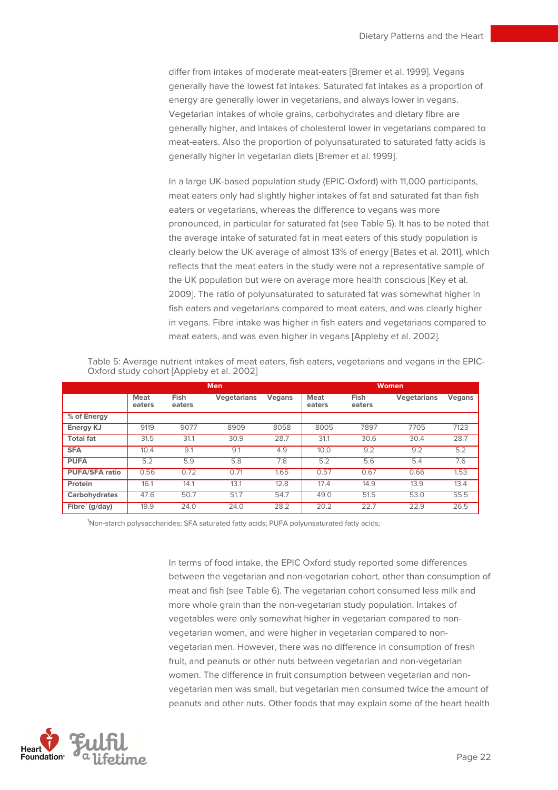differ from intakes of moderate meat-eaters [Bremer et al. 1999]. Vegans generally have the lowest fat intakes. Saturated fat intakes as a proportion of energy are generally lower in vegetarians, and always lower in vegans. Vegetarian intakes of whole grains, carbohydrates and dietary fibre are generally higher, and intakes of cholesterol lower in vegetarians compared to meat-eaters. Also the proportion of polyunsaturated to saturated fatty acids is generally higher in vegetarian diets [Bremer et al. 1999].

In a large UK-based population study (EPIC-Oxford) with 11,000 participants, meat eaters only had slightly higher intakes of fat and saturated fat than fish eaters or vegetarians, whereas the difference to vegans was more pronounced, in particular for saturated fat (see Table 5). It has to be noted that the average intake of saturated fat in meat eaters of this study population is clearly below the UK average of almost 13% of energy [Bates et al. 2011], which reflects that the meat eaters in the study were not a representative sample of the UK population but were on average more health conscious [Key et al. 2009]. The ratio of polyunsaturated to saturated fat was somewhat higher in fish eaters and vegetarians compared to meat eaters, and was clearly higher in vegans. Fibre intake was higher in fish eaters and vegetarians compared to meat eaters, and was even higher in vegans [Appleby et al. 2002].

|                       |                       |                | <b>Men</b>         |               |                       |                       | <b>Women</b>       |        |
|-----------------------|-----------------------|----------------|--------------------|---------------|-----------------------|-----------------------|--------------------|--------|
|                       | <b>Meat</b><br>eaters | Fish<br>eaters | <b>Vegetarians</b> | <b>Vegans</b> | <b>Meat</b><br>eaters | <b>Fish</b><br>eaters | <b>Vegetarians</b> | Vegans |
| % of Energy           |                       |                |                    |               |                       |                       |                    |        |
| <b>Energy KJ</b>      | 9119                  | 9077           | 8909               | 8058          | 8005                  | 7897                  | 7705               | 7123   |
| <b>Total fat</b>      | 31.5                  | 31.1           | 30.9               | 28.7          | 31.1                  | 30.6                  | 30.4               | 28.7   |
| <b>SFA</b>            | 10.4                  | 9.1            | 9.1                | 4.9           | 10.0                  | 9.2                   | 9.2                | 5.2    |
| <b>PUFA</b>           | 5.2                   | 5.9            | 5.8                | 7.8           | 5.2                   | 5.6                   | 5.4                | 7.6    |
| <b>PUFA/SFA ratio</b> | 0.56                  | 0.72           | 0.71               | 1.65          | 0.57                  | 0.67                  | 0.66               | 1.53   |
| Protein               | 16.1                  | 14.1           | 13.1               | 12.8          | 17.4                  | 14.9                  | 13.9               | 13.4   |
| Carbohydrates         | 47.6                  | 50.7           | 51.7               | 54.7          | 49.0                  | 51.5                  | 53.0               | 55.5   |
| Fibre $(g/day)$       | 19.9                  | 24.0           | 24.0               | 28.2          | 20.2                  | 22.7                  | 22.9               | 26.5   |

Table 5: Average nutrient intakes of meat eaters, fish eaters, vegetarians and vegans in the EPIC-Oxford study cohort [Appleby et al. 2002]

<sup>1</sup>Non-starch polysaccharides; SFA saturated fatty acids; PUFA polyunsaturated fatty acids;

In terms of food intake, the EPIC Oxford study reported some differences between the vegetarian and non-vegetarian cohort, other than consumption of meat and fish (see Table 6). The vegetarian cohort consumed less milk and more whole grain than the non-vegetarian study population. Intakes of vegetables were only somewhat higher in vegetarian compared to nonvegetarian women, and were higher in vegetarian compared to nonvegetarian men. However, there was no difference in consumption of fresh fruit, and peanuts or other nuts between vegetarian and non-vegetarian women. The difference in fruit consumption between vegetarian and nonvegetarian men was small, but vegetarian men consumed twice the amount of peanuts and other nuts. Other foods that may explain some of the heart health

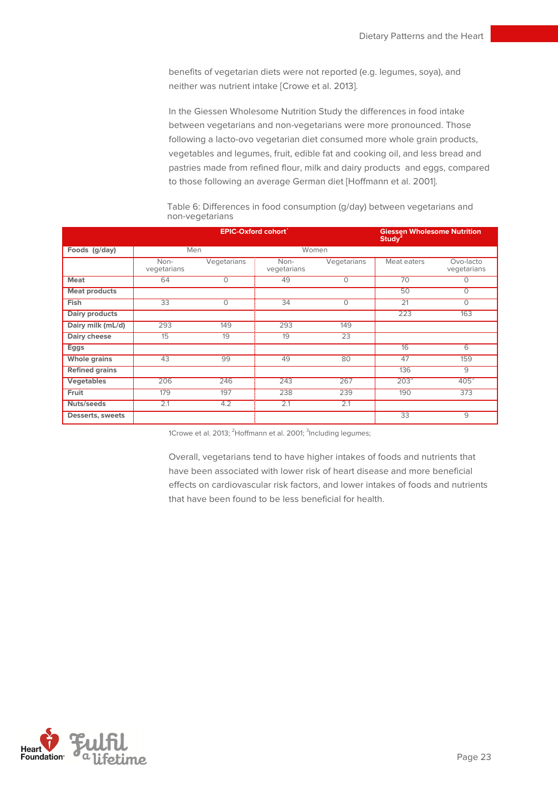benefits of vegetarian diets were not reported (e.g. legumes, soya), and neither was nutrient intake [Crowe et al. 2013].

In the Giessen Wholesome Nutrition Study the differences in food intake between vegetarians and non-vegetarians were more pronounced. Those following a lacto-ovo vegetarian diet consumed more whole grain products, vegetables and legumes, fruit, edible fat and cooking oil, and less bread and pastries made from refined flour, milk and dairy products and eggs, compared to those following an average German diet [Hoffmann et al. 2001].

|                       |                     | <b>EPIC-Oxford cohort'</b> |                     |             | <b>Giessen Wholesome Nutrition</b><br>Studv <sup>2</sup> |                          |
|-----------------------|---------------------|----------------------------|---------------------|-------------|----------------------------------------------------------|--------------------------|
| Foods (g/day)         | Men                 |                            | Women               |             |                                                          |                          |
|                       | Non-<br>vegetarians | Vegetarians                | Non-<br>vegetarians | Vegetarians | Meat eaters                                              | Ovo-lacto<br>vegetarians |
| <b>Meat</b>           | 64                  | 0                          | 49                  | $\Omega$    | 70                                                       | $\Omega$                 |
| <b>Meat products</b>  |                     |                            |                     |             | 50                                                       | $\Omega$                 |
| Fish                  | 33                  | 0                          | 34                  | $\Omega$    | $\overline{21}$                                          | $\Omega$                 |
| <b>Dairy products</b> |                     |                            |                     |             | 223                                                      | 163                      |
| Dairy milk (mL/d)     | 293                 | 149                        | 293                 | 149         |                                                          |                          |
| Dairy cheese          | 15                  | 19                         | 19                  | 23          |                                                          |                          |
| Eggs                  |                     |                            |                     |             | 16                                                       | 6                        |
| <b>Whole grains</b>   | 43                  | 99                         | 49                  | 80          | 47                                                       | 159                      |
| <b>Refined grains</b> |                     |                            |                     |             | 136                                                      | 9                        |
| <b>Vegetables</b>     | 206                 | 246                        | 243                 | 267         | 203 <sup>3</sup>                                         | 405 <sup>3</sup>         |
| Fruit                 | 179                 | 197                        | 238                 | 239         | 190                                                      | 373                      |
| Nuts/seeds            | 2.1                 | 4.2                        | 2.1                 | 2.1         |                                                          |                          |
| Desserts, sweets      |                     |                            |                     |             | 33                                                       | $\overline{9}$           |

Table 6: Differences in food consumption (g/day) between vegetarians and non-vegetarians

1Crowe et al. 2013; <sup>2</sup>Hoffmann et al. 2001; <sup>3</sup>Including legumes;

Overall, vegetarians tend to have higher intakes of foods and nutrients that have been associated with lower risk of heart disease and more beneficial effects on cardiovascular risk factors, and lower intakes of foods and nutrients that have been found to be less beneficial for health.

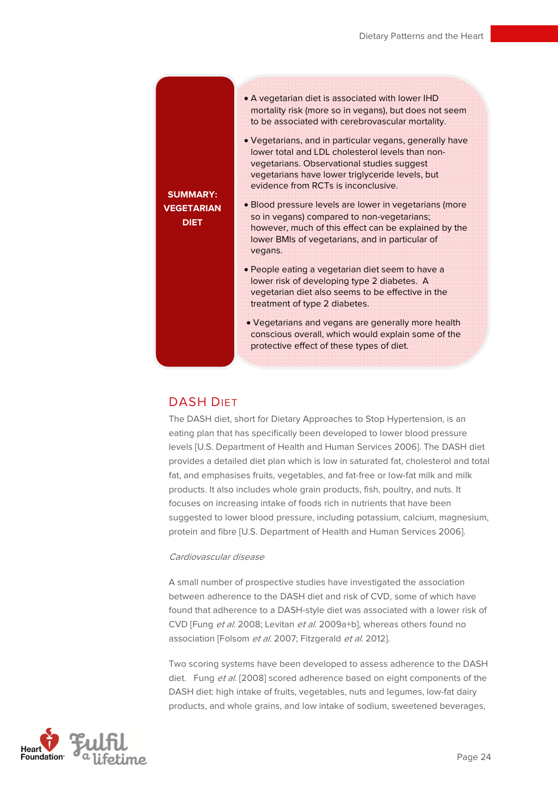## **SUMMARY: VEGETARIAN DIET**

- A vegetarian diet is associated with lower IHD mortality risk (more so in vegans), but does not seem to be associated with cerebrovascular mortality.
- Vegetarians, and in particular vegans, generally have lower total and LDL cholesterol levels than nonvegetarians. Observational studies suggest vegetarians have lower triglyceride levels, but evidence from RCTs is inconclusive.
- Blood pressure levels are lower in vegetarians (more so in vegans) compared to non-vegetarians; however, much of this effect can be explained by the lower BMIs of vegetarians, and in particular of vegans.
	- People eating a vegetarian diet seem to have a lower risk of developing type 2 diabetes. A vegetarian diet also seems to be effective in the treatment of type 2 diabetes.
	- Vegetarians and vegans are generally more health conscious overall, which would explain some of the protective effect of these types of diet.

## DASH DIET

The DASH diet, short for Dietary Approaches to Stop Hypertension, is an eating plan that has specifically been developed to lower blood pressure levels [U.S. Department of Health and Human Services 2006]. The DASH diet provides a detailed diet plan which is low in saturated fat, cholesterol and total fat, and emphasises fruits, vegetables, and fat-free or low-fat milk and milk products. It also includes whole grain products, fish, poultry, and nuts. It focuses on increasing intake of foods rich in nutrients that have been suggested to lower blood pressure, including potassium, calcium, magnesium, protein and fibre [U.S. Department of Health and Human Services 2006].

#### Cardiovascular disease

A small number of prospective studies have investigated the association between adherence to the DASH diet and risk of CVD, some of which have found that adherence to a DASH-style diet was associated with a lower risk of CVD [Fung et al. 2008; Levitan et al. 2009a+b], whereas others found no association [Folsom et al. 2007; Fitzgerald et al. 2012].

Two scoring systems have been developed to assess adherence to the DASH diet. Fung et al. [2008] scored adherence based on eight components of the DASH diet: high intake of fruits, vegetables, nuts and legumes, low-fat dairy products, and whole grains, and low intake of sodium, sweetened beverages,

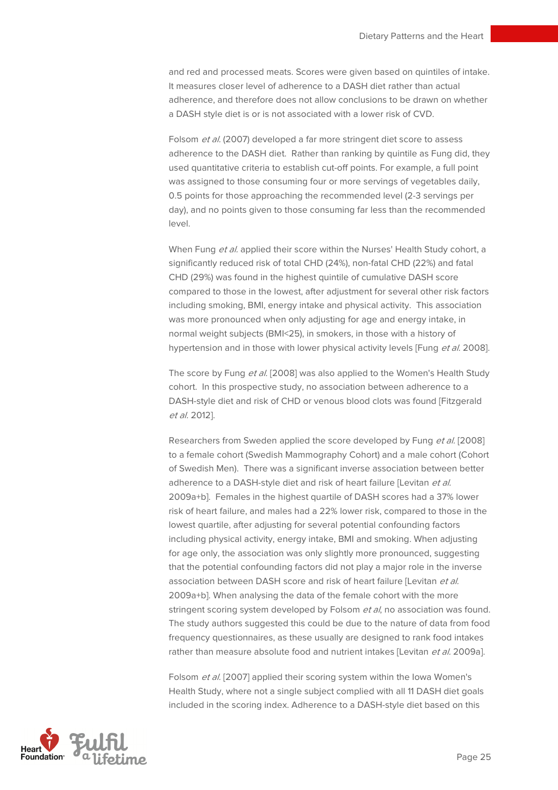and red and processed meats. Scores were given based on quintiles of intake. It measures closer level of adherence to a DASH diet rather than actual adherence, and therefore does not allow conclusions to be drawn on whether a DASH style diet is or is not associated with a lower risk of CVD.

Folsom et al. (2007) developed a far more stringent diet score to assess adherence to the DASH diet. Rather than ranking by quintile as Fung did, they used quantitative criteria to establish cut-off points. For example, a full point was assigned to those consuming four or more servings of vegetables daily, 0.5 points for those approaching the recommended level (2-3 servings per day), and no points given to those consuming far less than the recommended level.

When Fung et al. applied their score within the Nurses' Health Study cohort, a significantly reduced risk of total CHD (24%), non-fatal CHD (22%) and fatal CHD (29%) was found in the highest quintile of cumulative DASH score compared to those in the lowest, after adjustment for several other risk factors including smoking, BMI, energy intake and physical activity. This association was more pronounced when only adjusting for age and energy intake, in normal weight subjects (BMI<25), in smokers, in those with a history of hypertension and in those with lower physical activity levels [Fung et al. 2008].

The score by Fung et al. [2008] was also applied to the Women's Health Study cohort. In this prospective study, no association between adherence to a DASH-style diet and risk of CHD or venous blood clots was found [Fitzgerald et al. 2012].

Researchers from Sweden applied the score developed by Fung et al. [2008] to a female cohort (Swedish Mammography Cohort) and a male cohort (Cohort of Swedish Men). There was a significant inverse association between better adherence to a DASH-style diet and risk of heart failure [Levitan et al. 2009a+b]. Females in the highest quartile of DASH scores had a 37% lower risk of heart failure, and males had a 22% lower risk, compared to those in the lowest quartile, after adjusting for several potential confounding factors including physical activity, energy intake, BMI and smoking. When adjusting for age only, the association was only slightly more pronounced, suggesting that the potential confounding factors did not play a major role in the inverse association between DASH score and risk of heart failure [Levitan et al. 2009a+b]. When analysing the data of the female cohort with the more stringent scoring system developed by Folsom et al, no association was found. The study authors suggested this could be due to the nature of data from food frequency questionnaires, as these usually are designed to rank food intakes rather than measure absolute food and nutrient intakes [Levitan et al. 2009a].

Folsom et al. [2007] applied their scoring system within the Iowa Women's Health Study, where not a single subject complied with all 11 DASH diet goals included in the scoring index. Adherence to a DASH-style diet based on this

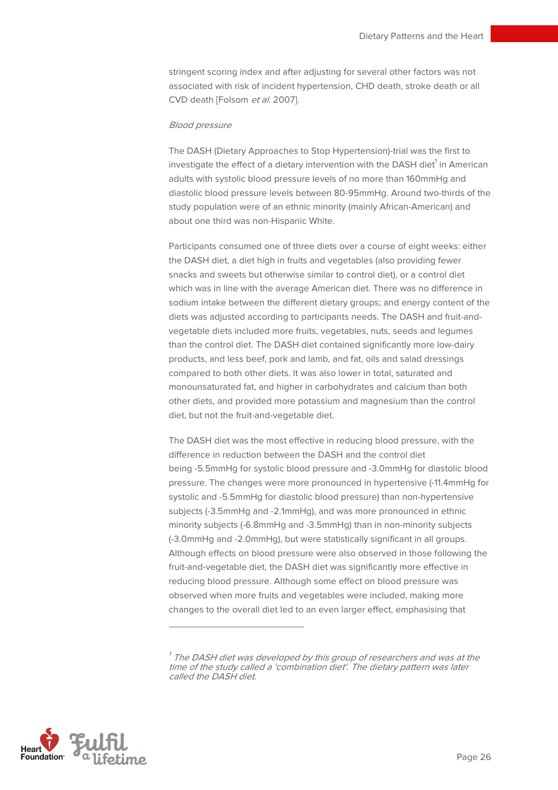stringent scoring index and after adjusting for several other factors was not associated with risk of incident hypertension, CHD death, stroke death or all CVD death [Folsom et al. 2007].

#### Blood pressure

The DASH (Dietary Approaches to Stop Hypertension)-trial was the first to investigate the effect of a dietary intervention with the DASH diet $^{\rm 1}$  in American adults with systolic blood pressure levels of no more than 160mmHg and diastolic blood pressure levels between 80-95mmHg. Around two-thirds of the study population were of an ethnic minority (mainly African-American) and about one third was non-Hispanic White.

Participants consumed one of three diets over a course of eight weeks: either the DASH diet, a diet high in fruits and vegetables (also providing fewer snacks and sweets but otherwise similar to control diet), or a control diet which was in line with the average American diet. There was no difference in sodium intake between the different dietary groups; and energy content of the diets was adjusted according to participants needs. The DASH and fruit-andvegetable diets included more fruits, vegetables, nuts, seeds and legumes than the control diet. The DASH diet contained significantly more low-dairy products, and less beef, pork and lamb, and fat, oils and salad dressings compared to both other diets. It was also lower in total, saturated and monounsaturated fat, and higher in carbohydrates and calcium than both other diets, and provided more potassium and magnesium than the control diet, but not the fruit-and-vegetable diet.

The DASH diet was the most effective in reducing blood pressure, with the difference in reduction between the DASH and the control diet being -5.5mmHg for systolic blood pressure and -3.0mmHg for diastolic blood pressure. The changes were more pronounced in hypertensive (-11.4mmHg for systolic and -5.5mmHg for diastolic blood pressure) than non-hypertensive subjects (-3.5mmHg and -2.1mmHg), and was more pronounced in ethnic minority subjects (-6.8mmHg and -3.5mmHg) than in non-minority subjects (-3.0mmHg and -2.0mmHg), but were statistically significant in all groups. Although effects on blood pressure were also observed in those following the fruit-and-vegetable diet, the DASH diet was significantly more effective in reducing blood pressure. Although some effect on blood pressure was observed when more fruits and vegetables were included, making more changes to the overall diet led to an even larger effect, emphasising that



 $\overline{a}$ 

 $^\prime$  The DASH diet was developed by this group of researchers and was at the time of the study called a 'combination diet'. The dietary pattern was later called the DASH diet.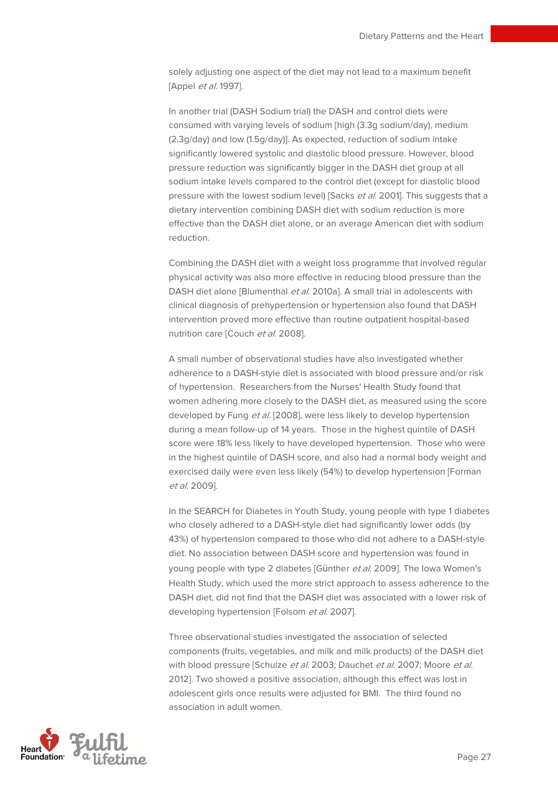solely adjusting one aspect of the diet may not lead to a maximum benefit [Appel et al. 1997].

In another trial (DASH Sodium trial) the DASH and control diets were consumed with varying levels of sodium [high (3.3g sodium/day), medium (2.3g/day) and low (1.5g/day)]. As expected, reduction of sodium intake significantly lowered systolic and diastolic blood pressure. However, blood pressure reduction was significantly bigger in the DASH diet group at all sodium intake levels compared to the control diet (except for diastolic blood pressure with the lowest sodium level) [Sacks et al. 2001]. This suggests that a dietary intervention combining DASH diet with sodium reduction is more effective than the DASH diet alone, or an average American diet with sodium reduction.

Combining the DASH diet with a weight loss programme that involved regular physical activity was also more effective in reducing blood pressure than the DASH diet alone [Blumenthal et al. 2010a]. A small trial in adolescents with clinical diagnosis of prehypertension or hypertension also found that DASH intervention proved more effective than routine outpatient hospital-based nutrition care [Couch et al. 2008].

A small number of observational studies have also investigated whether adherence to a DASH-style diet is associated with blood pressure and/or risk of hypertension. Researchers from the Nurses' Health Study found that women adhering more closely to the DASH diet, as measured using the score developed by Fung et al. [2008], were less likely to develop hypertension during a mean follow-up of 14 years. Those in the highest quintile of DASH score were 18% less likely to have developed hypertension. Those who were in the highest quintile of DASH score, and also had a normal body weight and exercised daily were even less likely (54%) to develop hypertension [Forman et al. 2009].

In the SEARCH for Diabetes in Youth Study, young people with type 1 diabetes who closely adhered to a DASH-style diet had significantly lower odds (by 43%) of hypertension compared to those who did not adhere to a DASH-style diet. No association between DASH score and hypertension was found in young people with type 2 diabetes [Günther et al. 2009]. The Iowa Women's Health Study, which used the more strict approach to assess adherence to the DASH diet, did not find that the DASH diet was associated with a lower risk of developing hypertension [Folsom et al. 2007].

Three observational studies investigated the association of selected components (fruits, vegetables, and milk and milk products) of the DASH diet with blood pressure [Schulze et al. 2003; Dauchet et al. 2007; Moore et al. 2012]. Two showed a positive association, although this effect was lost in adolescent girls once results were adjusted for BMI. The third found no association in adult women.

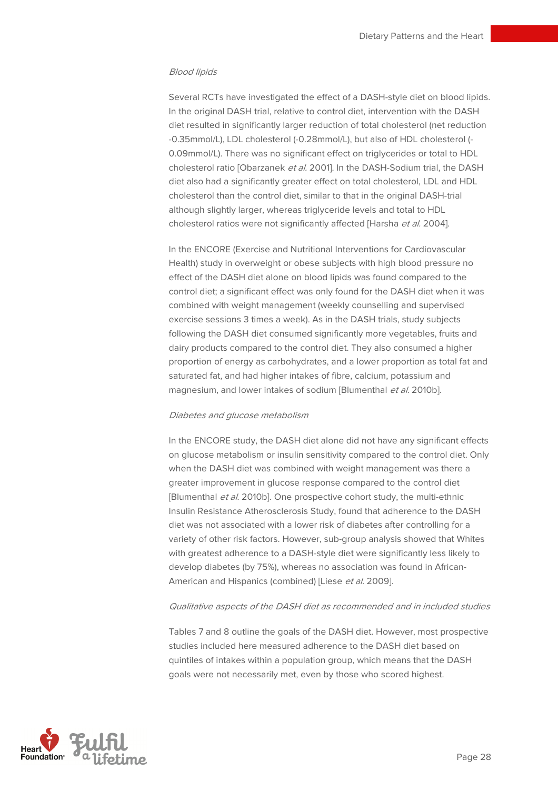#### Blood lipids

Several RCTs have investigated the effect of a DASH-style diet on blood lipids. In the original DASH trial, relative to control diet, intervention with the DASH diet resulted in significantly larger reduction of total cholesterol (net reduction -0.35mmol/L), LDL cholesterol (-0.28mmol/L), but also of HDL cholesterol (- 0.09mmol/L). There was no significant effect on triglycerides or total to HDL cholesterol ratio [Obarzanek et al. 2001]. In the DASH-Sodium trial, the DASH diet also had a significantly greater effect on total cholesterol, LDL and HDL cholesterol than the control diet, similar to that in the original DASH-trial although slightly larger, whereas triglyceride levels and total to HDL cholesterol ratios were not significantly affected [Harsha et al. 2004].

In the ENCORE (Exercise and Nutritional Interventions for Cardiovascular Health) study in overweight or obese subjects with high blood pressure no effect of the DASH diet alone on blood lipids was found compared to the control diet; a significant effect was only found for the DASH diet when it was combined with weight management (weekly counselling and supervised exercise sessions 3 times a week). As in the DASH trials, study subjects following the DASH diet consumed significantly more vegetables, fruits and dairy products compared to the control diet. They also consumed a higher proportion of energy as carbohydrates, and a lower proportion as total fat and saturated fat, and had higher intakes of fibre, calcium, potassium and magnesium, and lower intakes of sodium [Blumenthal et al. 2010b].

#### Diabetes and glucose metabolism

In the ENCORE study, the DASH diet alone did not have any significant effects on glucose metabolism or insulin sensitivity compared to the control diet. Only when the DASH diet was combined with weight management was there a greater improvement in glucose response compared to the control diet [Blumenthal et al. 2010b]. One prospective cohort study, the multi-ethnic Insulin Resistance Atherosclerosis Study, found that adherence to the DASH diet was not associated with a lower risk of diabetes after controlling for a variety of other risk factors. However, sub-group analysis showed that Whites with greatest adherence to a DASH-style diet were significantly less likely to develop diabetes (by 75%), whereas no association was found in African-American and Hispanics (combined) [Liese et al. 2009].

#### Qualitative aspects of the DASH diet as recommended and in included studies

Tables 7 and 8 outline the goals of the DASH diet. However, most prospective studies included here measured adherence to the DASH diet based on quintiles of intakes within a population group, which means that the DASH goals were not necessarily met, even by those who scored highest.

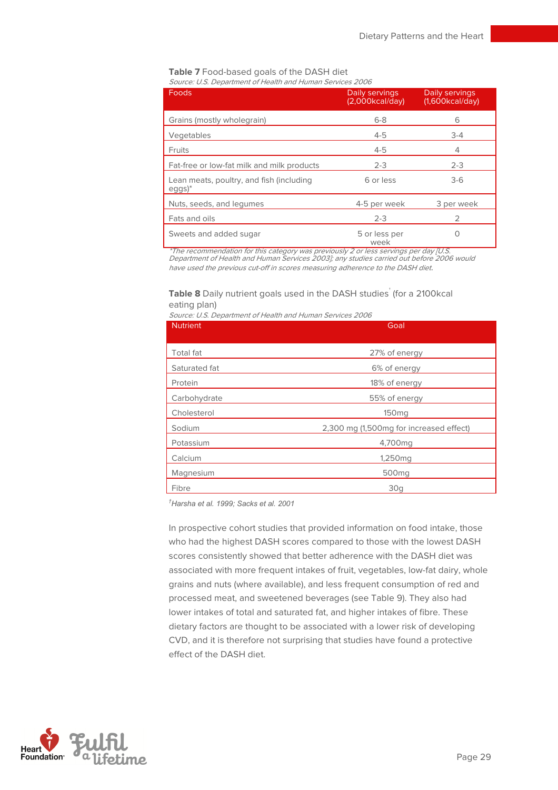#### **Table 7** Food-based goals of the DASH diet Source: U.S. Department of Health and Human Services 2006

| Foods                                                | Daily servings<br>(2,000kcal/day) | Daily servings<br>(1,600kcal/day) |
|------------------------------------------------------|-----------------------------------|-----------------------------------|
| Grains (mostly wholegrain)                           | $6 - 8$                           | 6                                 |
| Vegetables                                           | $4 - 5$                           | $3 - 4$                           |
| <b>Fruits</b>                                        | $4 - 5$                           | 4                                 |
| Fat-free or low-fat milk and milk products           | $2 - 3$                           | $2 - 3$                           |
| Lean meats, poultry, and fish (including<br>$eggs)*$ | 6 or less                         | $3-6$                             |
| Nuts, seeds, and lequmes                             | 4-5 per week                      | 3 per week                        |
| Fats and oils                                        | $2 - 3$                           |                                   |
| Sweets and added sugar                               | 5 or less per<br>week             |                                   |

\*The recommendation for this category was previously 2 or less servings per day [U.S. Department of Health and Human Services 2003]; any studies carried out before 2006 would have used the previous cut-off in scores measuring adherence to the DASH diet.

#### **Table 8** Daily nutrient goals used in the DASH studies<sup>†</sup> (for a 2100kcal eating plan)

|  | Source: U.S. Department of Health and Human Services 2006 |  |  |
|--|-----------------------------------------------------------|--|--|

| <b>Nutrient</b>  | Goal                                    |  |  |
|------------------|-----------------------------------------|--|--|
|                  |                                         |  |  |
| <b>Total fat</b> | 27% of energy                           |  |  |
| Saturated fat    | 6% of energy                            |  |  |
| Protein          | 18% of energy                           |  |  |
| Carbohydrate     | 55% of energy                           |  |  |
| Cholesterol      | 150 <sub>mg</sub>                       |  |  |
| Sodium           | 2,300 mg (1,500mg for increased effect) |  |  |
| Potassium        | 4,700mg                                 |  |  |
| Calcium          | 1,250 <sub>mg</sub>                     |  |  |
| Magnesium        | 500 <sub>mq</sub>                       |  |  |
| Fibre            | 30q                                     |  |  |

 $<sup>†</sup>$ Harsha et al. 1999: Sacks et al. 2001</sup>

In prospective cohort studies that provided information on food intake, those who had the highest DASH scores compared to those with the lowest DASH scores consistently showed that better adherence with the DASH diet was associated with more frequent intakes of fruit, vegetables, low-fat dairy, whole grains and nuts (where available), and less frequent consumption of red and processed meat, and sweetened beverages (see Table 9). They also had lower intakes of total and saturated fat, and higher intakes of fibre. These dietary factors are thought to be associated with a lower risk of developing CVD, and it is therefore not surprising that studies have found a protective effect of the DASH diet.

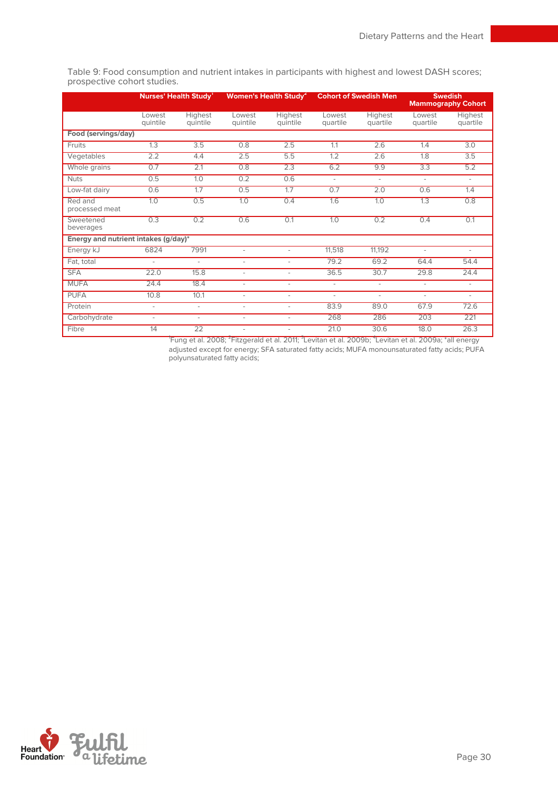**Nurses' Health Study<sup>1</sup> Women's Health Study<sup>2</sup> Cohort of Swedish Men Swedish Mammography Cohort**  Lowest quintile **Highest** quintile Lowest quintile **Highest** quintile Lowest quartile **Highest** quartile Lowest quartile **Highest** quartile **Food (servings/day)** Fruits 1.3 3.5 0.8 2.5 1.1 2.6 1.4 3.0 Vegetables 2.2 4.4 2.5 5.5 1.2 2.6 1.8 3.5 Whole grains 0.7 2.1 0.8 2.3 6.2 9.9 3.3 5.2 Nuts 0.5 1.0 0.2 0.6 - - - - Low-fat dairy 0.6 1.7 0.5 1.7 0.7 2.0 0.6 1.4 Red and processed meat 1.0 0.5 1.0 0.4 1.6 1.0 1.3 0.8 **Sweetened** beverages 0.3 0.2 0.6 0.1 1.0 0.2 0.4 0.1 **Energy and nutrient intakes (g/day)\*** Energy kJ 6824 7991 - - 11,518 11,192 - - Fat, total - - - - 79.2 69.2 64.4 54.4

SFA 22.0 15.8 - - 36.5 30.7 29.8 24.4 MUFA 24.4 18.4 - - - - - - PUFA 10.8 10.1 - - - - - - Protein **- - - - - - - - - 83.9 89.0 67.9 72.6** Carbohydrate - - - - - - - - - - 268 286 203 221 Fibre 14 22 - - 21.0 30.6 18.0 26.3

Table 9: Food consumption and nutrient intakes in participants with highest and lowest DASH scores; prospective cohort studies.

> 'Fung et al. 2008; <sup>2</sup>Fitzgerald et al. 2011; <sup>3</sup>Levitan et al. 2009b; <sup>4</sup>Levitan et al. 2009a; \*all energy adjusted except for energy; SFA saturated fatty acids; MUFA monounsaturated fatty acids; PUFA polyunsaturated fatty acids;

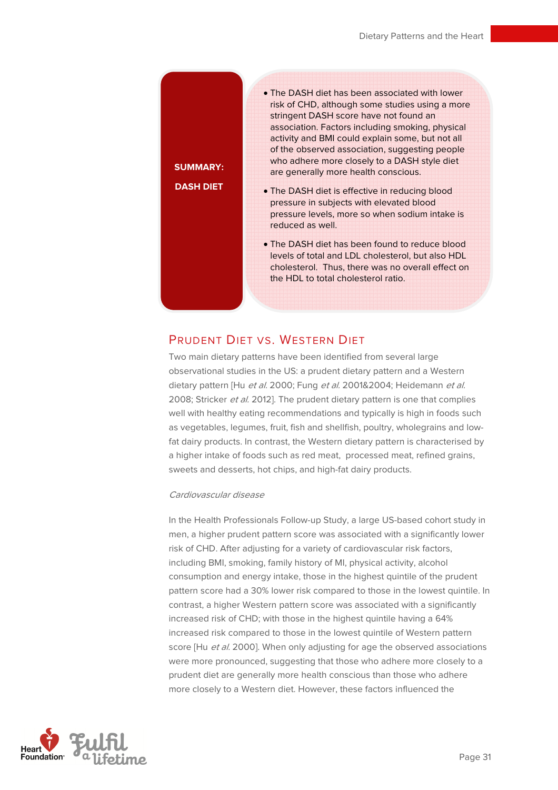**SUMMARY: DASH DIET** 

- The DASH diet has been associated with lower risk of CHD, although some studies using a more stringent DASH score have not found an association. Factors including smoking, physical activity and BMI could explain some, but not all of the observed association, suggesting people who adhere more closely to a DASH style diet are generally more health conscious.
- The DASH diet is effective in reducing blood pressure in subjects with elevated blood pressure levels, more so when sodium intake is reduced as well.
- The DASH diet has been found to reduce blood levels of total and LDL cholesterol, but also HDL cholesterol. Thus, there was no overall effect on the HDL to total cholesterol ratio.

## PRUDENT DIET VS. WESTERN DIET

Two main dietary patterns have been identified from several large observational studies in the US: a prudent dietary pattern and a Western dietary pattern [Hu et al. 2000; Fung et al. 2001&2004; Heidemann et al. 2008; Stricker et al. 2012]. The prudent dietary pattern is one that complies well with healthy eating recommendations and typically is high in foods such as vegetables, legumes, fruit, fish and shellfish, poultry, wholegrains and lowfat dairy products. In contrast, the Western dietary pattern is characterised by a higher intake of foods such as red meat, processed meat, refined grains, sweets and desserts, hot chips, and high-fat dairy products.

#### Cardiovascular disease

In the Health Professionals Follow-up Study, a large US-based cohort study in men, a higher prudent pattern score was associated with a significantly lower risk of CHD. After adjusting for a variety of cardiovascular risk factors, including BMI, smoking, family history of MI, physical activity, alcohol consumption and energy intake, those in the highest quintile of the prudent pattern score had a 30% lower risk compared to those in the lowest quintile. In contrast, a higher Western pattern score was associated with a significantly increased risk of CHD; with those in the highest quintile having a 64% increased risk compared to those in the lowest quintile of Western pattern score [Hu et al. 2000]. When only adjusting for age the observed associations were more pronounced, suggesting that those who adhere more closely to a prudent diet are generally more health conscious than those who adhere more closely to a Western diet. However, these factors influenced the

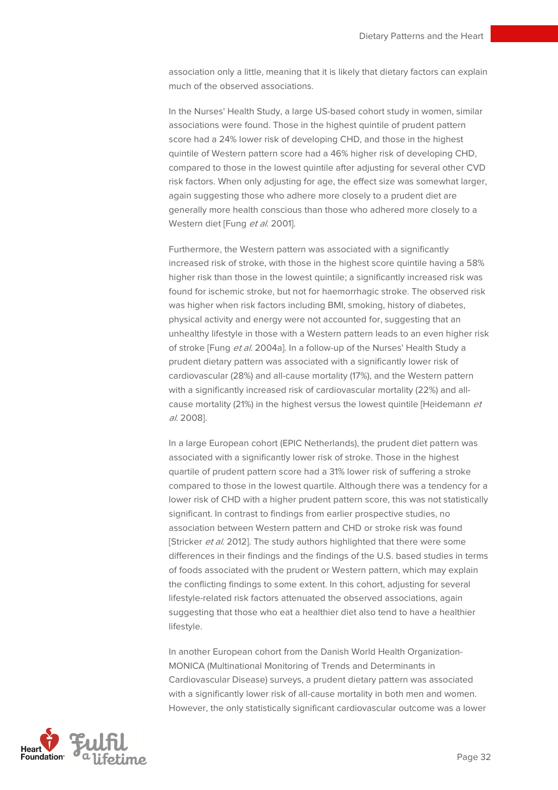association only a little, meaning that it is likely that dietary factors can explain much of the observed associations.

In the Nurses' Health Study, a large US-based cohort study in women, similar associations were found. Those in the highest quintile of prudent pattern score had a 24% lower risk of developing CHD, and those in the highest quintile of Western pattern score had a 46% higher risk of developing CHD, compared to those in the lowest quintile after adjusting for several other CVD risk factors. When only adjusting for age, the effect size was somewhat larger, again suggesting those who adhere more closely to a prudent diet are generally more health conscious than those who adhered more closely to a Western diet [Fung et al. 2001].

Furthermore, the Western pattern was associated with a significantly increased risk of stroke, with those in the highest score quintile having a 58% higher risk than those in the lowest quintile; a significantly increased risk was found for ischemic stroke, but not for haemorrhagic stroke. The observed risk was higher when risk factors including BMI, smoking, history of diabetes, physical activity and energy were not accounted for, suggesting that an unhealthy lifestyle in those with a Western pattern leads to an even higher risk of stroke [Fung et al. 2004a]. In a follow-up of the Nurses' Health Study a prudent dietary pattern was associated with a significantly lower risk of cardiovascular (28%) and all-cause mortality (17%), and the Western pattern with a significantly increased risk of cardiovascular mortality (22%) and allcause mortality (21%) in the highest versus the lowest quintile [Heidemann et al. 2008].

In a large European cohort (EPIC Netherlands), the prudent diet pattern was associated with a significantly lower risk of stroke. Those in the highest quartile of prudent pattern score had a 31% lower risk of suffering a stroke compared to those in the lowest quartile. Although there was a tendency for a lower risk of CHD with a higher prudent pattern score, this was not statistically significant. In contrast to findings from earlier prospective studies, no association between Western pattern and CHD or stroke risk was found [Stricker et al. 2012]. The study authors highlighted that there were some differences in their findings and the findings of the U.S. based studies in terms of foods associated with the prudent or Western pattern, which may explain the conflicting findings to some extent. In this cohort, adjusting for several lifestyle-related risk factors attenuated the observed associations, again suggesting that those who eat a healthier diet also tend to have a healthier lifestyle.

In another European cohort from the Danish World Health Organization-MONICA (Multinational Monitoring of Trends and Determinants in Cardiovascular Disease) surveys, a prudent dietary pattern was associated with a significantly lower risk of all-cause mortality in both men and women. However, the only statistically significant cardiovascular outcome was a lower

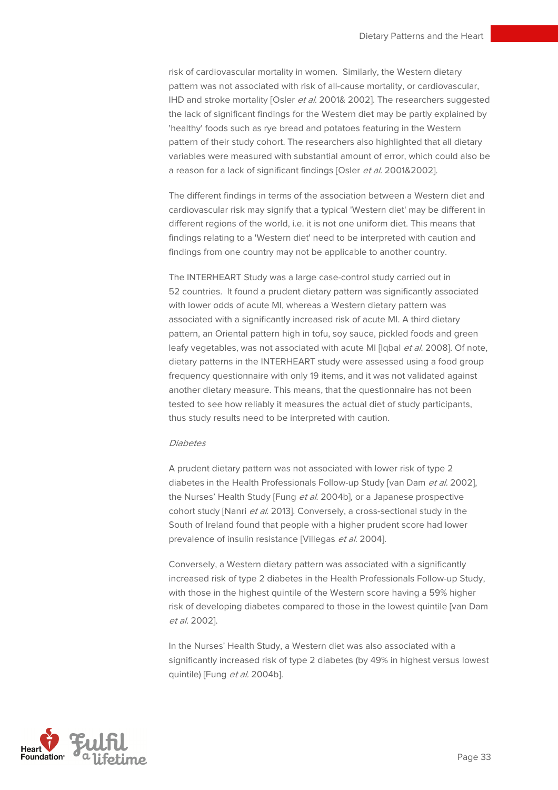risk of cardiovascular mortality in women. Similarly, the Western dietary pattern was not associated with risk of all-cause mortality, or cardiovascular, IHD and stroke mortality [Osler et al. 2001& 2002]. The researchers suggested the lack of significant findings for the Western diet may be partly explained by 'healthy' foods such as rye bread and potatoes featuring in the Western pattern of their study cohort. The researchers also highlighted that all dietary variables were measured with substantial amount of error, which could also be a reason for a lack of significant findings [Osler et al. 2001&2002].

The different findings in terms of the association between a Western diet and cardiovascular risk may signify that a typical 'Western diet' may be different in different regions of the world, i.e. it is not one uniform diet. This means that findings relating to a 'Western diet' need to be interpreted with caution and findings from one country may not be applicable to another country.

The INTERHEART Study was a large case-control study carried out in 52 countries. It found a prudent dietary pattern was significantly associated with lower odds of acute MI, whereas a Western dietary pattern was associated with a significantly increased risk of acute MI. A third dietary pattern, an Oriental pattern high in tofu, soy sauce, pickled foods and green leafy vegetables, was not associated with acute MI [Iqbal et al. 2008]. Of note, dietary patterns in the INTERHEART study were assessed using a food group frequency questionnaire with only 19 items, and it was not validated against another dietary measure. This means, that the questionnaire has not been tested to see how reliably it measures the actual diet of study participants, thus study results need to be interpreted with caution.

#### **Diahetes**

A prudent dietary pattern was not associated with lower risk of type 2 diabetes in the Health Professionals Follow-up Study [van Dam et al. 2002], the Nurses' Health Study [Fung et al. 2004b], or a Japanese prospective cohort study [Nanri et al. 2013]. Conversely, a cross-sectional study in the South of Ireland found that people with a higher prudent score had lower prevalence of insulin resistance [Villegas et al. 2004].

Conversely, a Western dietary pattern was associated with a significantly increased risk of type 2 diabetes in the Health Professionals Follow-up Study, with those in the highest quintile of the Western score having a 59% higher risk of developing diabetes compared to those in the lowest quintile [van Dam et al. 2002].

In the Nurses' Health Study, a Western diet was also associated with a significantly increased risk of type 2 diabetes (by 49% in highest versus lowest quintile) [Fung et al. 2004b].

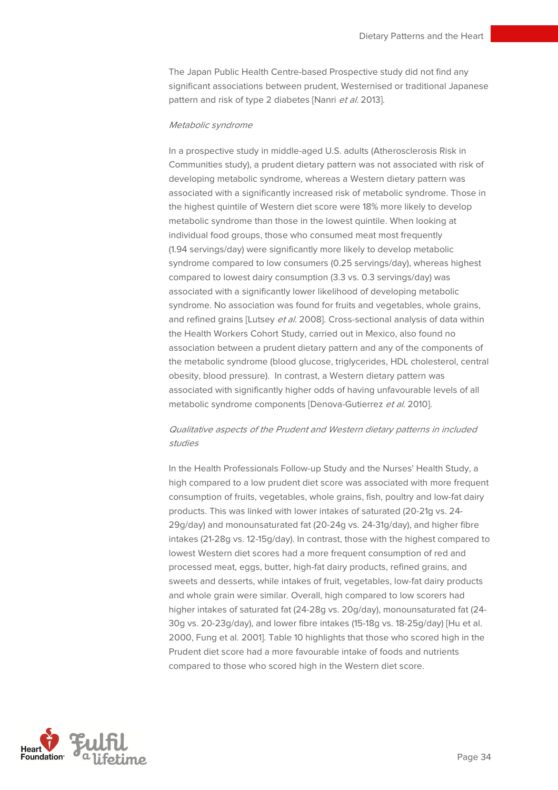The Japan Public Health Centre-based Prospective study did not find any significant associations between prudent, Westernised or traditional Japanese pattern and risk of type 2 diabetes [Nanri et al. 2013].

#### Metabolic syndrome

In a prospective study in middle-aged U.S. adults (Atherosclerosis Risk in Communities study), a prudent dietary pattern was not associated with risk of developing metabolic syndrome, whereas a Western dietary pattern was associated with a significantly increased risk of metabolic syndrome. Those in the highest quintile of Western diet score were 18% more likely to develop metabolic syndrome than those in the lowest quintile. When looking at individual food groups, those who consumed meat most frequently (1.94 servings/day) were significantly more likely to develop metabolic syndrome compared to low consumers (0.25 servings/day), whereas highest compared to lowest dairy consumption (3.3 vs. 0.3 servings/day) was associated with a significantly lower likelihood of developing metabolic syndrome. No association was found for fruits and vegetables, whole grains, and refined grains [Lutsey et al. 2008]. Cross-sectional analysis of data within the Health Workers Cohort Study, carried out in Mexico, also found no association between a prudent dietary pattern and any of the components of the metabolic syndrome (blood glucose, triglycerides, HDL cholesterol, central obesity, blood pressure). In contrast, a Western dietary pattern was associated with significantly higher odds of having unfavourable levels of all metabolic syndrome components [Denova-Gutierrez et al. 2010].

#### Qualitative aspects of the Prudent and Western dietary patterns in included studies

In the Health Professionals Follow-up Study and the Nurses' Health Study, a high compared to a low prudent diet score was associated with more frequent consumption of fruits, vegetables, whole grains, fish, poultry and low-fat dairy products. This was linked with lower intakes of saturated (20-21g vs. 24- 29g/day) and monounsaturated fat (20-24g vs. 24-31g/day), and higher fibre intakes (21-28g vs. 12-15g/day). In contrast, those with the highest compared to lowest Western diet scores had a more frequent consumption of red and processed meat, eggs, butter, high-fat dairy products, refined grains, and sweets and desserts, while intakes of fruit, vegetables, low-fat dairy products and whole grain were similar. Overall, high compared to low scorers had higher intakes of saturated fat (24-28g vs. 20g/day), monounsaturated fat (24- 30g vs. 20-23g/day), and lower fibre intakes (15-18g vs. 18-25g/day) [Hu et al. 2000, Fung et al. 2001]. Table 10 highlights that those who scored high in the Prudent diet score had a more favourable intake of foods and nutrients compared to those who scored high in the Western diet score.

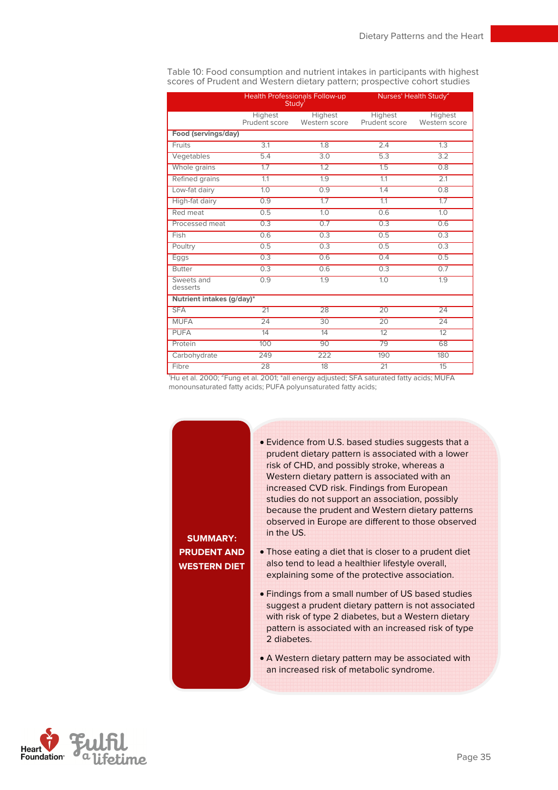|                           |                          | Health Professionals Follow-up<br>Study <sup>1</sup> |                          | Nurses' Health Study <sup>2</sup> |
|---------------------------|--------------------------|------------------------------------------------------|--------------------------|-----------------------------------|
|                           | Highest<br>Prudent score | Highest<br>Western score                             | Highest<br>Prudent score | Highest<br>Western score          |
| Food (servings/day)       |                          |                                                      |                          |                                   |
| <b>Fruits</b>             | 3.1                      | 1.8                                                  | 2.4                      | 1.3                               |
| Vegetables                | 5.4                      | 3.0                                                  | 5.3                      | 3.2                               |
| Whole grains              | 1.7                      | 1.2                                                  | 1.5                      | 0.8                               |
| Refined grains            | 1.1                      | 1.9                                                  | 1.1                      | 2.1                               |
| Low-fat dairy             | 1.0                      | 0.9                                                  | 1.4                      | 0.8                               |
| High-fat dairy            | 0.9                      | 1.7                                                  | 1.1                      | 1.7                               |
| Red meat                  | 0.5                      | 1.0                                                  | 0.6                      | 1.0                               |
| Processed meat            | 0.3                      | 0.7                                                  | 0.3                      | 0.6                               |
| Fish                      | 0.6                      | 0.3                                                  | 0.5                      | 0.3                               |
| Poultry                   | 0.5                      | 0.3                                                  | 0.5                      | 0.3                               |
| Eggs                      | 0.3                      | 0.6                                                  | 0.4                      | 0.5                               |
| <b>Butter</b>             | 0.3                      | 0.6                                                  | 0.3                      | 0.7                               |
| Sweets and<br>desserts    | 0.9                      | 1.9                                                  | 1.0                      | 1.9                               |
| Nutrient intakes (g/day)* |                          |                                                      |                          |                                   |
| <b>SFA</b>                | $\overline{21}$          | 28                                                   | $\overline{20}$          | 24                                |
| <b>MUFA</b>               | 24                       | 30                                                   | $\overline{20}$          | 24                                |
| <b>PUFA</b>               | 14                       | 14                                                   | 12                       | 12                                |
| Protein                   | 100                      | 90                                                   | 79                       | 68                                |
| Carbohydrate              | 249                      | 222                                                  | 190                      | 180                               |
| Fibre                     | 28                       | 18                                                   | $\overline{21}$          | 15                                |

Table 10: Food consumption and nutrient intakes in participants with highest scores of Prudent and Western dietary pattern; prospective cohort studies

Hu et al. 2000; <sup>2</sup>Fung et al. 2001; \*all energy adjusted; SFA saturated fatty acids; MUFA monounsaturated fatty acids; PUFA polyunsaturated fatty acids;

|                 | • Evidence from U.S. based studies suggests that a<br>prudent dietary pattern is associated with a lower  |
|-----------------|-----------------------------------------------------------------------------------------------------------|
|                 | risk of CHD, and possibly stroke, whereas a                                                               |
|                 | Western dietary pattern is associated with an                                                             |
|                 | increased CVD risk. Findings from European                                                                |
|                 | studies do not support an association, possibly                                                           |
|                 | because the prudent and Western dietary patterns                                                          |
|                 | observed in Europe are different to those observed                                                        |
| <b>IMARY:</b>   | in the US.                                                                                                |
| <b>ENT AND</b>  | • Those eating a diet that is closer to a prudent diet                                                    |
| <b>ERN DIET</b> | also tend to lead a healthier lifestyle overall,                                                          |
|                 | explaining some of the protective association.                                                            |
|                 | • Findings from a small number of US based studies<br>suggest a prudent dietary pattern is not associated |
|                 | with risk of type 2 diabetes, but a Western dietary                                                       |
|                 | pattern is associated with an increased risk of type                                                      |
|                 | 2 diabetes.                                                                                               |
|                 |                                                                                                           |

**SUM PRUD WEST** 

> • A Western dietary pattern may be associated with an increased risk of metabolic syndrome.

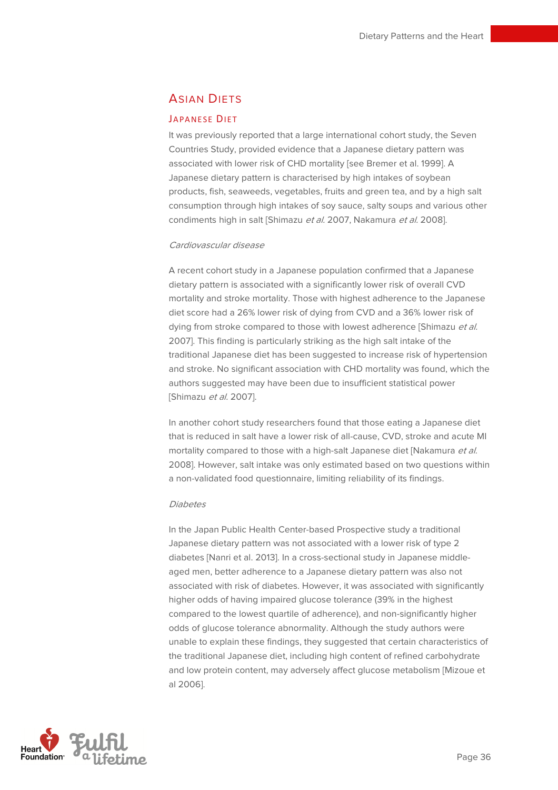## **ASIAN DIFTS**

#### JAPANESE DIET

It was previously reported that a large international cohort study, the Seven Countries Study, provided evidence that a Japanese dietary pattern was associated with lower risk of CHD mortality [see Bremer et al. 1999]. A Japanese dietary pattern is characterised by high intakes of soybean products, fish, seaweeds, vegetables, fruits and green tea, and by a high salt consumption through high intakes of soy sauce, salty soups and various other condiments high in salt [Shimazu et al. 2007, Nakamura et al. 2008].

#### Cardiovascular disease

A recent cohort study in a Japanese population confirmed that a Japanese dietary pattern is associated with a significantly lower risk of overall CVD mortality and stroke mortality. Those with highest adherence to the Japanese diet score had a 26% lower risk of dying from CVD and a 36% lower risk of dying from stroke compared to those with lowest adherence [Shimazu et al. 2007]. This finding is particularly striking as the high salt intake of the traditional Japanese diet has been suggested to increase risk of hypertension and stroke. No significant association with CHD mortality was found, which the authors suggested may have been due to insufficient statistical power [Shimazu et al. 2007].

In another cohort study researchers found that those eating a Japanese diet that is reduced in salt have a lower risk of all-cause, CVD, stroke and acute MI mortality compared to those with a high-salt Japanese diet [Nakamura et al. 2008]. However, salt intake was only estimated based on two questions within a non-validated food questionnaire, limiting reliability of its findings.

#### **Diahotos**

In the Japan Public Health Center-based Prospective study a traditional Japanese dietary pattern was not associated with a lower risk of type 2 diabetes [Nanri et al. 2013]. In a cross-sectional study in Japanese middleaged men, better adherence to a Japanese dietary pattern was also not associated with risk of diabetes. However, it was associated with significantly higher odds of having impaired glucose tolerance (39% in the highest compared to the lowest quartile of adherence), and non-significantly higher odds of glucose tolerance abnormality. Although the study authors were unable to explain these findings, they suggested that certain characteristics of the traditional Japanese diet, including high content of refined carbohydrate and low protein content, may adversely affect glucose metabolism [Mizoue et al 2006].

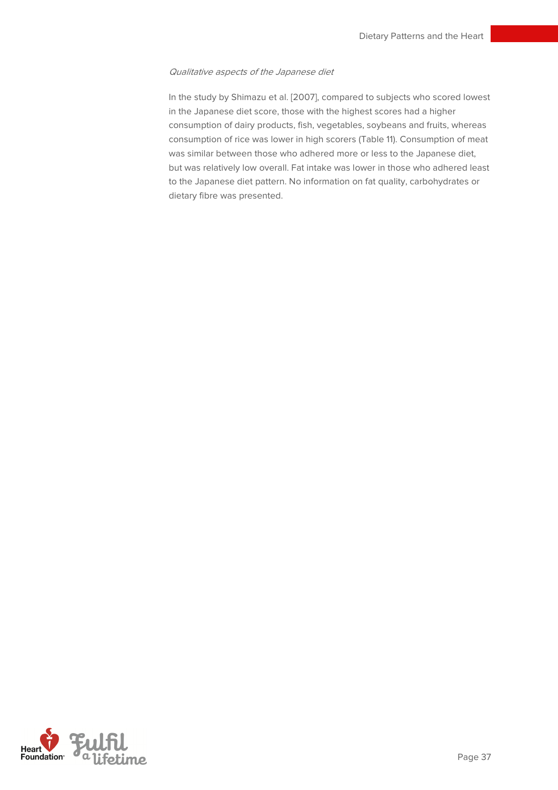#### Qualitative aspects of the Japanese diet

In the study by Shimazu et al. [2007], compared to subjects who scored lowest in the Japanese diet score, those with the highest scores had a higher consumption of dairy products, fish, vegetables, soybeans and fruits, whereas consumption of rice was lower in high scorers (Table 11). Consumption of meat was similar between those who adhered more or less to the Japanese diet, but was relatively low overall. Fat intake was lower in those who adhered least to the Japanese diet pattern. No information on fat quality, carbohydrates or dietary fibre was presented.

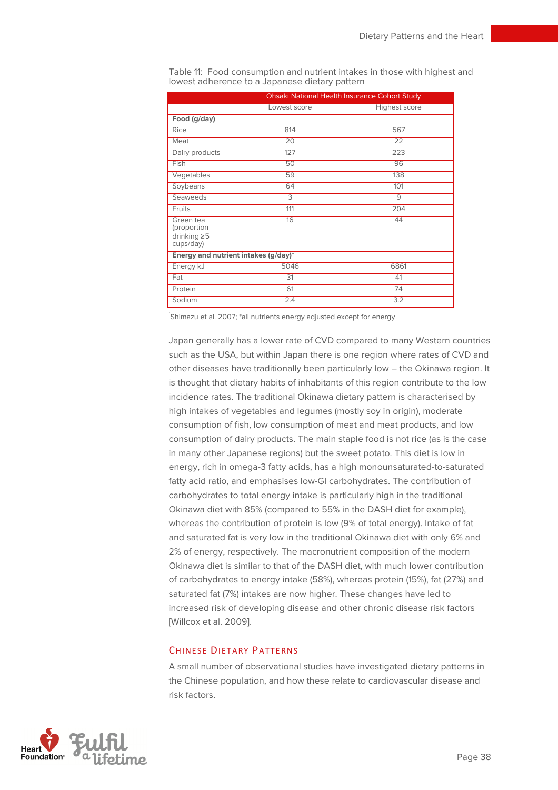|                                                            |                 | Ohsaki National Health Insurance Cohort Study |
|------------------------------------------------------------|-----------------|-----------------------------------------------|
|                                                            | Lowest score    | Highest score                                 |
| Food (g/day)                                               |                 |                                               |
| Rice                                                       | 814             | 567                                           |
| Meat                                                       | $\overline{20}$ | $\overline{22}$                               |
| Dairy products                                             | 127             | 223                                           |
| Fish                                                       | 50              | 96                                            |
| Vegetables                                                 | 59              | 138                                           |
| Soybeans                                                   | 64              | 101                                           |
| Seaweeds                                                   | 3               | $\overline{9}$                                |
| Fruits                                                     | 111             | 204                                           |
| Green tea<br>(proportion<br>drinking $\geq 5$<br>cups/day) | 16              | 44                                            |
| Energy and nutrient intakes (g/day)*                       |                 |                                               |
| Energy kJ                                                  | 5046            | 6861                                          |
| Fat                                                        | 31              | 41                                            |
| Protein                                                    | 61              | 74                                            |
| Sodium                                                     | 2.4             | 3.2                                           |

Table 11: Food consumption and nutrient intakes in those with highest and lowest adherence to a Japanese dietary pattern

<sup>1</sup>Shimazu et al. 2007; \*all nutrients energy adjusted except for energy

Japan generally has a lower rate of CVD compared to many Western countries such as the USA, but within Japan there is one region where rates of CVD and other diseases have traditionally been particularly low – the Okinawa region. It is thought that dietary habits of inhabitants of this region contribute to the low incidence rates. The traditional Okinawa dietary pattern is characterised by high intakes of vegetables and legumes (mostly soy in origin), moderate consumption of fish, low consumption of meat and meat products, and low consumption of dairy products. The main staple food is not rice (as is the case in many other Japanese regions) but the sweet potato. This diet is low in energy, rich in omega-3 fatty acids, has a high monounsaturated-to-saturated fatty acid ratio, and emphasises low-GI carbohydrates. The contribution of carbohydrates to total energy intake is particularly high in the traditional Okinawa diet with 85% (compared to 55% in the DASH diet for example), whereas the contribution of protein is low (9% of total energy). Intake of fat and saturated fat is very low in the traditional Okinawa diet with only 6% and 2% of energy, respectively. The macronutrient composition of the modern Okinawa diet is similar to that of the DASH diet, with much lower contribution of carbohydrates to energy intake (58%), whereas protein (15%), fat (27%) and saturated fat (7%) intakes are now higher. These changes have led to increased risk of developing disease and other chronic disease risk factors [Willcox et al. 2009].

#### CHINESE DIETARY PATTERNS

A small number of observational studies have investigated dietary patterns in the Chinese population, and how these relate to cardiovascular disease and risk factors.

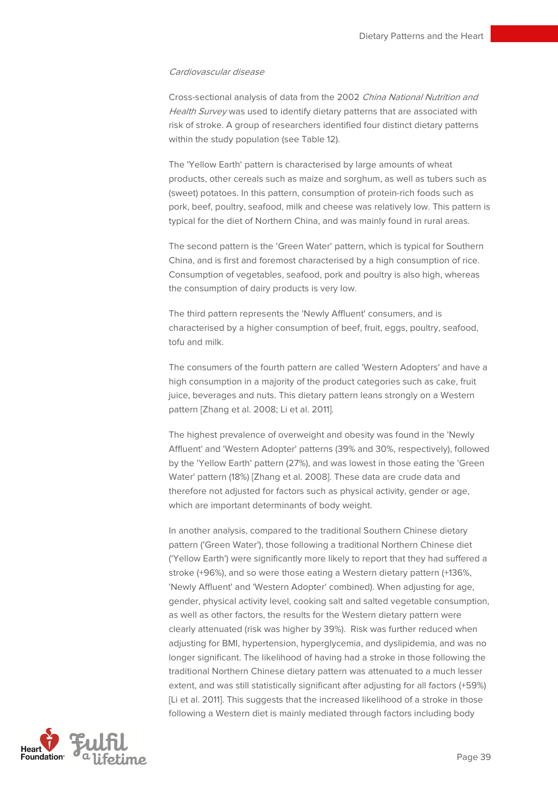#### Cardiovascular disease

Cross-sectional analysis of data from the 2002 China National Nutrition and Health Survey was used to identify dietary patterns that are associated with risk of stroke. A group of researchers identified four distinct dietary patterns within the study population (see Table 12).

The 'Yellow Earth' pattern is characterised by large amounts of wheat products, other cereals such as maize and sorghum, as well as tubers such as (sweet) potatoes. In this pattern, consumption of protein-rich foods such as pork, beef, poultry, seafood, milk and cheese was relatively low. This pattern is typical for the diet of Northern China, and was mainly found in rural areas.

The second pattern is the 'Green Water' pattern, which is typical for Southern China, and is first and foremost characterised by a high consumption of rice. Consumption of vegetables, seafood, pork and poultry is also high, whereas the consumption of dairy products is very low.

The third pattern represents the 'Newly Affluent' consumers, and is characterised by a higher consumption of beef, fruit, eggs, poultry, seafood, tofu and milk.

The consumers of the fourth pattern are called 'Western Adopters' and have a high consumption in a majority of the product categories such as cake, fruit juice, beverages and nuts. This dietary pattern leans strongly on a Western pattern [Zhang et al. 2008; Li et al. 2011].

The highest prevalence of overweight and obesity was found in the 'Newly Affluent' and 'Western Adopter' patterns (39% and 30%, respectively), followed by the 'Yellow Earth' pattern (27%), and was lowest in those eating the 'Green Water' pattern (18%) [Zhang et al. 2008]. These data are crude data and therefore not adjusted for factors such as physical activity, gender or age, which are important determinants of body weight.

In another analysis, compared to the traditional Southern Chinese dietary pattern ('Green Water'), those following a traditional Northern Chinese diet ('Yellow Earth') were significantly more likely to report that they had suffered a stroke (+96%), and so were those eating a Western dietary pattern (+136%, 'Newly Affluent' and 'Western Adopter' combined). When adjusting for age, gender, physical activity level, cooking salt and salted vegetable consumption, as well as other factors, the results for the Western dietary pattern were clearly attenuated (risk was higher by 39%). Risk was further reduced when adjusting for BMI, hypertension, hyperglycemia, and dyslipidemia, and was no longer significant. The likelihood of having had a stroke in those following the traditional Northern Chinese dietary pattern was attenuated to a much lesser extent, and was still statistically significant after adjusting for all factors (+59%) [Li et al. 2011]. This suggests that the increased likelihood of a stroke in those following a Western diet is mainly mediated through factors including body

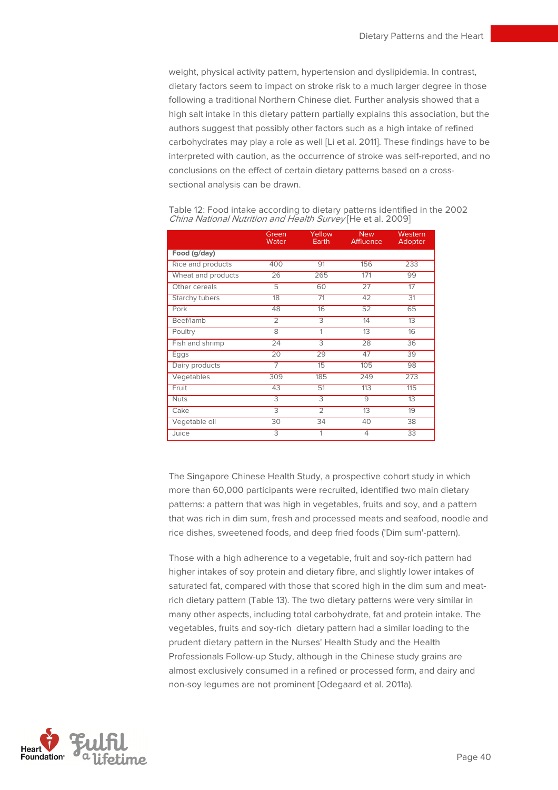weight, physical activity pattern, hypertension and dyslipidemia. In contrast, dietary factors seem to impact on stroke risk to a much larger degree in those following a traditional Northern Chinese diet. Further analysis showed that a high salt intake in this dietary pattern partially explains this association, but the authors suggest that possibly other factors such as a high intake of refined carbohydrates may play a role as well [Li et al. 2011]. These findings have to be interpreted with caution, as the occurrence of stroke was self-reported, and no conclusions on the effect of certain dietary patterns based on a crosssectional analysis can be drawn.

|                       | Green<br>Water | Yellow<br>Earth | <b>New</b><br>Affluence | Western<br>Adopter |
|-----------------------|----------------|-----------------|-------------------------|--------------------|
| Food (g/day)          |                |                 |                         |                    |
| Rice and products     | 400            | 91              | 156                     | 233                |
| Wheat and products    | 26             | 265             | 171                     | 99                 |
| Other cereals         | $\overline{5}$ | 60              | 27                      | 17                 |
| <b>Starchy tubers</b> | 18             | 71              | 42                      | 31                 |
| Pork                  | 48             | 16              | 52                      | 65                 |
| Beef/lamb             | $\overline{2}$ | $\overline{3}$  | 14                      | 13                 |
| Poultry               | $\overline{8}$ | 1               | 13                      | 16                 |
| Fish and shrimp       | 24             | $\overline{3}$  | 28                      | 36                 |
| Eggs                  | 20             | 29              | 47                      | 39                 |
| Dairy products        |                | 15              | 105                     | 98                 |
| Vegetables            | 309            | 185             | 249                     | 273                |
| Fruit                 | 43             | 51              | 113                     | 115                |
| <b>Nuts</b>           | $\overline{3}$ | $\overline{3}$  | $\overline{9}$          | 13                 |
| Cake                  | $\overline{3}$ | $\overline{2}$  | $\overline{13}$         | 19                 |
| Vegetable oil         | 30             | 34              | 40                      | 38                 |
| Juice                 | $\overline{3}$ | 1               | $\overline{4}$          | 33                 |

Table 12: Food intake according to dietary patterns identified in the 2002 China National Nutrition and Health Survey [He et al. 2009]

The Singapore Chinese Health Study, a prospective cohort study in which more than 60,000 participants were recruited, identified two main dietary patterns: a pattern that was high in vegetables, fruits and soy, and a pattern that was rich in dim sum, fresh and processed meats and seafood, noodle and rice dishes, sweetened foods, and deep fried foods ('Dim sum'-pattern).

Those with a high adherence to a vegetable, fruit and soy-rich pattern had higher intakes of soy protein and dietary fibre, and slightly lower intakes of saturated fat, compared with those that scored high in the dim sum and meatrich dietary pattern (Table 13). The two dietary patterns were very similar in many other aspects, including total carbohydrate, fat and protein intake. The vegetables, fruits and soy-rich dietary pattern had a similar loading to the prudent dietary pattern in the Nurses' Health Study and the Health Professionals Follow-up Study, although in the Chinese study grains are almost exclusively consumed in a refined or processed form, and dairy and non-soy legumes are not prominent [Odegaard et al. 2011a).

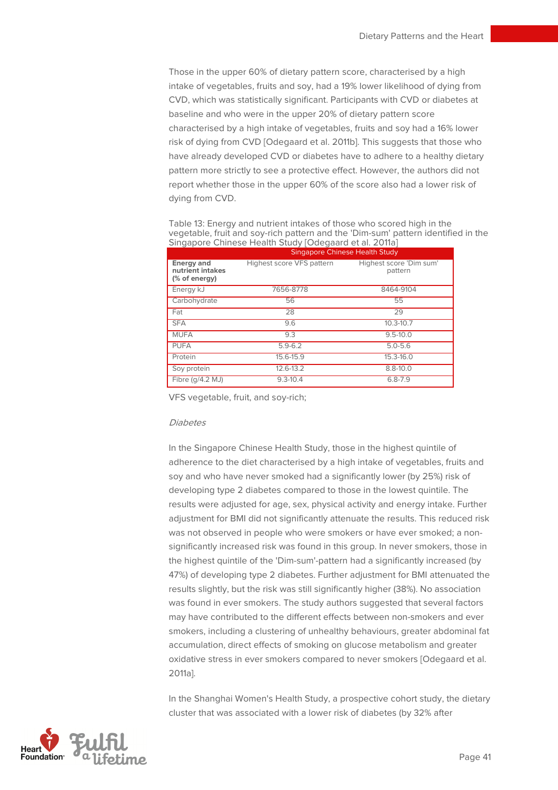Those in the upper 60% of dietary pattern score, characterised by a high intake of vegetables, fruits and soy, had a 19% lower likelihood of dying from CVD, which was statistically significant. Participants with CVD or diabetes at baseline and who were in the upper 20% of dietary pattern score characterised by a high intake of vegetables, fruits and soy had a 16% lower risk of dying from CVD [Odegaard et al. 2011b]. This suggests that those who have already developed CVD or diabetes have to adhere to a healthy dietary pattern more strictly to see a protective effect. However, the authors did not report whether those in the upper 60% of the score also had a lower risk of dying from CVD.

Table 13: Energy and nutrient intakes of those who scored high in the vegetable, fruit and soy-rich pattern and the 'Dim-sum' pattern identified in the Singapore Chinese Health Study [Odegaard et al. 2011a]

|                                                        | <b>Singapore Chinese Health Study</b> |                                    |
|--------------------------------------------------------|---------------------------------------|------------------------------------|
| <b>Energy and</b><br>nutrient intakes<br>(% of energy) | Highest score VFS pattern             | Highest score 'Dim sum'<br>pattern |
| Energy kJ                                              | 7656-8778                             | 8464-9104                          |
| Carbohydrate                                           | 56                                    | 55                                 |
| Fat                                                    | 28                                    | 29                                 |
| <b>SFA</b>                                             | 9.6                                   | $10.3 - 10.7$                      |
| <b>MUFA</b>                                            | 9.3                                   | $9.5 - 10.0$                       |
| <b>PUFA</b>                                            | $5.9 - 6.2$                           | $5.0 - 5.6$                        |
| Protein                                                | 15.6-15.9                             | 15.3-16.0                          |
| Soy protein                                            | 12.6-13.2                             | $8.8 - 10.0$                       |
| Fibre (g/4.2 MJ)                                       | $9.3 - 10.4$                          | $6.8 - 7.9$                        |

VFS vegetable, fruit, and soy-rich;

#### Diabetes

In the Singapore Chinese Health Study, those in the highest quintile of adherence to the diet characterised by a high intake of vegetables, fruits and soy and who have never smoked had a significantly lower (by 25%) risk of developing type 2 diabetes compared to those in the lowest quintile. The results were adjusted for age, sex, physical activity and energy intake. Further adjustment for BMI did not significantly attenuate the results. This reduced risk was not observed in people who were smokers or have ever smoked; a nonsignificantly increased risk was found in this group. In never smokers, those in the highest quintile of the 'Dim-sum'-pattern had a significantly increased (by 47%) of developing type 2 diabetes. Further adjustment for BMI attenuated the results slightly, but the risk was still significantly higher (38%). No association was found in ever smokers. The study authors suggested that several factors may have contributed to the different effects between non-smokers and ever smokers, including a clustering of unhealthy behaviours, greater abdominal fat accumulation, direct effects of smoking on glucose metabolism and greater oxidative stress in ever smokers compared to never smokers [Odegaard et al. 2011a].

In the Shanghai Women's Health Study, a prospective cohort study, the dietary cluster that was associated with a lower risk of diabetes (by 32% after

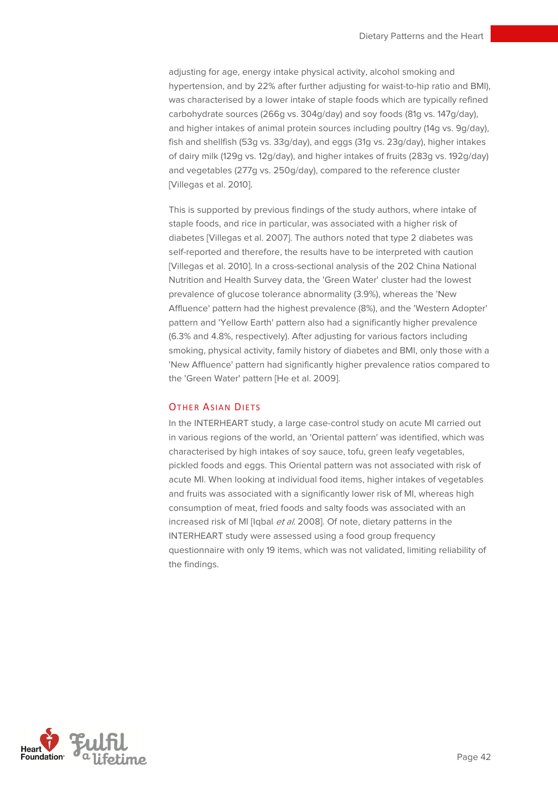adjusting for age, energy intake physical activity, alcohol smoking and hypertension, and by 22% after further adjusting for waist-to-hip ratio and BMI), was characterised by a lower intake of staple foods which are typically refined carbohydrate sources (266g vs. 304g/day) and soy foods (81g vs. 147g/day), and higher intakes of animal protein sources including poultry (14g vs. 9g/day), fish and shellfish (53g vs. 33g/day), and eggs (31g vs. 23g/day), higher intakes of dairy milk (129g vs. 12g/day), and higher intakes of fruits (283g vs. 192g/day) and vegetables (277g vs. 250g/day), compared to the reference cluster [Villegas et al. 2010].

This is supported by previous findings of the study authors, where intake of staple foods, and rice in particular, was associated with a higher risk of diabetes [Villegas et al. 2007]. The authors noted that type 2 diabetes was self-reported and therefore, the results have to be interpreted with caution [Villegas et al. 2010]. In a cross-sectional analysis of the 202 China National Nutrition and Health Survey data, the 'Green Water' cluster had the lowest prevalence of glucose tolerance abnormality (3.9%), whereas the 'New Affluence' pattern had the highest prevalence (8%), and the 'Western Adopter' pattern and 'Yellow Earth' pattern also had a significantly higher prevalence (6.3% and 4.8%, respectively). After adjusting for various factors including smoking, physical activity, family history of diabetes and BMI, only those with a 'New Affluence' pattern had significantly higher prevalence ratios compared to the 'Green Water' pattern [He et al. 2009].

#### **OTHER ASIAN DIFTS**

In the INTERHEART study, a large case-control study on acute MI carried out in various regions of the world, an 'Oriental pattern' was identified, which was characterised by high intakes of soy sauce, tofu, green leafy vegetables, pickled foods and eggs. This Oriental pattern was not associated with risk of acute MI. When looking at individual food items, higher intakes of vegetables and fruits was associated with a significantly lower risk of MI, whereas high consumption of meat, fried foods and salty foods was associated with an increased risk of MI [Iqbal et al. 2008]. Of note, dietary patterns in the INTERHEART study were assessed using a food group frequency questionnaire with only 19 items, which was not validated, limiting reliability of the findings.

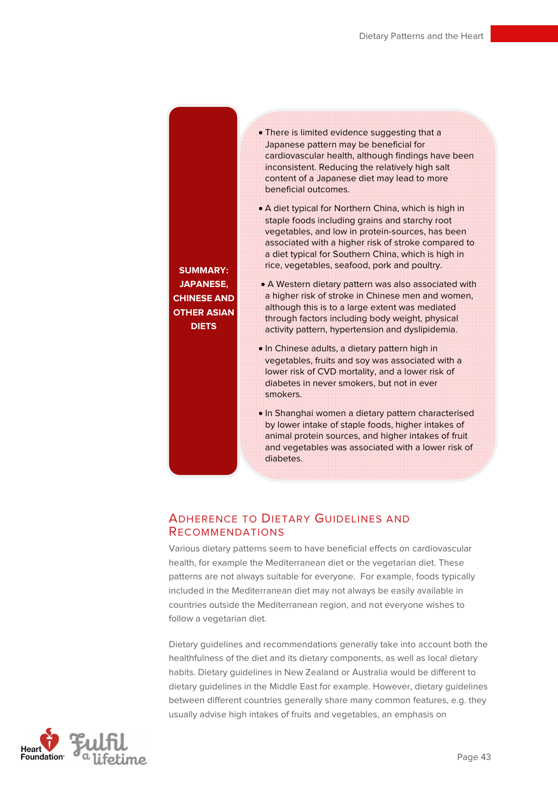**SUMMARY: JAPANESE, CHINESE AND OTHER ASIAN DIETS** 

- There is limited evidence suggesting that a Japanese pattern may be beneficial for cardiovascular health, although findings have been inconsistent. Reducing the relatively high salt content of a Japanese diet may lead to more beneficial outcomes.
- A diet typical for Northern China, which is high in staple foods including grains and starchy root vegetables, and low in protein-sources, has been associated with a higher risk of stroke compared to a diet typical for Southern China, which is high in rice, vegetables, seafood, pork and poultry.
- A Western dietary pattern was also associated with a higher risk of stroke in Chinese men and women, although this is to a large extent was mediated through factors including body weight, physical activity pattern, hypertension and dyslipidemia.
- In Chinese adults, a dietary pattern high in vegetables, fruits and soy was associated with a lower risk of CVD mortality, and a lower risk of diabetes in never smokers, but not in ever smokers.
- In Shanghai women a dietary pattern characterised by lower intake of staple foods, higher intakes of animal protein sources, and higher intakes of fruit and vegetables was associated with a lower risk of diabetes.

## ADHERENCE TO DIETARY GUIDELINES AND RECOMMENDATIONS

Various dietary patterns seem to have beneficial effects on cardiovascular health, for example the Mediterranean diet or the vegetarian diet. These patterns are not always suitable for everyone. For example, foods typically included in the Mediterranean diet may not always be easily available in countries outside the Mediterranean region, and not everyone wishes to follow a vegetarian diet.

Dietary guidelines and recommendations generally take into account both the healthfulness of the diet and its dietary components, as well as local dietary habits. Dietary guidelines in New Zealand or Australia would be different to dietary guidelines in the Middle East for example. However, dietary guidelines between different countries generally share many common features, e.g. they usually advise high intakes of fruits and vegetables, an emphasis on

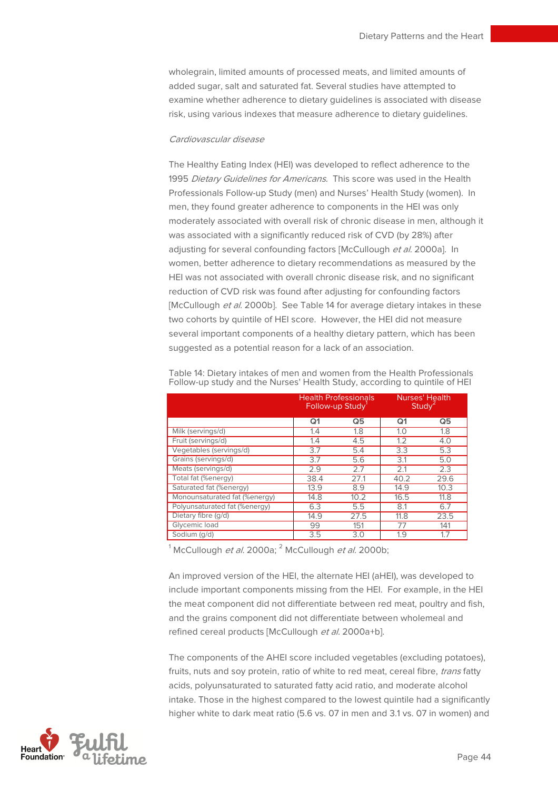wholegrain, limited amounts of processed meats, and limited amounts of added sugar, salt and saturated fat. Several studies have attempted to examine whether adherence to dietary guidelines is associated with disease risk, using various indexes that measure adherence to dietary guidelines.

#### Cardiovascular disease

The Healthy Eating Index (HEI) was developed to reflect adherence to the 1995 Dietary Guidelines for Americans. This score was used in the Health Professionals Follow-up Study (men) and Nurses' Health Study (women). In men, they found greater adherence to components in the HEI was only moderately associated with overall risk of chronic disease in men, although it was associated with a significantly reduced risk of CVD (by 28%) after adjusting for several confounding factors [McCullough et al. 2000a]. In women, better adherence to dietary recommendations as measured by the HEI was not associated with overall chronic disease risk, and no significant reduction of CVD risk was found after adjusting for confounding factors [McCullough et al. 2000b]. See Table 14 for average dietary intakes in these two cohorts by quintile of HEI score. However, the HEI did not measure several important components of a healthy dietary pattern, which has been suggested as a potential reason for a lack of an association.

|                               | Follow-up Study | <b>Health Professionals</b> | Study <sup>-</sup> | Nurses' Health |
|-------------------------------|-----------------|-----------------------------|--------------------|----------------|
|                               | Q <sub>1</sub>  | Q5                          | Q <sub>1</sub>     | Q5             |
| Milk (servings/d)             | 1.4             | 1.8                         | 1.0                | 1.8            |
| Fruit (servings/d)            | 1.4             | 4.5                         | 1.2                | 4.0            |
| Vegetables (servings/d)       | 3.7             | 5.4                         | 3.3                | 5.3            |
| Grains (servings/d)           | 3.7             | 5.6                         | 3.1                | 5.0            |
| Meats (servings/d)            | 2.9             | 2.7                         | 2.1                | 2.3            |
| Total fat (%energy)           | 38.4            | 27.1                        | 40.2               | 29.6           |
| Saturated fat (%energy)       | 13.9            | 8.9                         | 14.9               | 10.3           |
| Monounsaturated fat (%energy) | 14.8            | 10.2                        | 16.5               | 11.8           |
| Polyunsaturated fat (%energy) | 6.3             | 5.5                         | 8.1                | 6.7            |
| Dietary fibre (q/d)           | 14.9            | 27.5                        | 11.8               | 23.5           |
| Glycemic load                 | 99              | 151                         | 77                 | 141            |
| Sodium (g/d)                  | 3.5             | 3.0                         | 1.9                | 1.7            |

Table 14: Dietary intakes of men and women from the Health Professionals Follow-up study and the Nurses' Health Study, according to quintile of HEI

 $^1$ McCullough *et al.* 2000a;  $^2$  McCullough *et al.* 2000b;

An improved version of the HEI, the alternate HEI (aHEI), was developed to include important components missing from the HEI. For example, in the HEI the meat component did not differentiate between red meat, poultry and fish, and the grains component did not differentiate between wholemeal and refined cereal products [McCullough et al. 2000a+b].

The components of the AHEI score included vegetables (excluding potatoes), fruits, nuts and soy protein, ratio of white to red meat, cereal fibre, *trans* fatty acids, polyunsaturated to saturated fatty acid ratio, and moderate alcohol intake. Those in the highest compared to the lowest quintile had a significantly higher white to dark meat ratio (5.6 vs. 07 in men and 3.1 vs. 07 in women) and

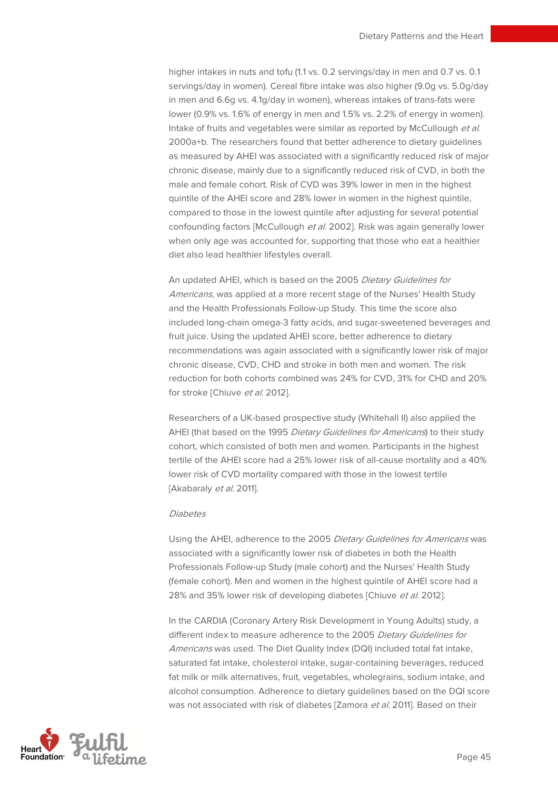higher intakes in nuts and tofu (1.1 vs. 0.2 servings/day in men and 0.7 vs. 0.1 servings/day in women). Cereal fibre intake was also higher (9.0g vs. 5.0g/day in men and 6.6g vs. 4.1g/day in women), whereas intakes of trans-fats were lower (0.9% vs. 1.6% of energy in men and 1.5% vs. 2.2% of energy in women). Intake of fruits and vegetables were similar as reported by McCullough et al. 2000a+b. The researchers found that better adherence to dietary guidelines as measured by AHEI was associated with a significantly reduced risk of major chronic disease, mainly due to a significantly reduced risk of CVD, in both the male and female cohort. Risk of CVD was 39% lower in men in the highest quintile of the AHEI score and 28% lower in women in the highest quintile, compared to those in the lowest quintile after adjusting for several potential confounding factors [McCullough et al. 2002]. Risk was again generally lower when only age was accounted for, supporting that those who eat a healthier diet also lead healthier lifestyles overall.

An updated AHEI, which is based on the 2005 Dietary Guidelines for Americans, was applied at a more recent stage of the Nurses' Health Study and the Health Professionals Follow-up Study. This time the score also included long-chain omega-3 fatty acids, and sugar-sweetened beverages and fruit juice. Using the updated AHEI score, better adherence to dietary recommendations was again associated with a significantly lower risk of major chronic disease, CVD, CHD and stroke in both men and women. The risk reduction for both cohorts combined was 24% for CVD, 31% for CHD and 20% for stroke [Chiuve et al. 2012].

Researchers of a UK-based prospective study (Whitehall II) also applied the AHEI (that based on the 1995 Dietary Guidelines for Americans) to their study cohort, which consisted of both men and women. Participants in the highest tertile of the AHEI score had a 25% lower risk of all-cause mortality and a 40% lower risk of CVD mortality compared with those in the lowest tertile [Akabaraly et al. 2011].

#### Diabetes

Using the AHEI, adherence to the 2005 Dietary Guidelines for Americans was associated with a significantly lower risk of diabetes in both the Health Professionals Follow-up Study (male cohort) and the Nurses' Health Study (female cohort). Men and women in the highest quintile of AHEI score had a 28% and 35% lower risk of developing diabetes [Chiuve et al. 2012].

In the CARDIA (Coronary Artery Risk Development in Young Adults) study, a different index to measure adherence to the 2005 Dietary Guidelines for Americans was used. The Diet Quality Index (DQI) included total fat intake, saturated fat intake, cholesterol intake, sugar-containing beverages, reduced fat milk or milk alternatives, fruit, vegetables, wholegrains, sodium intake, and alcohol consumption. Adherence to dietary guidelines based on the DQI score was not associated with risk of diabetes [Zamora et al. 2011]. Based on their

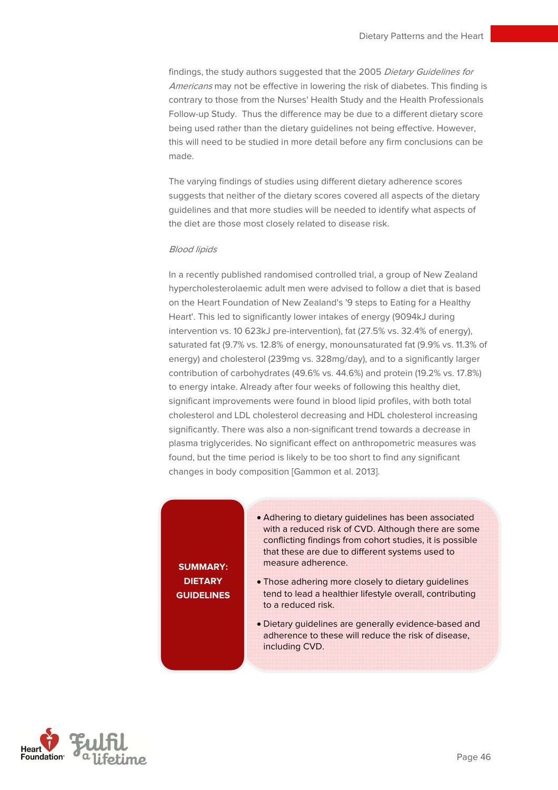findings, the study authors suggested that the 2005 Dietary Guidelines for Americans may not be effective in lowering the risk of diabetes. This finding is contrary to those from the Nurses' Health Study and the Health Professionals Follow-up Study. Thus the difference may be due to a different dietary score being used rather than the dietary guidelines not being effective. However, this will need to be studied in more detail before any firm conclusions can be made.

The varying findings of studies using different dietary adherence scores suggests that neither of the dietary scores covered all aspects of the dietary guidelines and that more studies will be needed to identify what aspects of the diet are those most closely related to disease risk.

#### Blood lipids

In a recently published randomised controlled trial, a group of New Zealand hypercholesterolaemic adult men were advised to follow a diet that is based on the Heart Foundation of New Zealand's '9 steps to Eating for a Healthy Heart'. This led to significantly lower intakes of energy (9094kJ during intervention vs. 10 623kJ pre-intervention), fat (27.5% vs. 32.4% of energy), saturated fat (9.7% vs. 12.8% of energy, monounsaturated fat (9.9% vs. 11.3% of energy) and cholesterol (239mg vs. 328mg/day), and to a significantly larger contribution of carbohydrates (49.6% vs. 44.6%) and protein (19.2% vs. 17.8%) to energy intake. Already after four weeks of following this healthy diet, significant improvements were found in blood lipid profiles, with both total cholesterol and LDL cholesterol decreasing and HDL cholesterol increasing significantly. There was also a non-significant trend towards a decrease in plasma triglycerides. No significant effect on anthropometric measures was found, but the time period is likely to be too short to find any significant changes in body composition [Gammon et al. 2013].

**SUMMARY: DIETARY GUIDELINES** 

- Adhering to dietary guidelines has been associated with a reduced risk of CVD. Although there are some conflicting findings from cohort studies, it is possible that these are due to different systems used to measure adherence.
- Those adhering more closely to dietary guidelines tend to lead a healthier lifestyle overall, contributing to a reduced risk.
- Dietary guidelines are generally evidence-based and adherence to these will reduce the risk of disease, including CVD.

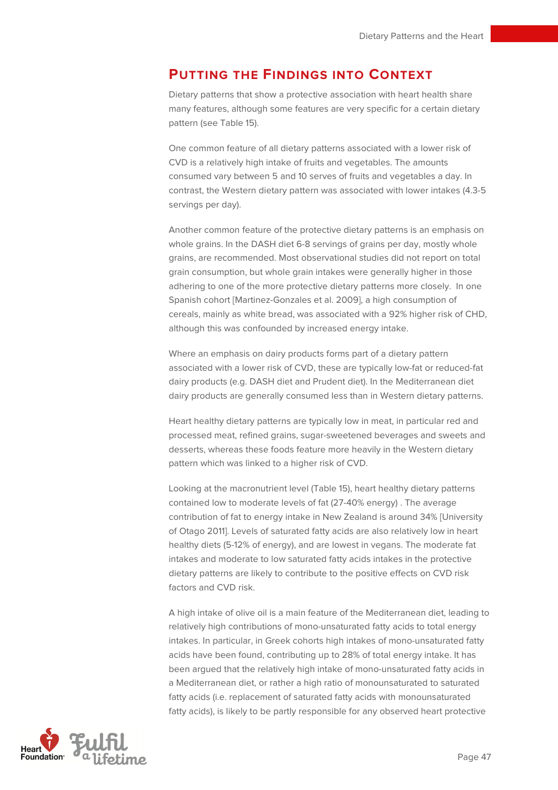## **PUTTING THE FINDINGS INTO CONTEXT**

Dietary patterns that show a protective association with heart health share many features, although some features are very specific for a certain dietary pattern (see Table 15).

One common feature of all dietary patterns associated with a lower risk of CVD is a relatively high intake of fruits and vegetables. The amounts consumed vary between 5 and 10 serves of fruits and vegetables a day. In contrast, the Western dietary pattern was associated with lower intakes (4.3-5 servings per day).

Another common feature of the protective dietary patterns is an emphasis on whole grains. In the DASH diet 6-8 servings of grains per day, mostly whole grains, are recommended. Most observational studies did not report on total grain consumption, but whole grain intakes were generally higher in those adhering to one of the more protective dietary patterns more closely. In one Spanish cohort [Martinez-Gonzales et al. 2009], a high consumption of cereals, mainly as white bread, was associated with a 92% higher risk of CHD, although this was confounded by increased energy intake.

Where an emphasis on dairy products forms part of a dietary pattern associated with a lower risk of CVD, these are typically low-fat or reduced-fat dairy products (e.g. DASH diet and Prudent diet). In the Mediterranean diet dairy products are generally consumed less than in Western dietary patterns.

Heart healthy dietary patterns are typically low in meat, in particular red and processed meat, refined grains, sugar-sweetened beverages and sweets and desserts, whereas these foods feature more heavily in the Western dietary pattern which was linked to a higher risk of CVD.

Looking at the macronutrient level (Table 15), heart healthy dietary patterns contained low to moderate levels of fat (27-40% energy) . The average contribution of fat to energy intake in New Zealand is around 34% [University of Otago 2011]. Levels of saturated fatty acids are also relatively low in heart healthy diets (5-12% of energy), and are lowest in vegans. The moderate fat intakes and moderate to low saturated fatty acids intakes in the protective dietary patterns are likely to contribute to the positive effects on CVD risk factors and CVD risk.

A high intake of olive oil is a main feature of the Mediterranean diet, leading to relatively high contributions of mono-unsaturated fatty acids to total energy intakes. In particular, in Greek cohorts high intakes of mono-unsaturated fatty acids have been found, contributing up to 28% of total energy intake. It has been argued that the relatively high intake of mono-unsaturated fatty acids in a Mediterranean diet, or rather a high ratio of monounsaturated to saturated fatty acids (i.e. replacement of saturated fatty acids with monounsaturated fatty acids), is likely to be partly responsible for any observed heart protective

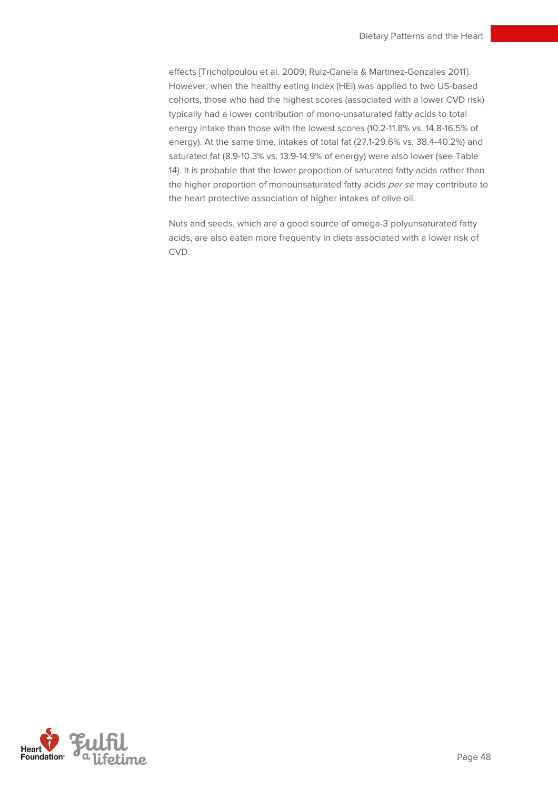effects [Tricholpoulou et al. 2009; Ruiz-Canela & Martinez-Gonzales 2011]. However, when the healthy eating index (HEI) was applied to two US-based cohorts, those who had the highest scores (associated with a lower CVD risk) typically had a lower contribution of mono-unsaturated fatty acids to total energy intake than those with the lowest scores (10.2-11.8% vs. 14.8-16.5% of energy). At the same time, intakes of total fat (27.1-29.6% vs. 38.4-40.2%) and saturated fat (8.9-10.3% vs. 13.9-14.9% of energy) were also lower (see Table 14). It is probable that the lower proportion of saturated fatty acids rather than the higher proportion of monounsaturated fatty acids per se may contribute to the heart protective association of higher intakes of olive oil.

Nuts and seeds, which are a good source of omega-3 polyunsaturated fatty acids, are also eaten more frequently in diets associated with a lower risk of CVD.

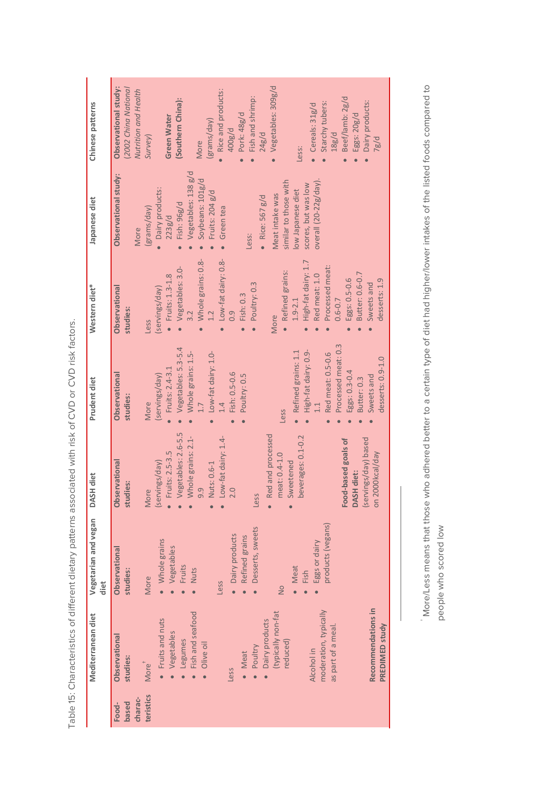| Chinese patterns             | Vegetables: 309g/d<br><b>Observational study:</b><br>(2002 China National<br>Nutrition and Health<br>Rice and products:<br>Fish and shrimp:<br>Beef/lamb: 2g/d<br>(Southern China):<br>Dairy products:<br>Starchy tubers:<br>• Cereals: $31g/d$<br>Pork: 48g/d<br>Eggs: 20g/d<br>Green Water<br>(grams/day)<br>400g/d<br>24g/d<br>18g/d<br>Survey)<br>7g/d<br>More<br>Less:                  |
|------------------------------|----------------------------------------------------------------------------------------------------------------------------------------------------------------------------------------------------------------------------------------------------------------------------------------------------------------------------------------------------------------------------------------------|
| Japanese diet                | Vegetables: 138 g/d<br>Observational study:<br>Soybeans: 101g/d<br>overall $(20-22g/day)$ .<br>similar to those with<br>scores, but was low<br>Dairy products:<br>low Japanese diet<br>Fruits: 204 g/d<br>Meat intake was<br>• Rice: $567$ $g/d$<br>Fish: 96g/d<br>(grams/day)<br>Green tea<br>223g/d<br>More<br>Less:                                                                       |
| Western diet*                | Whole grains: 0.8-<br>Low-fat dairy: 0.8-<br>High-fat dairy: 1.7<br>Processed meat:<br>Vegetables: 3.0-<br>· Refined grains:<br>Butter: 0.6-0.7<br>$\bullet$ Fruits: 1.3-1.8<br>Red meat: 1.0<br>Eggs: 0.5-0.6<br>desserts: 1.9<br>Poultry: 0.3<br>Sweets and<br>(servings/day)<br>Observational<br>Fish: 0.3<br>$1.9 - 2.1$<br>$0.6 - 0.7$<br>studies:<br>3.2<br>0.9<br>More<br><b>Less</b> |
| Prudent diet                 | Processed meat: 0.3<br>Vegetables: 5.3-5.4<br>• Refined grains: 1.1<br>High-fat dairy: 0.9-<br>Whole grains: 1.5-<br>Low-fat dairy: 1.0-<br>Red meat: 0.5-0.6<br>desserts: 0.9-1.0<br>Fruits: 2.4-3.1<br>Eggs: 0.3-0.4<br>Fish: 0.5-0.6<br>(servings/day)<br>Observational<br>Poultry: 0.5<br>Sweets and<br>Butter: 0.3<br>studies:<br>1.4<br>More<br><b>Less</b><br>$\bullet$               |
| <b>DASH</b> diet             | Vegetables: 2.6-5.5<br>Red and processed<br>Whole grains: 2.1-<br>beverages: 0.1-0.2<br>Low-fat dairy: 1.4-<br>Food-based goals of<br>(servings/day) based<br>Fruits: 2.5-3.5<br>on 2000kcal/day<br>meat: 0.4-1.0<br>(servings/day)<br>Sweetened<br>Observational<br>Nuts: 0.6-1<br><b>DASH diet:</b><br>studies:<br>9.9<br>2.0<br>More<br>Less                                              |
| Vegetarian and vegan<br>diet | products (vegans)<br>Desserts, sweets<br>· Dairy products<br>Refined grains<br>• Whole grains<br>Eggs or dairy<br>Vegetables<br>Observational<br>Fruits<br>Meat<br>studies:<br><b>Nuts</b><br>Fish<br>More<br><b>Less</b><br>$\frac{1}{2}$                                                                                                                                                   |
| Mediterranean diet           | Recommendations in<br>moderation, typically<br>typically non-fat<br>Fish and seafood<br>• Fruits and nuts<br>Dairy products<br>PREDIMED study<br>as part of a meal<br>Vegetables<br>Observational<br>Legumes<br>reduced)<br>Olive oil<br>Poultry<br>Alcohol in<br>Meat<br>studies:<br>More <sup>+</sup><br><b>Less</b>                                                                       |
|                              | teristics<br>charac-<br>based<br>Food-                                                                                                                                                                                                                                                                                                                                                       |

Table 15: Characteristics of different dietary patterns associated with risk of CVD or CVD risk factors. Table 15: Characteristics of different dietary patterns associated with risk of CVD or CVD risk factors.

 More/Less means that those who adhered better to a certain type of diet had higher/lower intakes of the listed foods compared to people who scored low people who scored low †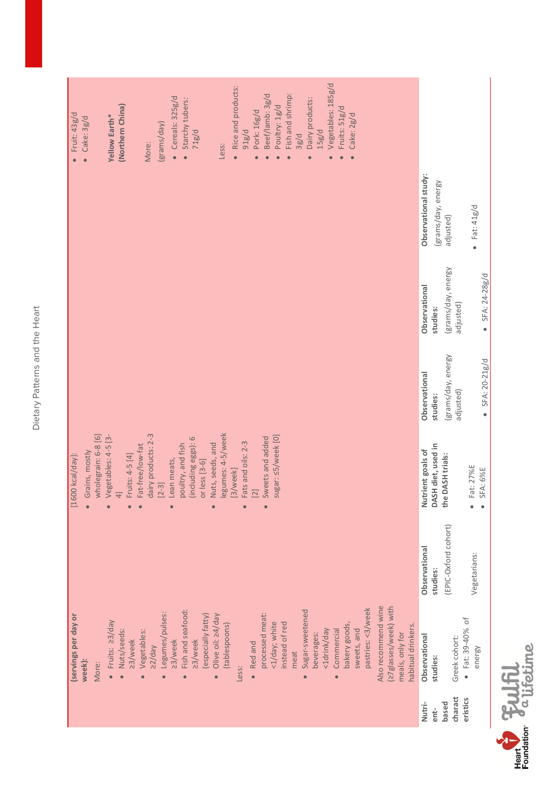| ţ<br>Л      |
|-------------|
| O<br>¢      |
| an          |
| ي<br>د<br>7 |
| ١<br>í<br>ī |
|             |

| Fruit: 43g/d         |        | Cake: 3g/d<br>$\bullet$ |                     | Yellow Earth*                    | (Northern China) |                 |                  | More:               | (grams/day)          | Cereals: 325g/d<br>$\bullet$ | Starchy tubers:        | 71g/d               |                    |                                | Less:             | Rice and products: | 91g/d              | Pork: 16g/d | Beef/lamb: 3g/d               | Poultry: 1g/d      | Fish and shrimp: | 3g/d |                              | Dairy products: | 15g/d       | Vegetables: 185g/d      | Fruits: 51g/d | Cake: 2g/d  |                   |                     |                                          |                    |                      |                    |                      |               |                          |                            |
|----------------------|--------|-------------------------|---------------------|----------------------------------|------------------|-----------------|------------------|---------------------|----------------------|------------------------------|------------------------|---------------------|--------------------|--------------------------------|-------------------|--------------------|--------------------|-------------|-------------------------------|--------------------|------------------|------|------------------------------|-----------------|-------------|-------------------------|---------------|-------------|-------------------|---------------------|------------------------------------------|--------------------|----------------------|--------------------|----------------------|---------------|--------------------------|----------------------------|
|                      |        |                         |                     |                                  |                  |                 |                  |                     |                      |                              |                        |                     |                    |                                |                   |                    |                    |             |                               |                    |                  |      |                              |                 |             |                         |               |             |                   |                     |                                          |                    | Observational study: | (grams/day, energy | adjusted)            |               |                          | Fat: 41g/d<br>$\bullet$    |
|                      |        |                         |                     |                                  |                  |                 |                  |                     |                      |                              |                        |                     |                    |                                |                   |                    |                    |             |                               |                    |                  |      |                              |                 |             |                         |               |             |                   |                     |                                          |                    | Observational        | studies:           | (grams/day, energy   | adjusted)     |                          | • $SFA: 24-28g/d$          |
|                      |        |                         |                     |                                  |                  |                 |                  |                     |                      |                              |                        |                     |                    |                                |                   |                    |                    |             |                               |                    |                  |      |                              |                 |             |                         |               |             |                   |                     |                                          |                    | Observational        | studies:           | (grams/day, energy   | adjusted)     |                          | SFA: 20-21g/d<br>$\bullet$ |
| $[1600$ kcal/day]:   |        | Grains, mostly          | wholegrain: 6-8 [6] | Vegetables: 4-5 [3-<br>$\bullet$ | $\overline{4}$   | Fruits: 4-5 [4] | Fat-free/low-fat | dairy products: 2-3 | $[2-3]$              | Lean meats,                  | poultry, and fish      | (including eggs): 6 | or less [3-6]      | Nuts, seeds, and               | legumes: 4-5/week | [3/week]           | Fats and oils: 2-3 | $[2]$       | Sweets and added<br>$\bullet$ | sugar: <5/week [0] |                  |      |                              |                 |             |                         |               |             |                   |                     |                                          |                    | Nutrient goals of    | DASH diet, used in | the DASH trials:     |               | Fat: 27%E                | <b>SFA: 6%E</b>            |
|                      |        |                         |                     |                                  |                  |                 |                  |                     |                      |                              |                        |                     |                    |                                |                   |                    |                    |             |                               |                    |                  |      |                              |                 |             |                         |               |             |                   |                     |                                          |                    | Observational        | studies:           | (EPIC-Oxford cohort) |               |                          | Vegetarians:               |
| (servings per day or | week): |                         | More:               | Fruits: 23/day                   | Nuts/seeds:      | 23/week         | Vegetables:<br>ò | $\geq$ 2/day        | Legumes/pulses:<br>ò | 23/week                      | Fish and seafood:<br>Ċ | 23/week             | (especially fatty) | Olive oil: 24/day<br>$\bullet$ | (tablespoons)     | Less:              |                    | • Red and   | processed meat:               | <1/day; white      | instead of red   | meat | Sugar-sweetened<br>$\bullet$ | beverages:      | <1drink/day | Commercial<br>$\bullet$ | bakery goods, | sweets, and | pastries: <3/week | Also recommend wine | (27glasses/week) with<br>meals, only for | habitual drinkers. | Observational        | studies:           |                      | Greek cohort: | $\bullet$ Fat: 39-40% of | energy                     |
|                      |        |                         |                     |                                  |                  |                 |                  |                     |                      |                              |                        |                     |                    |                                |                   |                    |                    |             |                               |                    |                  |      |                              |                 |             |                         |               |             |                   |                     |                                          |                    | Nutri-               | ent-               | based                | charact       | eristics                 |                            |

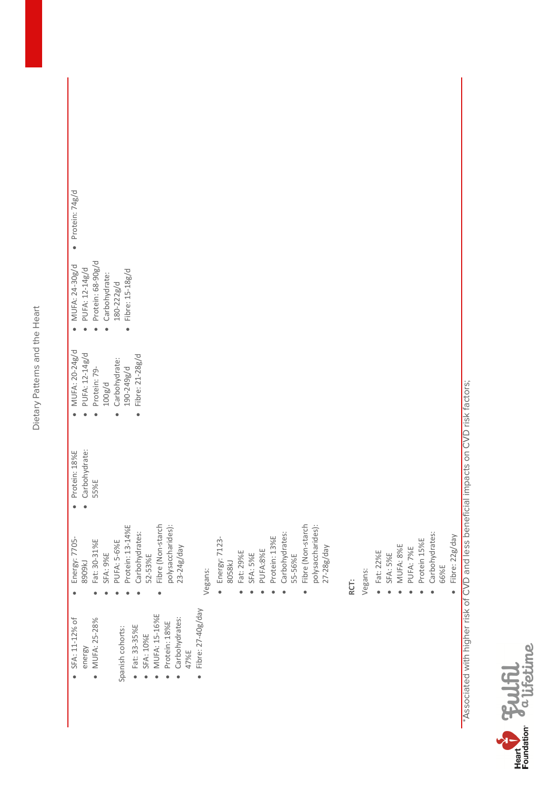| ?<br>?               |
|----------------------|
| C                    |
| ζ<br>م<br>آ<br>3     |
| Ċ<br>j<br>î          |
| ١<br>í<br>$\epsilon$ |

| SFA: 11-12% of         |                                 |                                | MUFA: 20-24g/d  | MUFA: 24-30g/d       | Protein: 74g/d<br>٠ |
|------------------------|---------------------------------|--------------------------------|-----------------|----------------------|---------------------|
| energy                 | Energy: 7705-<br><b>PA6068</b>  | Protein: 18%E<br>Carbohydrate: | PUFA: 12-14g/d  | PUFA: 12-14g/d       |                     |
|                        |                                 | 55%E                           |                 |                      |                     |
| MUFA: 25-28%           | Fat: 30-31%E                    |                                | Protein: 79-    | Protein: 68-90g/d    |                     |
|                        | <b>SFA: 9%E</b>                 |                                | 100g/d          | Carbohydrate:        |                     |
| Spanish cohorts:       | PUFA: 5-6%E                     |                                | Carbohydrate:   | $180 - 222g/d$       |                     |
|                        | Protein: 13-14%E                |                                | 190-249g/d      | Fibre: 15-18g/d<br>٠ |                     |
| Fat: 33-35%E           | Carbohydrates:<br>52-53%E       |                                | Fibre: 21-28g/d |                      |                     |
| SFA: 10%E              |                                 |                                |                 |                      |                     |
| MUFA: 15-16%E          | Fibre (Non-starch               |                                |                 |                      |                     |
| Protein: 18%E          | polysaccharides):<br>23-24g/day |                                |                 |                      |                     |
| Carbohydrates:<br>47%E |                                 |                                |                 |                      |                     |
| Fibre: 27-40g/day      |                                 |                                |                 |                      |                     |
|                        | Vegans:                         |                                |                 |                      |                     |
|                        |                                 |                                |                 |                      |                     |
|                        | Energy: 7123-                   |                                |                 |                      |                     |
|                        | 8058kJ                          |                                |                 |                      |                     |
|                        | Fat: 29%E                       |                                |                 |                      |                     |
|                        | SFA: 5%E                        |                                |                 |                      |                     |
|                        |                                 |                                |                 |                      |                     |
|                        | PUFA:8%E                        |                                |                 |                      |                     |
|                        | Protein: 13%E                   |                                |                 |                      |                     |
|                        | Carbohydrates:                  |                                |                 |                      |                     |
|                        | 55-56%E                         |                                |                 |                      |                     |
|                        | Fibre (Non-starch               |                                |                 |                      |                     |
|                        |                                 |                                |                 |                      |                     |
|                        | polysaccharides):               |                                |                 |                      |                     |
|                        | $27 - 28g$ /day                 |                                |                 |                      |                     |
|                        |                                 |                                |                 |                      |                     |
|                        | RCT:                            |                                |                 |                      |                     |
|                        | Vegans:                         |                                |                 |                      |                     |
|                        | $\bullet$ Fat: 22%E             |                                |                 |                      |                     |
|                        | SFA: 5%E                        |                                |                 |                      |                     |
|                        | MUFA: 8%E                       |                                |                 |                      |                     |
|                        | PUFA: 7%E                       |                                |                 |                      |                     |
|                        | Protein 15%E                    |                                |                 |                      |                     |
|                        | Carbohydrates:                  |                                |                 |                      |                     |
|                        | 66%E                            |                                |                 |                      |                     |

• Fibre: 22g/day  $\bullet$  Fibre: 22g/day \*Associated with higher risk of CVD and less beneficial impacts on CVD risk factors;

\*Associated with higher risk of CVD and less beneficial impacts on CVD risk factors;

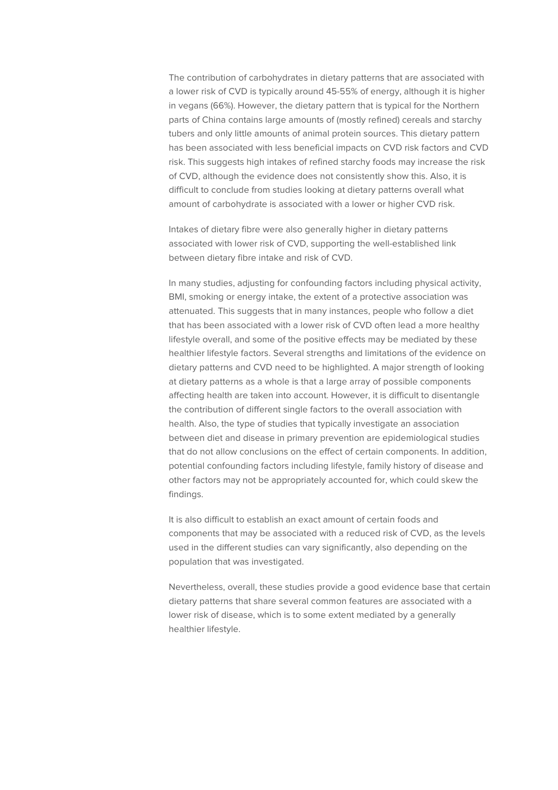The contribution of carbohydrates in dietary patterns that are associated with a lower risk of CVD is typically around 45-55% of energy, although it is higher in vegans (66%). However, the dietary pattern that is typical for the Northern parts of China contains large amounts of (mostly refined) cereals and starchy tubers and only little amounts of animal protein sources. This dietary pattern has been associated with less beneficial impacts on CVD risk factors and CVD risk. This suggests high intakes of refined starchy foods may increase the risk of CVD, although the evidence does not consistently show this. Also, it is difficult to conclude from studies looking at dietary patterns overall what amount of carbohydrate is associated with a lower or higher CVD risk.

Intakes of dietary fibre were also generally higher in dietary patterns associated with lower risk of CVD, supporting the well-established link between dietary fibre intake and risk of CVD.

In many studies, adjusting for confounding factors including physical activity, BMI, smoking or energy intake, the extent of a protective association was attenuated. This suggests that in many instances, people who follow a diet that has been associated with a lower risk of CVD often lead a more healthy lifestyle overall, and some of the positive effects may be mediated by these healthier lifestyle factors. Several strengths and limitations of the evidence on dietary patterns and CVD need to be highlighted. A major strength of looking at dietary patterns as a whole is that a large array of possible components affecting health are taken into account. However, it is difficult to disentangle the contribution of different single factors to the overall association with health. Also, the type of studies that typically investigate an association between diet and disease in primary prevention are epidemiological studies that do not allow conclusions on the effect of certain components. In addition, potential confounding factors including lifestyle, family history of disease and other factors may not be appropriately accounted for, which could skew the findings.

It is also difficult to establish an exact amount of certain foods and components that may be associated with a reduced risk of CVD, as the levels used in the different studies can vary significantly, also depending on the population that was investigated.

Nevertheless, overall, these studies provide a good evidence base that certain dietary patterns that share several common features are associated with a lower risk of disease, which is to some extent mediated by a generally healthier lifestyle.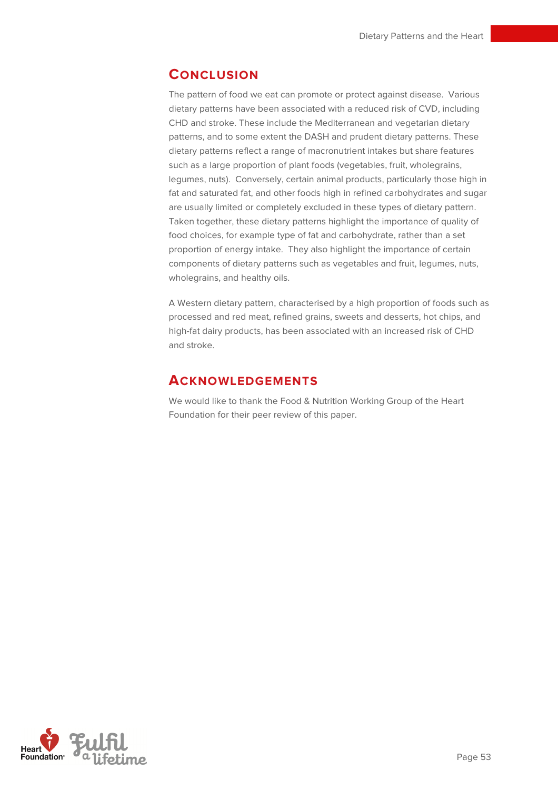## **CONCLUSION**

The pattern of food we eat can promote or protect against disease. Various dietary patterns have been associated with a reduced risk of CVD, including CHD and stroke. These include the Mediterranean and vegetarian dietary patterns, and to some extent the DASH and prudent dietary patterns. These dietary patterns reflect a range of macronutrient intakes but share features such as a large proportion of plant foods (vegetables, fruit, wholegrains, legumes, nuts). Conversely, certain animal products, particularly those high in fat and saturated fat, and other foods high in refined carbohydrates and sugar are usually limited or completely excluded in these types of dietary pattern. Taken together, these dietary patterns highlight the importance of quality of food choices, for example type of fat and carbohydrate, rather than a set proportion of energy intake. They also highlight the importance of certain components of dietary patterns such as vegetables and fruit, legumes, nuts, wholegrains, and healthy oils.

A Western dietary pattern, characterised by a high proportion of foods such as processed and red meat, refined grains, sweets and desserts, hot chips, and high-fat dairy products, has been associated with an increased risk of CHD and stroke.

## **ACKNOWLEDGEMENTS**

We would like to thank the Food & Nutrition Working Group of the Heart Foundation for their peer review of this paper.

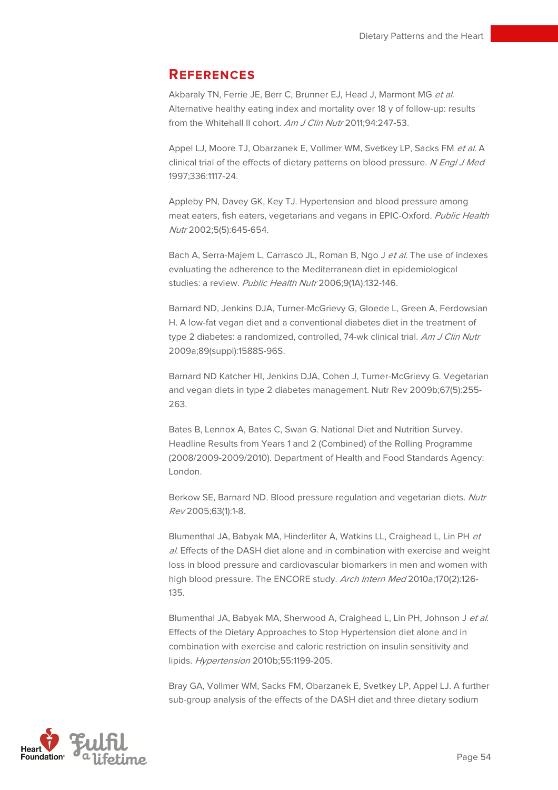## **REFERENCES**

Akbaraly TN, Ferrie JE, Berr C, Brunner EJ, Head J, Marmont MG et al. Alternative healthy eating index and mortality over 18 y of follow-up: results from the Whitehall II cohort. Am J Clin Nutr 2011;94:247-53.

Appel LJ, Moore TJ, Obarzanek E, Vollmer WM, Svetkey LP, Sacks FM et al. A clinical trial of the effects of dietary patterns on blood pressure. N Engl J Med 1997;336:1117-24.

Appleby PN, Davey GK, Key TJ. Hypertension and blood pressure among meat eaters, fish eaters, vegetarians and vegans in EPIC-Oxford. Public Health Nutr 2002;5(5):645-654.

Bach A, Serra-Majem L, Carrasco JL, Roman B, Ngo J et al. The use of indexes evaluating the adherence to the Mediterranean diet in epidemiological studies: a review. Public Health Nutr 2006;9(1A):132-146.

Barnard ND, Jenkins DJA, Turner-McGrievy G, Gloede L, Green A, Ferdowsian H. A low-fat vegan diet and a conventional diabetes diet in the treatment of type 2 diabetes: a randomized, controlled, 74-wk clinical trial. Am J Clin Nutr 2009a;89(suppl):1588S-96S.

Barnard ND Katcher HI, Jenkins DJA, Cohen J, Turner-McGrievy G. Vegetarian and vegan diets in type 2 diabetes management. Nutr Rev 2009b;67(5):255- 263.

Bates B, Lennox A, Bates C, Swan G. National Diet and Nutrition Survey. Headline Results from Years 1 and 2 (Combined) of the Rolling Programme (2008/2009-2009/2010). Department of Health and Food Standards Agency: London.

Berkow SE, Barnard ND. Blood pressure regulation and vegetarian diets. Nutr Rev 2005;63(1):1-8.

Blumenthal JA, Babyak MA, Hinderliter A, Watkins LL, Craighead L, Lin PH et al. Effects of the DASH diet alone and in combination with exercise and weight loss in blood pressure and cardiovascular biomarkers in men and women with high blood pressure. The ENCORE study. Arch Intern Med 2010a;170(2):126-135.

Blumenthal JA, Babyak MA, Sherwood A, Craighead L, Lin PH, Johnson J et al. Effects of the Dietary Approaches to Stop Hypertension diet alone and in combination with exercise and caloric restriction on insulin sensitivity and lipids. Hypertension 2010b;55:1199-205.

Bray GA, Vollmer WM, Sacks FM, Obarzanek E, Svetkey LP, Appel LJ. A further sub-group analysis of the effects of the DASH diet and three dietary sodium

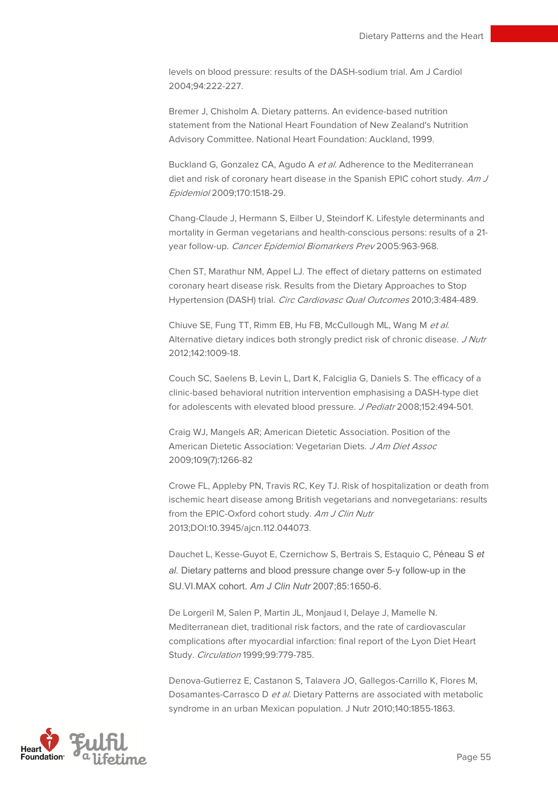levels on blood pressure: results of the DASH-sodium trial. Am J Cardiol 2004;94:222-227.

Bremer J, Chisholm A. Dietary patterns. An evidence-based nutrition statement from the National Heart Foundation of New Zealand's Nutrition Advisory Committee. National Heart Foundation: Auckland, 1999.

Buckland G, Gonzalez CA, Agudo A et al. Adherence to the Mediterranean diet and risk of coronary heart disease in the Spanish EPIC cohort study. Am J Epidemiol 2009;170:1518-29.

Chang-Claude J, Hermann S, Eilber U, Steindorf K. Lifestyle determinants and mortality in German vegetarians and health-conscious persons: results of a 21 year follow-up. Cancer Epidemiol Biomarkers Prev 2005:963-968.

Chen ST, Marathur NM, Appel LJ. The effect of dietary patterns on estimated coronary heart disease risk. Results from the Dietary Approaches to Stop Hypertension (DASH) trial. Circ Cardiovasc Qual Outcomes 2010;3:484-489.

Chiuve SE, Fung TT, Rimm EB, Hu FB, McCullough ML, Wang M et al. Alternative dietary indices both strongly predict risk of chronic disease. J Nutr 2012;142:1009-18.

Couch SC, Saelens B, Levin L, Dart K, Falciglia G, Daniels S. The efficacy of a clinic-based behavioral nutrition intervention emphasising a DASH-type diet for adolescents with elevated blood pressure. J Pediatr 2008;152:494-501.

Craig WJ, Mangels AR; American Dietetic Association. Position of the American Dietetic Association: Vegetarian Diets. J Am Diet Assoc 2009;109(7):1266-82

Crowe FL, Appleby PN, Travis RC, Key TJ. Risk of hospitalization or death from ischemic heart disease among British vegetarians and nonvegetarians: results from the EPIC-Oxford cohort study. Am J Clin Nutr 2013;DOI:10.3945/ajcn.112.044073.

Dauchet L, Kesse-Guyot E, Czernichow S, Bertrais S, Estaquio C, Péneau S et al. Dietary patterns and blood pressure change over 5-y follow-up in the SU.VI.MAX cohort. Am J Clin Nutr 2007;85:1650-6.

De Lorgeril M, Salen P, Martin JL, Monjaud I, Delaye J, Mamelle N. Mediterranean diet, traditional risk factors, and the rate of cardiovascular complications after myocardial infarction: final report of the Lyon Diet Heart Study. Circulation 1999;99:779-785.

Denova-Gutierrez E, Castanon S, Talavera JO, Gallegos-Carrillo K, Flores M, Dosamantes-Carrasco D et al. Dietary Patterns are associated with metabolic syndrome in an urban Mexican population. J Nutr 2010;140:1855-1863.

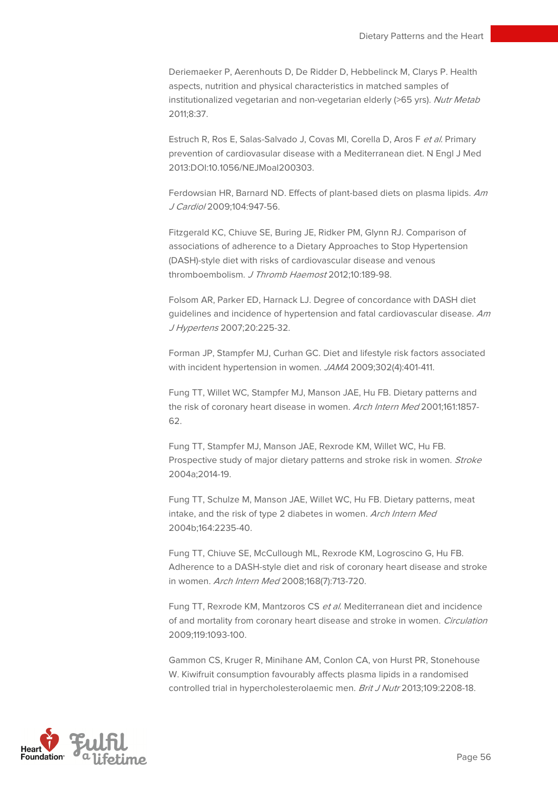Deriemaeker P, Aerenhouts D, De Ridder D, Hebbelinck M, Clarys P. Health aspects, nutrition and physical characteristics in matched samples of institutionalized vegetarian and non-vegetarian elderly (>65 yrs). Nutr Metab 2011;8:37.

Estruch R, Ros E, Salas-Salvado J, Covas MI, Corella D, Aros F et al. Primary prevention of cardiovasular disease with a Mediterranean diet. N Engl J Med 2013:DOI:10.1056/NEJMoal200303.

Ferdowsian HR, Barnard ND. Effects of plant-based diets on plasma lipids. Am J Cardiol 2009;104:947-56.

Fitzgerald KC, Chiuve SE, Buring JE, Ridker PM, Glynn RJ. Comparison of associations of adherence to a Dietary Approaches to Stop Hypertension (DASH)-style diet with risks of cardiovascular disease and venous thromboembolism. J Thromb Haemost 2012;10:189-98.

Folsom AR, Parker ED, Harnack LJ. Degree of concordance with DASH diet guidelines and incidence of hypertension and fatal cardiovascular disease. Am J Hypertens 2007;20:225-32.

Forman JP, Stampfer MJ, Curhan GC. Diet and lifestyle risk factors associated with incident hypertension in women. JAMA 2009;302(4):401-411.

Fung TT, Willet WC, Stampfer MJ, Manson JAE, Hu FB. Dietary patterns and the risk of coronary heart disease in women. Arch Intern Med 2001;161:1857-62.

Fung TT, Stampfer MJ, Manson JAE, Rexrode KM, Willet WC, Hu FB. Prospective study of major dietary patterns and stroke risk in women. Stroke 2004a;2014-19.

Fung TT, Schulze M, Manson JAE, Willet WC, Hu FB. Dietary patterns, meat intake, and the risk of type 2 diabetes in women. Arch Intern Med 2004b;164:2235-40.

Fung TT, Chiuve SE, McCullough ML, Rexrode KM, Logroscino G, Hu FB. Adherence to a DASH-style diet and risk of coronary heart disease and stroke in women. Arch Intern Med 2008;168(7):713-720.

Fung TT, Rexrode KM, Mantzoros CS et al. Mediterranean diet and incidence of and mortality from coronary heart disease and stroke in women. Circulation 2009;119:1093-100.

Gammon CS, Kruger R, Minihane AM, Conlon CA, von Hurst PR, Stonehouse W. Kiwifruit consumption favourably affects plasma lipids in a randomised controlled trial in hypercholesterolaemic men. Brit J Nutr 2013;109:2208-18.

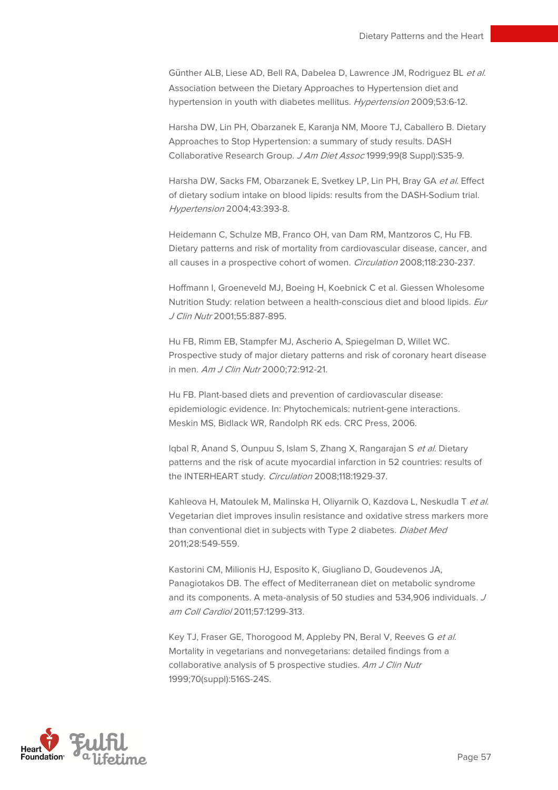Günther ALB, Liese AD, Bell RA, Dabelea D, Lawrence JM, Rodriguez BL et al. Association between the Dietary Approaches to Hypertension diet and hypertension in youth with diabetes mellitus. Hypertension 2009;53:6-12.

Harsha DW, Lin PH, Obarzanek E, Karanja NM, Moore TJ, Caballero B. Dietary Approaches to Stop Hypertension: a summary of study results. DASH Collaborative Research Group. J Am Diet Assoc 1999;99(8 Suppl):S35-9.

Harsha DW, Sacks FM, Obarzanek E, Svetkey LP, Lin PH, Bray GA et al. Effect of dietary sodium intake on blood lipids: results from the DASH-Sodium trial. Hypertension 2004;43:393-8.

Heidemann C, Schulze MB, Franco OH, van Dam RM, Mantzoros C, Hu FB. Dietary patterns and risk of mortality from cardiovascular disease, cancer, and all causes in a prospective cohort of women. Circulation 2008;118:230-237.

Hoffmann I, Groeneveld MJ, Boeing H, Koebnick C et al. Giessen Wholesome Nutrition Study: relation between a health-conscious diet and blood lipids. Eur J Clin Nutr 2001;55:887-895.

Hu FB, Rimm EB, Stampfer MJ, Ascherio A, Spiegelman D, Willet WC. Prospective study of major dietary patterns and risk of coronary heart disease in men. Am J Clin Nutr 2000;72:912-21.

Hu FB. Plant-based diets and prevention of cardiovascular disease: epidemiologic evidence. In: Phytochemicals: nutrient-gene interactions. Meskin MS, Bidlack WR, Randolph RK eds. CRC Press, 2006.

Iqbal R, Anand S, Ounpuu S, Islam S, Zhang X, Rangarajan S et al. Dietary patterns and the risk of acute myocardial infarction in 52 countries: results of the INTERHEART study. Circulation 2008;118:1929-37.

Kahleova H, Matoulek M, Malinska H, Oliyarnik O, Kazdova L, Neskudla T et al. Vegetarian diet improves insulin resistance and oxidative stress markers more than conventional diet in subjects with Type 2 diabetes. Diabet Med 2011;28:549-559.

Kastorini CM, Milionis HJ, Esposito K, Giugliano D, Goudevenos JA, Panagiotakos DB. The effect of Mediterranean diet on metabolic syndrome and its components. A meta-analysis of 50 studies and 534,906 individuals. J am Coll Cardiol 2011;57:1299-313.

Key TJ, Fraser GE, Thorogood M, Appleby PN, Beral V, Reeves G et al. Mortality in vegetarians and nonvegetarians: detailed findings from a collaborative analysis of 5 prospective studies. Am J Clin Nutr 1999;70(suppl):516S-24S.

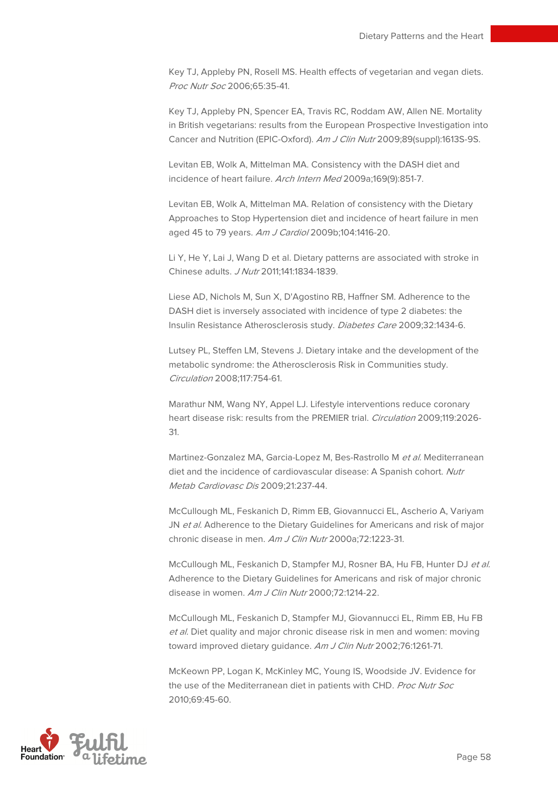Key TJ, Appleby PN, Rosell MS. Health effects of vegetarian and vegan diets. Proc Nutr Soc 2006;65:35-41.

Key TJ, Appleby PN, Spencer EA, Travis RC, Roddam AW, Allen NE. Mortality in British vegetarians: results from the European Prospective Investigation into Cancer and Nutrition (EPIC-Oxford). Am J Clin Nutr 2009;89(suppl):1613S-9S.

Levitan EB, Wolk A, Mittelman MA. Consistency with the DASH diet and incidence of heart failure. Arch Intern Med 2009a;169(9):851-7.

Levitan EB, Wolk A, Mittelman MA. Relation of consistency with the Dietary Approaches to Stop Hypertension diet and incidence of heart failure in men aged 45 to 79 years. Am J Cardiol 2009b;104:1416-20.

Li Y, He Y, Lai J, Wang D et al. Dietary patterns are associated with stroke in Chinese adults. J Nutr 2011;141:1834-1839.

Liese AD, Nichols M, Sun X, D'Agostino RB, Haffner SM. Adherence to the DASH diet is inversely associated with incidence of type 2 diabetes: the Insulin Resistance Atherosclerosis study. Diabetes Care 2009;32:1434-6.

Lutsey PL, Steffen LM, Stevens J. Dietary intake and the development of the metabolic syndrome: the Atherosclerosis Risk in Communities study. Circulation 2008;117:754-61.

Marathur NM, Wang NY, Appel LJ. Lifestyle interventions reduce coronary heart disease risk: results from the PREMIER trial. Circulation 2009;119:2026-31.

Martinez-Gonzalez MA, Garcia-Lopez M, Bes-Rastrollo M et al. Mediterranean diet and the incidence of cardiovascular disease: A Spanish cohort. Nutr Metab Cardiovasc Dis 2009;21:237-44.

McCullough ML, Feskanich D, Rimm EB, Giovannucci EL, Ascherio A, Variyam JN et al. Adherence to the Dietary Guidelines for Americans and risk of major chronic disease in men. Am J Clin Nutr 2000a;72:1223-31.

McCullough ML, Feskanich D, Stampfer MJ, Rosner BA, Hu FB, Hunter DJ et al. Adherence to the Dietary Guidelines for Americans and risk of major chronic disease in women. Am J Clin Nutr 2000;72:1214-22.

McCullough ML, Feskanich D, Stampfer MJ, Giovannucci EL, Rimm EB, Hu FB et al. Diet quality and major chronic disease risk in men and women: moving toward improved dietary guidance. Am J Clin Nutr 2002;76:1261-71.

McKeown PP, Logan K, McKinley MC, Young IS, Woodside JV. Evidence for the use of the Mediterranean diet in patients with CHD. Proc Nutr Soc 2010;69:45-60.

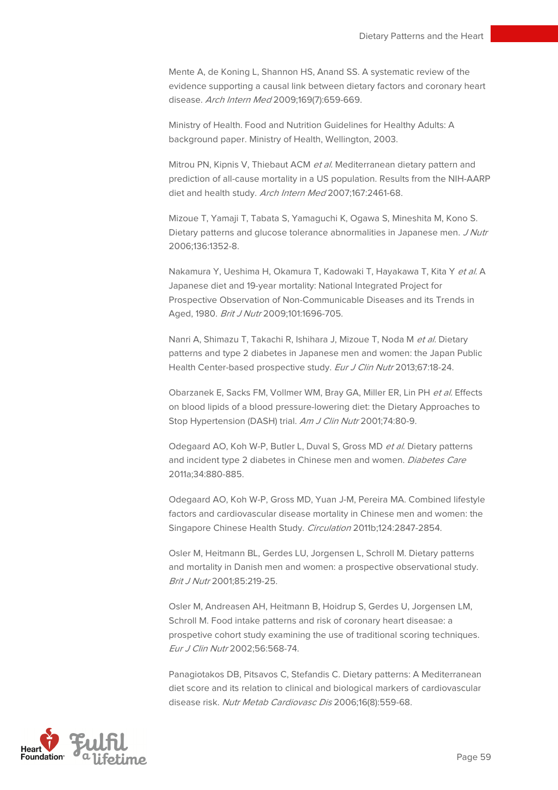Mente A, de Koning L, Shannon HS, Anand SS. A systematic review of the evidence supporting a causal link between dietary factors and coronary heart disease. Arch Intern Med 2009;169(7):659-669.

Ministry of Health. Food and Nutrition Guidelines for Healthy Adults: A background paper. Ministry of Health, Wellington, 2003.

Mitrou PN, Kipnis V, Thiebaut ACM et al. Mediterranean dietary pattern and prediction of all-cause mortality in a US population. Results from the NIH-AARP diet and health study. Arch Intern Med 2007;167:2461-68.

Mizoue T, Yamaji T, Tabata S, Yamaguchi K, Ogawa S, Mineshita M, Kono S. Dietary patterns and glucose tolerance abnormalities in Japanese men. J Nutr 2006;136:1352-8.

Nakamura Y, Ueshima H, Okamura T, Kadowaki T, Hayakawa T, Kita Y et al. A Japanese diet and 19-year mortality: National Integrated Project for Prospective Observation of Non-Communicable Diseases and its Trends in Aged, 1980. Brit J Nutr 2009;101:1696-705.

Nanri A, Shimazu T, Takachi R, Ishihara J, Mizoue T, Noda M et al. Dietary patterns and type 2 diabetes in Japanese men and women: the Japan Public Health Center-based prospective study. Eur J Clin Nutr 2013;67:18-24.

Obarzanek E, Sacks FM, Vollmer WM, Bray GA, Miller ER, Lin PH et al. Effects on blood lipids of a blood pressure-lowering diet: the Dietary Approaches to Stop Hypertension (DASH) trial. Am J Clin Nutr 2001;74:80-9.

Odegaard AO, Koh W-P, Butler L, Duval S, Gross MD et al. Dietary patterns and incident type 2 diabetes in Chinese men and women. Diabetes Care 2011a;34:880-885.

Odegaard AO, Koh W-P, Gross MD, Yuan J-M, Pereira MA. Combined lifestyle factors and cardiovascular disease mortality in Chinese men and women: the Singapore Chinese Health Study. Circulation 2011b;124:2847-2854.

Osler M, Heitmann BL, Gerdes LU, Jorgensen L, Schroll M. Dietary patterns and mortality in Danish men and women: a prospective observational study. Brit J Nutr 2001;85:219-25.

Osler M, Andreasen AH, Heitmann B, Hoidrup S, Gerdes U, Jorgensen LM, Schroll M. Food intake patterns and risk of coronary heart diseasae: a prospetive cohort study examining the use of traditional scoring techniques. Eur J Clin Nutr 2002;56:568-74.

Panagiotakos DB, Pitsavos C, Stefandis C. Dietary patterns: A Mediterranean diet score and its relation to clinical and biological markers of cardiovascular disease risk. Nutr Metab Cardiovasc Dis 2006;16(8):559-68.

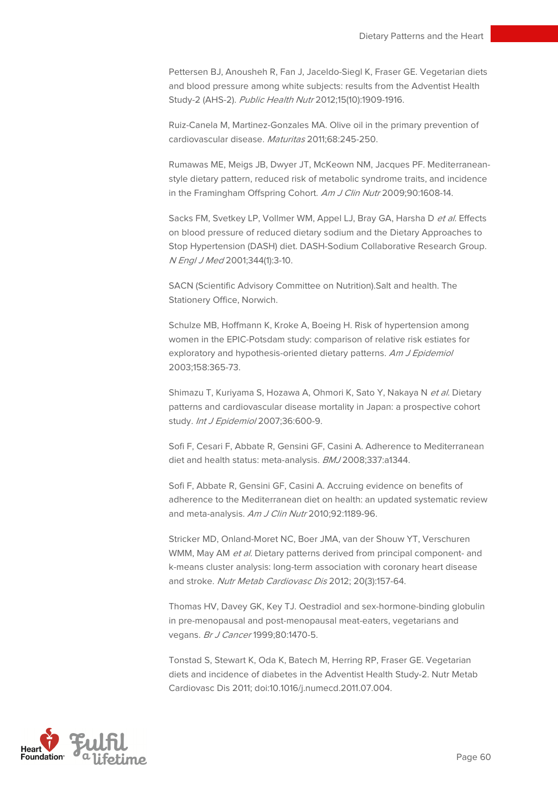Pettersen BJ, Anousheh R, Fan J, Jaceldo-Siegl K, Fraser GE. Vegetarian diets and blood pressure among white subjects: results from the Adventist Health Study-2 (AHS-2). Public Health Nutr 2012;15(10):1909-1916.

Ruiz-Canela M, Martinez-Gonzales MA. Olive oil in the primary prevention of cardiovascular disease. Maturitas 2011;68:245-250.

Rumawas ME, Meigs JB, Dwyer JT, McKeown NM, Jacques PF. Mediterraneanstyle dietary pattern, reduced risk of metabolic syndrome traits, and incidence in the Framingham Offspring Cohort. Am J Clin Nutr 2009;90:1608-14.

Sacks FM, Svetkey LP, Vollmer WM, Appel LJ, Bray GA, Harsha D et al. Effects on blood pressure of reduced dietary sodium and the Dietary Approaches to Stop Hypertension (DASH) diet. DASH-Sodium Collaborative Research Group. N Engl J Med 2001;344(1):3-10.

SACN (Scientific Advisory Committee on Nutrition).Salt and health. The Stationery Office, Norwich.

Schulze MB, Hoffmann K, Kroke A, Boeing H. Risk of hypertension among women in the EPIC-Potsdam study: comparison of relative risk estiates for exploratory and hypothesis-oriented dietary patterns. Am J Epidemiol 2003;158:365-73.

Shimazu T, Kuriyama S, Hozawa A, Ohmori K, Sato Y, Nakaya N et al. Dietary patterns and cardiovascular disease mortality in Japan: a prospective cohort study. Int J Epidemiol 2007;36:600-9.

Sofi F, Cesari F, Abbate R, Gensini GF, Casini A. Adherence to Mediterranean diet and health status: meta-analysis. BMJ 2008;337:a1344.

Sofi F, Abbate R, Gensini GF, Casini A. Accruing evidence on benefits of adherence to the Mediterranean diet on health: an updated systematic review and meta-analysis. Am J Clin Nutr 2010;92:1189-96.

Stricker MD, Onland-Moret NC, Boer JMA, van der Shouw YT, Verschuren WMM, May AM et al. Dietary patterns derived from principal component- and k-means cluster analysis: long-term association with coronary heart disease and stroke. Nutr Metab Cardiovasc Dis 2012; 20(3):157-64.

Thomas HV, Davey GK, Key TJ. Oestradiol and sex-hormone-binding globulin in pre-menopausal and post-menopausal meat-eaters, vegetarians and vegans. Br J Cancer 1999;80:1470-5.

Tonstad S, Stewart K, Oda K, Batech M, Herring RP, Fraser GE. Vegetarian diets and incidence of diabetes in the Adventist Health Study-2. Nutr Metab Cardiovasc Dis 2011; doi:10.1016/j.numecd.2011.07.004.

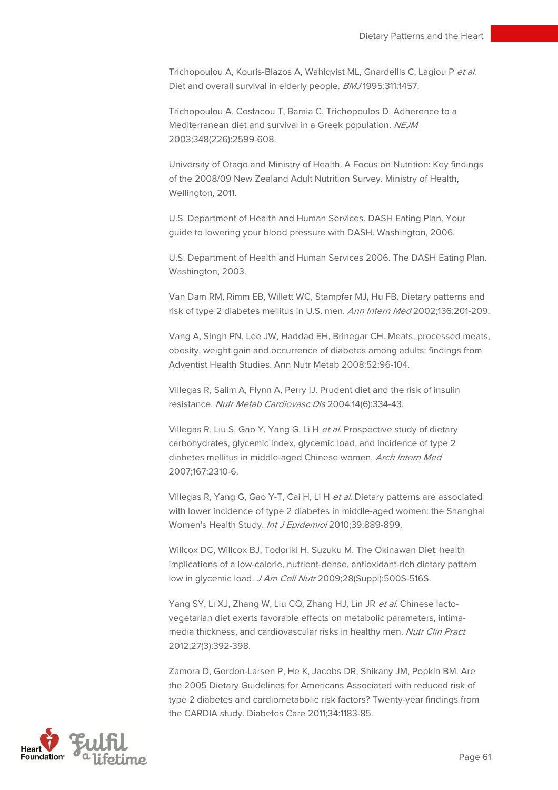Trichopoulou A, Kouris-Blazos A, Wahlqvist ML, Gnardellis C, Lagiou P et al. Diet and overall survival in elderly people. BMJ 1995:311:1457.

Trichopoulou A, Costacou T, Bamia C, Trichopoulos D. Adherence to a Mediterranean diet and survival in a Greek population. NEJM 2003;348(226):2599-608.

University of Otago and Ministry of Health. A Focus on Nutrition: Key findings of the 2008/09 New Zealand Adult Nutrition Survey. Ministry of Health, Wellington, 2011.

U.S. Department of Health and Human Services. DASH Eating Plan. Your guide to lowering your blood pressure with DASH. Washington, 2006.

U.S. Department of Health and Human Services 2006. The DASH Eating Plan. Washington, 2003.

Van Dam RM, Rimm EB, Willett WC, Stampfer MJ, Hu FB. Dietary patterns and risk of type 2 diabetes mellitus in U.S. men. Ann Intern Med 2002;136:201-209.

Vang A, Singh PN, Lee JW, Haddad EH, Brinegar CH. Meats, processed meats, obesity, weight gain and occurrence of diabetes among adults: findings from Adventist Health Studies. Ann Nutr Metab 2008;52:96-104.

Villegas R, Salim A, Flynn A, Perry IJ. Prudent diet and the risk of insulin resistance. Nutr Metab Cardiovasc Dis 2004;14(6):334-43.

Villegas R, Liu S, Gao Y, Yang G, Li H et al. Prospective study of dietary carbohydrates, glycemic index, glycemic load, and incidence of type 2 diabetes mellitus in middle-aged Chinese women. Arch Intern Med 2007;167:2310-6.

Villegas R, Yang G, Gao Y-T, Cai H, Li H et al. Dietary patterns are associated with lower incidence of type 2 diabetes in middle-aged women: the Shanghai Women's Health Study. Int J Epidemiol 2010;39:889-899.

Willcox DC, Willcox BJ, Todoriki H, Suzuku M. The Okinawan Diet: health implications of a low-calorie, nutrient-dense, antioxidant-rich dietary pattern low in glycemic load. J Am Coll Nutr 2009;28(Suppl):500S-516S.

Yang SY, Li XJ, Zhang W, Liu CQ, Zhang HJ, Lin JR et al. Chinese lactovegetarian diet exerts favorable effects on metabolic parameters, intimamedia thickness, and cardiovascular risks in healthy men. Nutr Clin Pract 2012;27(3):392-398.

Zamora D, Gordon-Larsen P, He K, Jacobs DR, Shikany JM, Popkin BM. Are the 2005 Dietary Guidelines for Americans Associated with reduced risk of type 2 diabetes and cardiometabolic risk factors? Twenty-year findings from the CARDIA study. Diabetes Care 2011;34:1183-85.